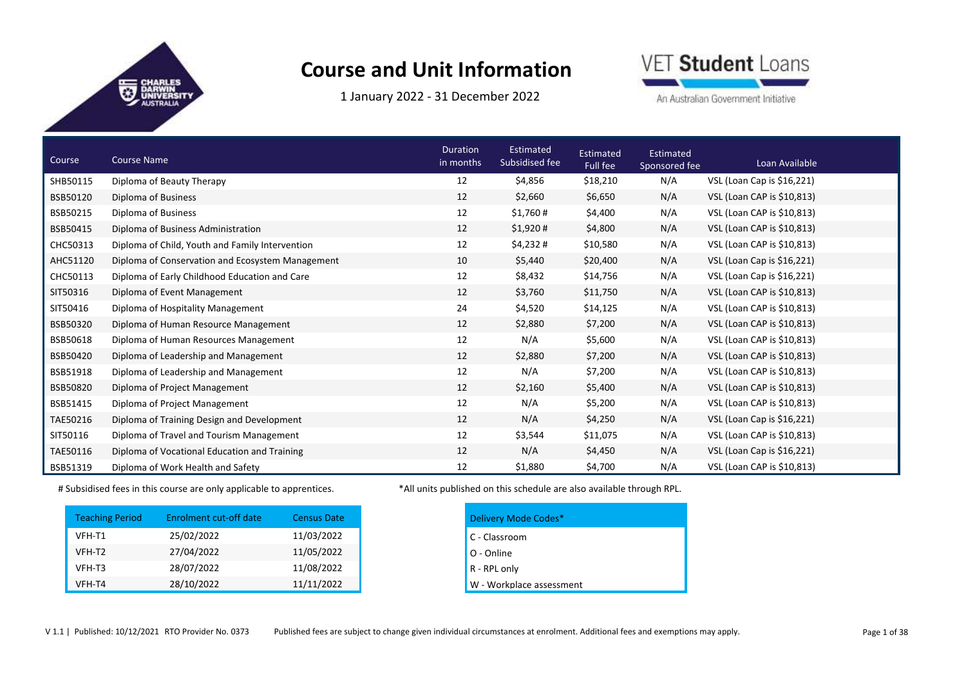1 January 2022 ‐ 31 December 2022



An Australian Government Initiative

| Course   | <b>Course Name</b>                               | <b>Duration</b><br>in months | Estimated<br>Subsidised fee | Estimated<br>Full fee | Estimated<br>Sponsored fee | Loan Available             |
|----------|--------------------------------------------------|------------------------------|-----------------------------|-----------------------|----------------------------|----------------------------|
| SHB50115 | Diploma of Beauty Therapy                        | 12                           | \$4,856                     | \$18,210              | N/A                        | VSL (Loan Cap is \$16,221) |
| BSB50120 | Diploma of Business                              | 12                           | \$2,660                     | \$6,650               | N/A                        | VSL (Loan CAP is \$10,813) |
| BSB50215 | Diploma of Business                              | 12                           | \$1,760#                    | \$4,400               | N/A                        | VSL (Loan CAP is \$10,813) |
| BSB50415 | Diploma of Business Administration               | 12                           | \$1,920#                    | \$4,800               | N/A                        | VSL (Loan CAP is \$10,813) |
| CHC50313 | Diploma of Child, Youth and Family Intervention  | 12                           | \$4,232#                    | \$10,580              | N/A                        | VSL (Loan CAP is \$10,813) |
| AHC51120 | Diploma of Conservation and Ecosystem Management | 10                           | \$5,440                     | \$20,400              | N/A                        | VSL (Loan Cap is \$16,221) |
| CHC50113 | Diploma of Early Childhood Education and Care    | 12                           | \$8,432                     | \$14,756              | N/A                        | VSL (Loan Cap is \$16,221) |
| SIT50316 | Diploma of Event Management                      | 12                           | \$3,760                     | \$11,750              | N/A                        | VSL (Loan CAP is \$10,813) |
| SIT50416 | Diploma of Hospitality Management                | 24                           | \$4,520                     | \$14,125              | N/A                        | VSL (Loan CAP is \$10,813) |
| BSB50320 | Diploma of Human Resource Management             | 12                           | \$2,880                     | \$7,200               | N/A                        | VSL (Loan CAP is \$10,813) |
| BSB50618 | Diploma of Human Resources Management            | 12                           | N/A                         | \$5,600               | N/A                        | VSL (Loan CAP is \$10,813) |
| BSB50420 | Diploma of Leadership and Management             | 12                           | \$2,880                     | \$7,200               | N/A                        | VSL (Loan CAP is \$10,813) |
| BSB51918 | Diploma of Leadership and Management             | 12                           | N/A                         | \$7,200               | N/A                        | VSL (Loan CAP is \$10,813) |
| BSB50820 | Diploma of Project Management                    | 12                           | \$2,160                     | \$5,400               | N/A                        | VSL (Loan CAP is \$10,813) |
| BSB51415 | Diploma of Project Management                    | 12                           | N/A                         | \$5,200               | N/A                        | VSL (Loan CAP is \$10,813) |
| TAE50216 | Diploma of Training Design and Development       | 12                           | N/A                         | \$4,250               | N/A                        | VSL (Loan Cap is \$16,221) |
| SIT50116 | Diploma of Travel and Tourism Management         | 12                           | \$3,544                     | \$11,075              | N/A                        | VSL (Loan CAP is \$10,813) |
| TAE50116 | Diploma of Vocational Education and Training     | 12                           | N/A                         | \$4,450               | N/A                        | VSL (Loan Cap is \$16,221) |
| BSB51319 | Diploma of Work Health and Safety                | 12                           | \$1,880                     | \$4,700               | N/A                        | VSL (Loan CAP is \$10,813) |

| <b>Teaching Period</b> | Enrolment cut-off date | <b>Census Date</b> |
|------------------------|------------------------|--------------------|
| VFH-T1                 | 25/02/2022             | 11/03/2022         |
| VFH-T2                 | 27/04/2022             | 11/05/2022         |
| VFH-T3                 | 28/07/2022             | 11/08/2022         |
| VFH-T4                 | 28/10/2022             | 11/11/2022         |

# Subsidised fees in this course are only applicable to apprentices. \*All units published on this schedule are also available through RPL.

| Delivery Mode Codes*     |
|--------------------------|
| C - Classroom            |
| O - Online               |
| R - RPL only             |
| W - Workplace assessment |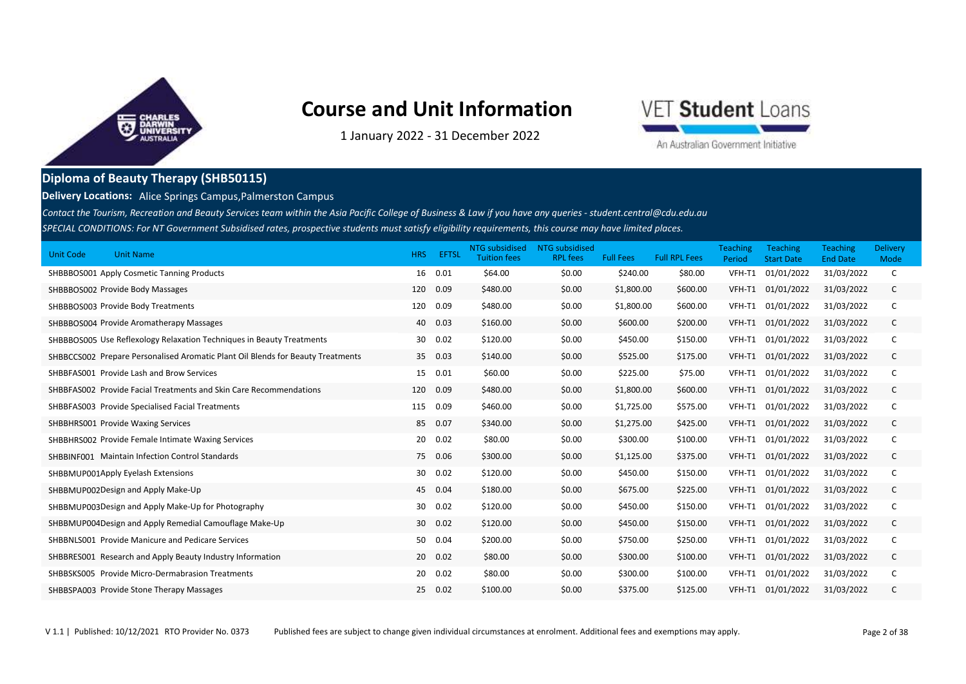

VET Student Loans

1 January 2022 ‐ 31 December 2022

An Australian Government Initiative

### **Diploma of Beauty Therapy (SHB50115)**

**Delivery Locations:** Alice Springs Campus,Palmerston Campus

*SPECIAL CONDITIONS: For NT Government Subsidised rates, prospective students must satisfy eligibility requirements, this course may have limited places. Contact the Tourism, Recreation and Beauty Services team within the Asia Pacific College of Business & Law if you have any queries - student.central@cdu.edu.au*

| <b>Unit Code</b><br><b>Unit Name</b>                                            | <b>HRS</b> | EFTSL   | NTG subsidised<br><b>Tuition fees</b> | <b>NTG</b> subsidised<br><b>RPL fees</b> | <b>Full Fees</b> | <b>Full RPL Fees</b> | <b>Teaching</b><br>Period | <b>Teaching</b><br><b>Start Date</b> | Teaching<br><b>End Date</b> | <b>Delivery</b><br>Mode |
|---------------------------------------------------------------------------------|------------|---------|---------------------------------------|------------------------------------------|------------------|----------------------|---------------------------|--------------------------------------|-----------------------------|-------------------------|
| SHBBBOS001 Apply Cosmetic Tanning Products                                      | 16         | 0.01    | \$64.00                               | \$0.00                                   | \$240.00         | \$80.00              | VFH-T1                    | 01/01/2022                           | 31/03/2022                  | C                       |
| SHBBBOS002 Provide Body Massages                                                | 120        | 0.09    | \$480.00                              | \$0.00                                   | \$1,800.00       | \$600.00             | VFH-T1                    | 01/01/2022                           | 31/03/2022                  | C                       |
| SHBBBOS003 Provide Body Treatments                                              | 120        | 0.09    | \$480.00                              | \$0.00                                   | \$1,800.00       | \$600.00             | VFH-T1                    | 01/01/2022                           | 31/03/2022                  | C                       |
| SHBBBOS004 Provide Aromatherapy Massages                                        | 40         | 0.03    | \$160.00                              | \$0.00                                   | \$600.00         | \$200.00             | VFH-T1                    | 01/01/2022                           | 31/03/2022                  | C                       |
| SHBBBOS005 Use Reflexology Relaxation Techniques in Beauty Treatments           | 30         | 0.02    | \$120.00                              | \$0.00                                   | \$450.00         | \$150.00             | VFH-T1                    | 01/01/2022                           | 31/03/2022                  | C                       |
| SHBBCCS002 Prepare Personalised Aromatic Plant Oil Blends for Beauty Treatments |            | 35 0.03 | \$140.00                              | \$0.00                                   | \$525.00         | \$175.00             | VFH-T1                    | 01/01/2022                           | 31/03/2022                  | C                       |
| SHBBFAS001 Provide Lash and Brow Services                                       | 15         | 0.01    | \$60.00                               | \$0.00                                   | \$225.00         | \$75.00              | VFH-T1                    | 01/01/2022                           | 31/03/2022                  | C                       |
| SHBBFAS002 Provide Facial Treatments and Skin Care Recommendations              | 120        | 0.09    | \$480.00                              | \$0.00                                   | \$1,800.00       | \$600.00             | VFH-T1                    | 01/01/2022                           | 31/03/2022                  | C                       |
| SHBBFAS003 Provide Specialised Facial Treatments                                | 115        | 0.09    | \$460.00                              | \$0.00                                   | \$1,725.00       | \$575.00             | VFH-T1                    | 01/01/2022                           | 31/03/2022                  | C                       |
| SHBBHRS001 Provide Waxing Services                                              | 85         | 0.07    | \$340.00                              | \$0.00                                   | \$1,275.00       | \$425.00             | VFH-T1                    | 01/01/2022                           | 31/03/2022                  | C                       |
| SHBBHRS002 Provide Female Intimate Waxing Services                              | 20         | 0.02    | \$80.00                               | \$0.00                                   | \$300.00         | \$100.00             | VFH-T1                    | 01/01/2022                           | 31/03/2022                  | C                       |
| <b>SHBBINF001 Maintain Infection Control Standards</b>                          |            | 75 0.06 | \$300.00                              | \$0.00                                   | \$1,125.00       | \$375.00             | VFH-T1                    | 01/01/2022                           | 31/03/2022                  | C                       |
| SHBBMUP001Apply Eyelash Extensions                                              | 30         | 0.02    | \$120.00                              | \$0.00                                   | \$450.00         | \$150.00             | VFH-T1                    | 01/01/2022                           | 31/03/2022                  | C                       |
| SHBBMUP002Design and Apply Make-Up                                              |            | 45 0.04 | \$180.00                              | \$0.00                                   | \$675.00         | \$225.00             | VFH-T1                    | 01/01/2022                           | 31/03/2022                  | C                       |
| SHBBMUP003Design and Apply Make-Up for Photography                              | 30         | 0.02    | \$120.00                              | \$0.00                                   | \$450.00         | \$150.00             | VFH-T1                    | 01/01/2022                           | 31/03/2022                  | C                       |
| SHBBMUP004Design and Apply Remedial Camouflage Make-Up                          | 30         | 0.02    | \$120.00                              | \$0.00                                   | \$450.00         | \$150.00             | VFH-T1                    | 01/01/2022                           | 31/03/2022                  | C                       |
| <b>SHBBNLS001 Provide Manicure and Pedicare Services</b>                        | 50         | 0.04    | \$200.00                              | \$0.00                                   | \$750.00         | \$250.00             | VFH-T1                    | 01/01/2022                           | 31/03/2022                  | C                       |
| SHBBRES001 Research and Apply Beauty Industry Information                       |            | 20 0.02 | \$80.00                               | \$0.00                                   | \$300.00         | \$100.00             | VFH-T1                    | 01/01/2022                           | 31/03/2022                  | C                       |
| SHBBSKS005 Provide Micro-Dermabrasion Treatments                                | 20         | 0.02    | \$80.00                               | \$0.00                                   | \$300.00         | \$100.00             | VFH-T1                    | 01/01/2022                           | 31/03/2022                  | C                       |
| SHBBSPA003 Provide Stone Therapy Massages                                       | 25         | 0.02    | \$100.00                              | \$0.00                                   | \$375.00         | \$125.00             | VFH-T1                    | 01/01/2022                           | 31/03/2022                  | C                       |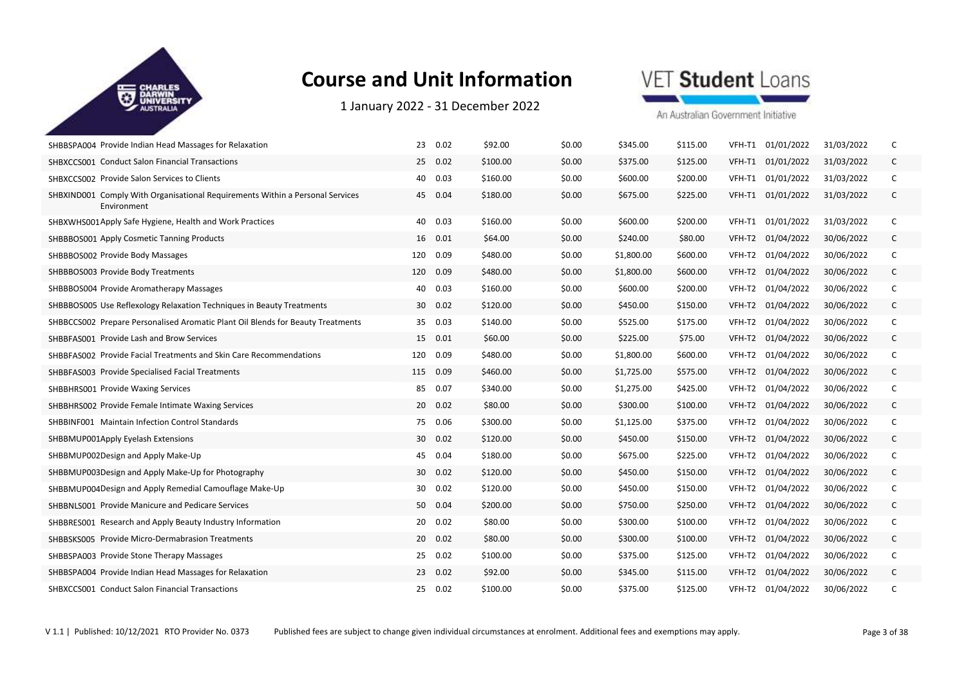

1 January 2022 ‐ 31 December 2022



| SHBBSPA004 Provide Indian Head Massages for Relaxation                                       | 23<br>0.02  | \$92.00  | \$0.00 | \$345.00   | \$115.00 | VFH-T1 | 01/01/2022        | 31/03/2022 | C            |
|----------------------------------------------------------------------------------------------|-------------|----------|--------|------------|----------|--------|-------------------|------------|--------------|
| SHBXCCS001 Conduct Salon Financial Transactions                                              | 25 0.02     | \$100.00 | \$0.00 | \$375.00   | \$125.00 | VFH-T1 | 01/01/2022        | 31/03/2022 | $\mathsf{C}$ |
| SHBXCCS002 Provide Salon Services to Clients                                                 | 40 0.03     | \$160.00 | \$0.00 | \$600.00   | \$200.00 |        | VFH-T1 01/01/2022 | 31/03/2022 | C            |
| SHBXIND001 Comply With Organisational Requirements Within a Personal Services<br>Environment | 45 0.04     | \$180.00 | \$0.00 | \$675.00   | \$225.00 |        | VFH-T1 01/01/2022 | 31/03/2022 | $\mathsf{C}$ |
| SHBXWHS001Apply Safe Hygiene, Health and Work Practices                                      | 40 0.03     | \$160.00 | \$0.00 | \$600.00   | \$200.00 |        | VFH-T1 01/01/2022 | 31/03/2022 | C            |
| SHBBBOS001 Apply Cosmetic Tanning Products                                                   | 16 0.01     | \$64.00  | \$0.00 | \$240.00   | \$80.00  | VFH-T2 | 01/04/2022        | 30/06/2022 | $\mathsf{C}$ |
| SHBBBOS002 Provide Body Massages                                                             | 120 0.09    | \$480.00 | \$0.00 | \$1,800.00 | \$600.00 | VFH-T2 | 01/04/2022        | 30/06/2022 | C            |
| SHBBBOS003 Provide Body Treatments                                                           | 0.09<br>120 | \$480.00 | \$0.00 | \$1,800.00 | \$600.00 | VFH-T2 | 01/04/2022        | 30/06/2022 | $\mathsf{C}$ |
| SHBBBOS004 Provide Aromatherapy Massages                                                     | 0.03<br>40  | \$160.00 | \$0.00 | \$600.00   | \$200.00 | VFH-T2 | 01/04/2022        | 30/06/2022 | C            |
| SHBBBOS005 Use Reflexology Relaxation Techniques in Beauty Treatments                        | 30 0.02     | \$120.00 | \$0.00 | \$450.00   | \$150.00 | VFH-T2 | 01/04/2022        | 30/06/2022 | $\mathsf{C}$ |
| SHBBCCS002 Prepare Personalised Aromatic Plant Oil Blends for Beauty Treatments              | 35 0.03     | \$140.00 | \$0.00 | \$525.00   | \$175.00 | VFH-T2 | 01/04/2022        | 30/06/2022 | C            |
| SHBBFAS001 Provide Lash and Brow Services                                                    | 15 0.01     | \$60.00  | \$0.00 | \$225.00   | \$75.00  | VFH-T2 | 01/04/2022        | 30/06/2022 | $\mathsf{C}$ |
| SHBBFAS002 Provide Facial Treatments and Skin Care Recommendations                           | 120 0.09    | \$480.00 | \$0.00 | \$1,800.00 | \$600.00 | VFH-T2 | 01/04/2022        | 30/06/2022 | C            |
| SHBBFAS003 Provide Specialised Facial Treatments                                             | 115 0.09    | \$460.00 | \$0.00 | \$1,725.00 | \$575.00 | VFH-T2 | 01/04/2022        | 30/06/2022 | C            |
| SHBBHRS001 Provide Waxing Services                                                           | 85 0.07     | \$340.00 | \$0.00 | \$1,275.00 | \$425.00 | VFH-T2 | 01/04/2022        | 30/06/2022 | C            |
| SHBBHRS002 Provide Female Intimate Waxing Services                                           | 20 0.02     | \$80.00  | \$0.00 | \$300.00   | \$100.00 | VFH-T2 | 01/04/2022        | 30/06/2022 | $\mathsf{C}$ |
| <b>SHBBINF001 Maintain Infection Control Standards</b>                                       | 75 0.06     | \$300.00 | \$0.00 | \$1,125.00 | \$375.00 | VFH-T2 | 01/04/2022        | 30/06/2022 | $\mathsf{C}$ |
| SHBBMUP001Apply Eyelash Extensions                                                           | 30 0.02     | \$120.00 | \$0.00 | \$450.00   | \$150.00 | VFH-T2 | 01/04/2022        | 30/06/2022 | $\mathsf{C}$ |
| SHBBMUP002Design and Apply Make-Up                                                           | 45<br>0.04  | \$180.00 | \$0.00 | \$675.00   | \$225.00 | VFH-T2 | 01/04/2022        | 30/06/2022 | C            |
| SHBBMUP003Design and Apply Make-Up for Photography                                           | 30 0.02     | \$120.00 | \$0.00 | \$450.00   | \$150.00 | VFH-T2 | 01/04/2022        | 30/06/2022 | $\mathsf{C}$ |
| SHBBMUP004Design and Apply Remedial Camouflage Make-Up                                       | 30 0.02     | \$120.00 | \$0.00 | \$450.00   | \$150.00 | VFH-T2 | 01/04/2022        | 30/06/2022 | C            |
| SHBBNLS001 Provide Manicure and Pedicare Services                                            | 50 0.04     | \$200.00 | \$0.00 | \$750.00   | \$250.00 | VFH-T2 | 01/04/2022        | 30/06/2022 | $\mathsf{C}$ |
| SHBBRES001 Research and Apply Beauty Industry Information                                    | 0.02<br>20  | \$80.00  | \$0.00 | \$300.00   | \$100.00 | VFH-T2 | 01/04/2022        | 30/06/2022 | C            |
| SHBBSKS005 Provide Micro-Dermabrasion Treatments                                             | 20 0.02     | \$80.00  | \$0.00 | \$300.00   | \$100.00 | VFH-T2 | 01/04/2022        | 30/06/2022 | $\mathsf{C}$ |
| SHBBSPA003 Provide Stone Therapy Massages                                                    | 25 0.02     | \$100.00 | \$0.00 | \$375.00   | \$125.00 | VFH-T2 | 01/04/2022        | 30/06/2022 | C            |
| SHBBSPA004 Provide Indian Head Massages for Relaxation                                       | 23 0.02     | \$92.00  | \$0.00 | \$345.00   | \$115.00 | VFH-T2 | 01/04/2022        | 30/06/2022 | C            |
| <b>SHBXCCS001 Conduct Salon Financial Transactions</b>                                       | 25 0.02     | \$100.00 | \$0.00 | \$375.00   | \$125.00 | VFH-T2 | 01/04/2022        | 30/06/2022 | C            |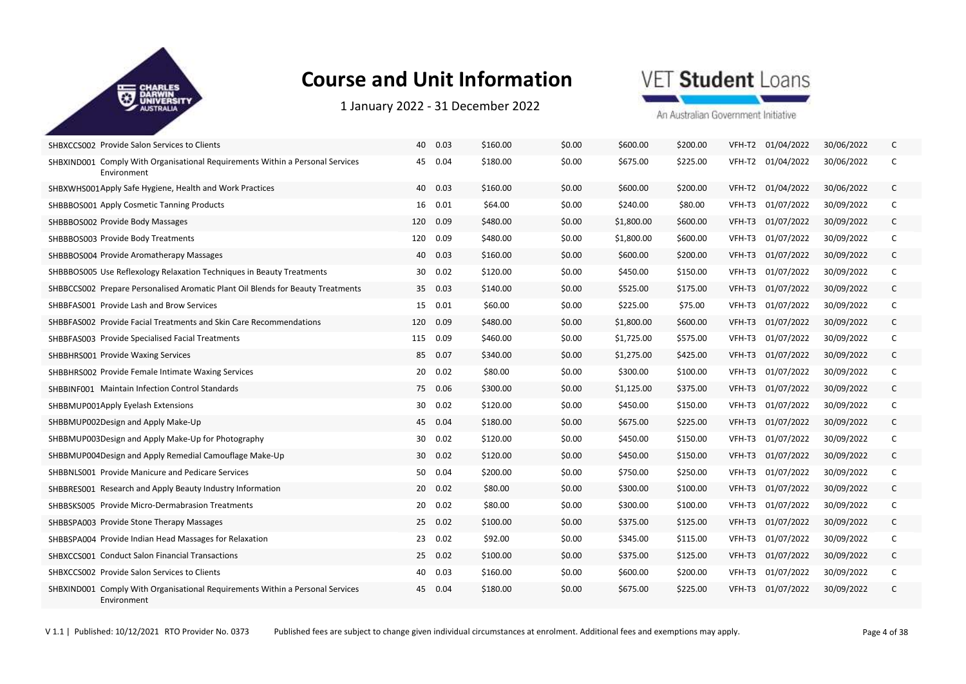

1 January 2022 ‐ 31 December 2022

## VET Student Loans

| SHBXCCS002 Provide Salon Services to Clients                                                 | 40 0.03         | \$160.00         | \$0.00 | \$600.00   | \$200.00 |        | VFH-T2 01/04/2022 | 30/06/2022 | C            |
|----------------------------------------------------------------------------------------------|-----------------|------------------|--------|------------|----------|--------|-------------------|------------|--------------|
| SHBXIND001 Comply With Organisational Requirements Within a Personal Services<br>Environment | 45 0.04         | \$180.00         | \$0.00 | \$675.00   | \$225.00 |        | VFH-T2 01/04/2022 | 30/06/2022 | C            |
| SHBXWHS001Apply Safe Hygiene, Health and Work Practices                                      | 40 0.03         | \$160.00         | \$0.00 | \$600.00   | \$200.00 |        | VFH-T2 01/04/2022 | 30/06/2022 | C            |
| SHBBBOS001 Apply Cosmetic Tanning Products                                                   | 16 0.01         | \$64.00          | \$0.00 | \$240.00   | \$80.00  | VFH-T3 | 01/07/2022        | 30/09/2022 | C            |
| SHBBBOS002 Provide Body Massages                                                             | 120             | 0.09<br>\$480.00 | \$0.00 | \$1,800.00 | \$600.00 | VFH-T3 | 01/07/2022        | 30/09/2022 | C            |
| SHBBBOS003 Provide Body Treatments                                                           | 120             | 0.09<br>\$480.00 | \$0.00 | \$1,800.00 | \$600.00 | VFH-T3 | 01/07/2022        | 30/09/2022 | C            |
| SHBBBOS004 Provide Aromatherapy Massages                                                     | 40 0.03         | \$160.00         | \$0.00 | \$600.00   | \$200.00 | VFH-T3 | 01/07/2022        | 30/09/2022 | C            |
| SHBBBOS005 Use Reflexology Relaxation Techniques in Beauty Treatments                        | 30              | 0.02<br>\$120.00 | \$0.00 | \$450.00   | \$150.00 | VFH-T3 | 01/07/2022        | 30/09/2022 | C            |
| SHBBCCS002 Prepare Personalised Aromatic Plant Oil Blends for Beauty Treatments              | 35 0.03         | \$140.00         | \$0.00 | \$525.00   | \$175.00 | VFH-T3 | 01/07/2022        | 30/09/2022 | $\mathsf{C}$ |
| SHBBFAS001 Provide Lash and Brow Services                                                    | 15 0.01         | \$60.00          | \$0.00 | \$225.00   | \$75.00  | VFH-T3 | 01/07/2022        | 30/09/2022 | C            |
| SHBBFAS002 Provide Facial Treatments and Skin Care Recommendations                           | 120             | 0.09<br>\$480.00 | \$0.00 | \$1,800.00 | \$600.00 | VFH-T3 | 01/07/2022        | 30/09/2022 | C            |
| SHBBFAS003 Provide Specialised Facial Treatments                                             | 115             | 0.09<br>\$460.00 | \$0.00 | \$1,725.00 | \$575.00 | VFH-T3 | 01/07/2022        | 30/09/2022 | C            |
| <b>SHBBHRS001 Provide Waxing Services</b>                                                    | 85 0.07         | \$340.00         | \$0.00 | \$1,275.00 | \$425.00 | VFH-T3 | 01/07/2022        | 30/09/2022 | C            |
| SHBBHRS002 Provide Female Intimate Waxing Services                                           | 20              | 0.02<br>\$80.00  | \$0.00 | \$300.00   | \$100.00 | VFH-T3 | 01/07/2022        | 30/09/2022 | C            |
| <b>SHBBINF001</b> Maintain Infection Control Standards                                       | 75 0.06         | \$300.00         | \$0.00 | \$1,125.00 | \$375.00 | VFH-T3 | 01/07/2022        | 30/09/2022 | $\mathsf{C}$ |
| SHBBMUP001Apply Eyelash Extensions                                                           | 30 <sup>°</sup> | 0.02<br>\$120.00 | \$0.00 | \$450.00   | \$150.00 | VFH-T3 | 01/07/2022        | 30/09/2022 | C            |
| SHBBMUP002Design and Apply Make-Up                                                           | 45 0.04         | \$180.00         | \$0.00 | \$675.00   | \$225.00 | VFH-T3 | 01/07/2022        | 30/09/2022 | C            |
| SHBBMUP003Design and Apply Make-Up for Photography                                           | 30 0.02         | \$120.00         | \$0.00 | \$450.00   | \$150.00 | VFH-T3 | 01/07/2022        | 30/09/2022 | C            |
| SHBBMUP004Design and Apply Remedial Camouflage Make-Up                                       | 30 0.02         | \$120.00         | \$0.00 | \$450.00   | \$150.00 | VFH-T3 | 01/07/2022        | 30/09/2022 | C            |
| SHBBNLS001 Provide Manicure and Pedicare Services                                            | 50              | 0.04<br>\$200.00 | \$0.00 | \$750.00   | \$250.00 | VFH-T3 | 01/07/2022        | 30/09/2022 | C            |
| SHBBRES001 Research and Apply Beauty Industry Information                                    | 20 0.02         | \$80.00          | \$0.00 | \$300.00   | \$100.00 | VFH-T3 | 01/07/2022        | 30/09/2022 | $\mathsf{C}$ |
| SHBBSKS005 Provide Micro-Dermabrasion Treatments                                             | 20              | 0.02<br>\$80.00  | \$0.00 | \$300.00   | \$100.00 | VFH-T3 | 01/07/2022        | 30/09/2022 | C            |
| SHBBSPA003 Provide Stone Therapy Massages                                                    | 25              | 0.02<br>\$100.00 | \$0.00 | \$375.00   | \$125.00 | VFH-T3 | 01/07/2022        | 30/09/2022 | C            |
| SHBBSPA004 Provide Indian Head Massages for Relaxation                                       | 23              | 0.02<br>\$92.00  | \$0.00 | \$345.00   | \$115.00 | VFH-T3 | 01/07/2022        | 30/09/2022 | C            |
| <b>SHBXCCS001 Conduct Salon Financial Transactions</b>                                       | 25 0.02         | \$100.00         | \$0.00 | \$375.00   | \$125.00 | VFH-T3 | 01/07/2022        | 30/09/2022 | C            |
| SHBXCCS002 Provide Salon Services to Clients                                                 | 40              | 0.03<br>\$160.00 | \$0.00 | \$600.00   | \$200.00 | VFH-T3 | 01/07/2022        | 30/09/2022 | C            |
| SHBXIND001 Comply With Organisational Requirements Within a Personal Services<br>Environment | 45 0.04         | \$180.00         | \$0.00 | \$675.00   | \$225.00 |        | VFH-T3 01/07/2022 | 30/09/2022 | C            |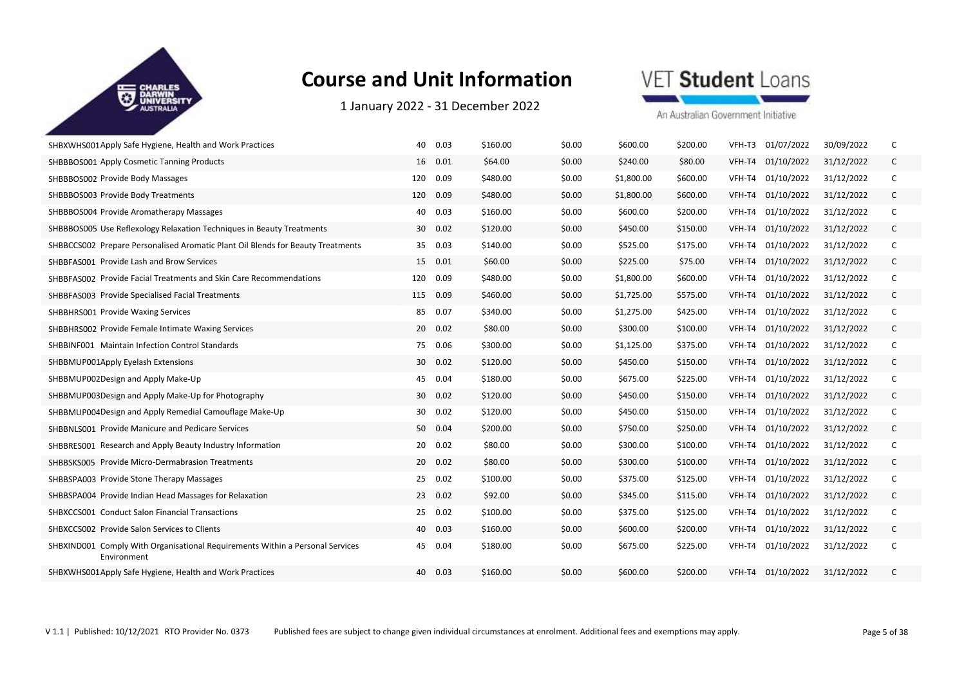

1 January 2022 ‐ 31 December 2022

## VET Student Loans

| SHBXWHS001Apply Safe Hygiene, Health and Work Practices                                      | 40<br>0.03  | \$160.00 | \$0.00 | \$600.00   | \$200.00 | VFH-T3 | 01/07/2022        | 30/09/2022 |   |
|----------------------------------------------------------------------------------------------|-------------|----------|--------|------------|----------|--------|-------------------|------------|---|
| SHBBBOS001 Apply Cosmetic Tanning Products                                                   | 16 0.01     | \$64.00  | \$0.00 | \$240.00   | \$80.00  | VFH-T4 | 01/10/2022        | 31/12/2022 | C |
| SHBBBOS002 Provide Body Massages                                                             | 0.09<br>120 | \$480.00 | \$0.00 | \$1,800.00 | \$600.00 | VFH-T4 | 01/10/2022        | 31/12/2022 | C |
| SHBBBOS003 Provide Body Treatments                                                           | 0.09<br>120 | \$480.00 | \$0.00 | \$1,800.00 | \$600.00 | VFH-T4 | 01/10/2022        | 31/12/2022 | C |
| SHBBBOS004 Provide Aromatherapy Massages                                                     | 0.03<br>40  | \$160.00 | \$0.00 | \$600.00   | \$200.00 | VFH-T4 | 01/10/2022        | 31/12/2022 | C |
| SHBBBOS005 Use Reflexology Relaxation Techniques in Beauty Treatments                        | 30 0.02     | \$120.00 | \$0.00 | \$450.00   | \$150.00 | VFH-T4 | 01/10/2022        | 31/12/2022 | C |
| SHBBCCS002 Prepare Personalised Aromatic Plant Oil Blends for Beauty Treatments              | 0.03<br>35  | \$140.00 | \$0.00 | \$525.00   | \$175.00 | VFH-T4 | 01/10/2022        | 31/12/2022 | C |
| SHBBFAS001 Provide Lash and Brow Services                                                    | 15 0.01     | \$60.00  | \$0.00 | \$225.00   | \$75.00  | VFH-T4 | 01/10/2022        | 31/12/2022 | C |
| SHBBFAS002 Provide Facial Treatments and Skin Care Recommendations                           | 0.09<br>120 | \$480.00 | \$0.00 | \$1,800.00 | \$600.00 | VFH-T4 | 01/10/2022        | 31/12/2022 | C |
| SHBBFAS003 Provide Specialised Facial Treatments                                             | 0.09<br>115 | \$460.00 | \$0.00 | \$1,725.00 | \$575.00 | VFH-T4 | 01/10/2022        | 31/12/2022 | C |
| SHBBHRS001 Provide Waxing Services                                                           | 85<br>0.07  | \$340.00 | \$0.00 | \$1,275.00 | \$425.00 | VFH-T4 | 01/10/2022        | 31/12/2022 | C |
| SHBBHRS002 Provide Female Intimate Waxing Services                                           | 20<br>0.02  | \$80.00  | \$0.00 | \$300.00   | \$100.00 | VFH-T4 | 01/10/2022        | 31/12/2022 | C |
| <b>SHBBINF001</b> Maintain Infection Control Standards                                       | 0.06<br>75  | \$300.00 | \$0.00 | \$1,125.00 | \$375.00 | VFH-T4 | 01/10/2022        | 31/12/2022 | C |
| SHBBMUP001Apply Eyelash Extensions                                                           | 30<br>0.02  | \$120.00 | \$0.00 | \$450.00   | \$150.00 | VFH-T4 | 01/10/2022        | 31/12/2022 | C |
| SHBBMUP002Design and Apply Make-Up                                                           | 45<br>0.04  | \$180.00 | \$0.00 | \$675.00   | \$225.00 | VFH-T4 | 01/10/2022        | 31/12/2022 | C |
| SHBBMUP003Design and Apply Make-Up for Photography                                           | 0.02<br>30  | \$120.00 | \$0.00 | \$450.00   | \$150.00 | VFH-T4 | 01/10/2022        | 31/12/2022 | C |
| SHBBMUP004Design and Apply Remedial Camouflage Make-Up                                       | 30<br>0.02  | \$120.00 | \$0.00 | \$450.00   | \$150.00 | VFH-T4 | 01/10/2022        | 31/12/2022 | C |
| SHBBNLS001 Provide Manicure and Pedicare Services                                            | 50 0.04     | \$200.00 | \$0.00 | \$750.00   | \$250.00 | VFH-T4 | 01/10/2022        | 31/12/2022 | C |
| SHBBRES001 Research and Apply Beauty Industry Information                                    | 0.02<br>20  | \$80.00  | \$0.00 | \$300.00   | \$100.00 | VFH-T4 | 01/10/2022        | 31/12/2022 | C |
| SHBBSKS005 Provide Micro-Dermabrasion Treatments                                             | 20<br>0.02  | \$80.00  | \$0.00 | \$300.00   | \$100.00 | VFH-T4 | 01/10/2022        | 31/12/2022 | C |
| SHBBSPA003 Provide Stone Therapy Massages                                                    | 0.02<br>25  | \$100.00 | \$0.00 | \$375.00   | \$125.00 | VFH-T4 | 01/10/2022        | 31/12/2022 | C |
| SHBBSPA004 Provide Indian Head Massages for Relaxation                                       | 0.02<br>23  | \$92.00  | \$0.00 | \$345.00   | \$115.00 | VFH-T4 | 01/10/2022        | 31/12/2022 | C |
| SHBXCCS001 Conduct Salon Financial Transactions                                              | 0.02<br>25  | \$100.00 | \$0.00 | \$375.00   | \$125.00 | VFH-T4 | 01/10/2022        | 31/12/2022 | C |
| SHBXCCS002 Provide Salon Services to Clients                                                 | 40<br>0.03  | \$160.00 | \$0.00 | \$600.00   | \$200.00 | VFH-T4 | 01/10/2022        | 31/12/2022 | C |
| SHBXIND001 Comply With Organisational Requirements Within a Personal Services<br>Environment | 0.04<br>45  | \$180.00 | \$0.00 | \$675.00   | \$225.00 |        | VFH-T4 01/10/2022 | 31/12/2022 | C |
| SHBXWHS001Apply Safe Hygiene, Health and Work Practices                                      | 0.03<br>40  | \$160.00 | \$0.00 | \$600.00   | \$200.00 |        | VFH-T4 01/10/2022 | 31/12/2022 | C |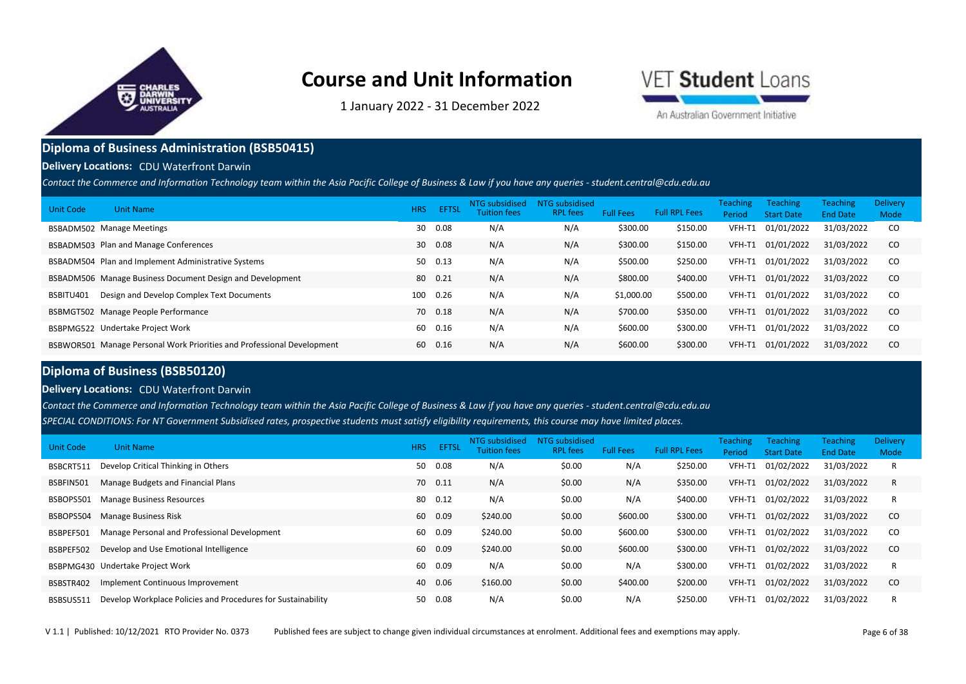

1 January 2022 ‐ 31 December 2022



An Australian Government Initiative

### **Diploma of Business Administration (BSB50415)**

#### **Delivery Locations:** CDU Waterfront Darwin

*Contact the Commerce and Information Technology team within the Asia Pacific College of Business & Law if you have any queries - student.central@cdu.edu.au*

| Unit Code<br><b>Unit Name</b>                                          | <b>HRS</b> | EFTSL | NTG subsidised<br><b>Tuition fees</b> | <b>NTG subsidised</b><br><b>RPL</b> fees | <b>Full Fees</b> | <b>Full RPL Fees</b> | <b>Teaching</b><br>Period | <b>Teaching</b><br><b>Start Date</b> | <b>Teaching</b><br><b>End Date</b> | Delivery<br>Mode |
|------------------------------------------------------------------------|------------|-------|---------------------------------------|------------------------------------------|------------------|----------------------|---------------------------|--------------------------------------|------------------------------------|------------------|
| <b>BSBADM502 Manage Meetings</b>                                       | 30         | 0.08  | N/A                                   | N/A                                      | \$300.00         | \$150.00             | VFH-T1                    | 01/01/2022                           | 31/03/2022                         | CO.              |
| BSBADM503 Plan and Manage Conferences                                  | 30         | 0.08  | N/A                                   | N/A                                      | \$300.00         | \$150.00             | VFH-T1                    | 01/01/2022                           | 31/03/2022                         | - CO             |
| BSBADM504 Plan and Implement Administrative Systems                    | 50         | 0.13  | N/A                                   | N/A                                      | \$500.00         | \$250.00             | VFH-T1                    | 01/01/2022                           | 31/03/2022                         | - CO             |
| BSBADM506 Manage Business Document Design and Development              | 80         | 0.21  | N/A                                   | N/A                                      | \$800.00         | \$400.00             | VFH-T1                    | 01/01/2022                           | 31/03/2022                         | - CO             |
| Design and Develop Complex Text Documents<br>BSBITU401                 | 100        | 0.26  | N/A                                   | N/A                                      | \$1,000.00       | \$500.00             | VFH-T1                    | 01/01/2022                           | 31/03/2022                         | - CO             |
| BSBMGT502 Manage People Performance                                    | 70         | 0.18  | N/A                                   | N/A                                      | \$700.00         | \$350.00             | VFH-T1                    | 01/01/2022                           | 31/03/2022                         | CO               |
| BSBPMG522 Undertake Project Work                                       | 60         | 0.16  | N/A                                   | N/A                                      | \$600.00         | \$300.00             | VFH-T1                    | 01/01/2022                           | 31/03/2022                         | - CO             |
| BSBWOR501 Manage Personal Work Priorities and Professional Development | 60         | 0.16  | N/A                                   | N/A                                      | \$600.00         | \$300.00             | VFH-T1                    | 01/01/2022                           | 31/03/2022                         | CO.              |

#### **Diploma of Business (BSB50120)**

#### **Delivery Locations:** CDU Waterfront Darwin

*SPECIAL CONDITIONS: For NT Government Subsidised rates, prospective students must satisfy eligibility requirements, this course may have limited places. Contact the Commerce and Information Technology team within the Asia Pacific College of Business & Law if you have any queries - student.central@cdu.edu.au*

| Unit Code | <b>Unit Name</b>                                             | <b>HRS</b> | <b>EFTSL</b> | NTG subsidised<br><b>Tuition fees</b> | NTG subsidised<br><b>RPL</b> fees | <b>Full Fees</b> | <b>Full RPL Fees</b> | <b>Teaching</b><br>Period | <b>Teaching</b><br><b>Start Date</b> | <b>Teaching</b><br><b>End Date</b> | Delivery<br>Mode |
|-----------|--------------------------------------------------------------|------------|--------------|---------------------------------------|-----------------------------------|------------------|----------------------|---------------------------|--------------------------------------|------------------------------------|------------------|
| BSBCRT511 | Develop Critical Thinking in Others                          | 50         | 0.08         | N/A                                   | \$0.00                            | N/A              | \$250.00             | VFH-T1                    | 01/02/2022                           | 31/03/2022                         | R                |
| BSBFIN501 | Manage Budgets and Financial Plans                           |            | 70 0.11      | N/A                                   | \$0.00                            | N/A              | \$350.00             | VFH-T1                    | 01/02/2022                           | 31/03/2022                         | R                |
| BSBOPS501 | <b>Manage Business Resources</b>                             | 80         | 0.12         | N/A                                   | \$0.00                            | N/A              | \$400.00             | VFH-T1                    | 01/02/2022                           | 31/03/2022                         | R                |
| BSBOPS504 | <b>Manage Business Risk</b>                                  | 60         | 0.09         | \$240.00                              | \$0.00                            | \$600.00         | \$300.00             | VFH-T1                    | 01/02/2022                           | 31/03/2022                         | <sub>co</sub>    |
| BSBPEF501 | Manage Personal and Professional Development                 | 60         | 0.09         | \$240.00                              | \$0.00                            | \$600.00         | \$300.00             | VFH-T1                    | 01/02/2022                           | 31/03/2022                         | <sub>co</sub>    |
| BSBPEF502 | Develop and Use Emotional Intelligence                       | 60         | 0.09         | \$240.00                              | \$0.00                            | \$600.00         | \$300.00             | VFH-T1                    | 01/02/2022                           | 31/03/2022                         | CO               |
|           | BSBPMG430 Undertake Project Work                             | 60         | 0.09         | N/A                                   | \$0.00                            | N/A              | \$300.00             | VFH-T1                    | 01/02/2022                           | 31/03/2022                         | R                |
| BSBSTR402 | Implement Continuous Improvement                             | 40         | 0.06         | \$160.00                              | \$0.00                            | \$400.00         | \$200.00             | VFH-T1                    | 01/02/2022                           | 31/03/2022                         | -CO              |
| BSBSUS511 | Develop Workplace Policies and Procedures for Sustainability | 50         | 0.08         | N/A                                   | \$0.00                            | N/A              | \$250.00             | VFH-T1                    | 01/02/2022                           | 31/03/2022                         | R                |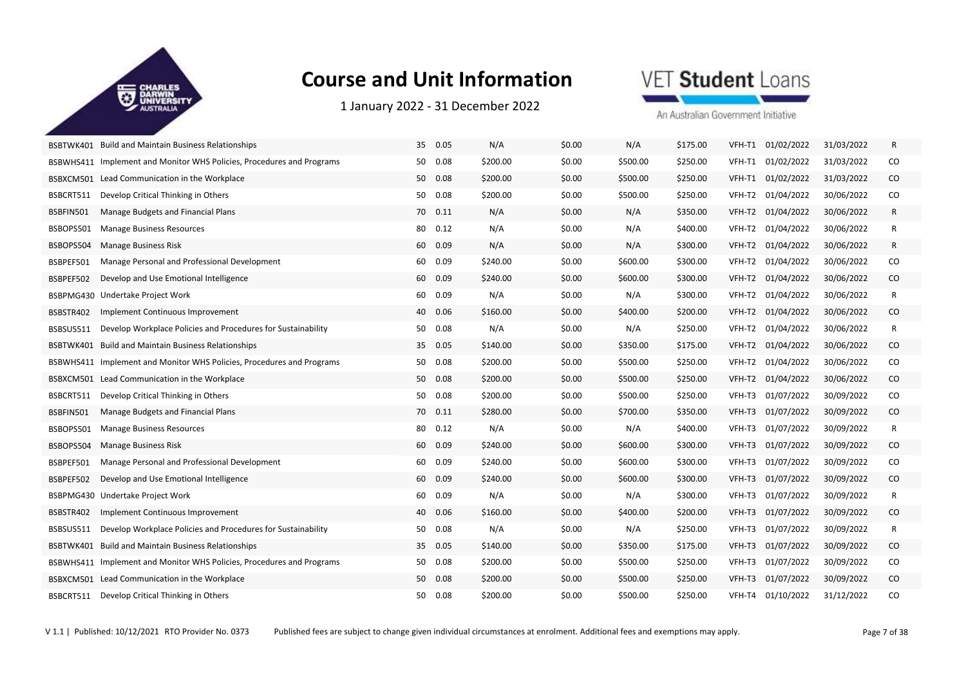

1 January 2022 ‐ 31 December 2022

## VET Student Loans

| BSBTWK401 Build and Maintain Business Relationships                       | 35<br>0.05 | N/A      | \$0.00 | N/A      | \$175.00 | 01/02/2022<br>VFH-T1 | 31/03/2022 | R            |
|---------------------------------------------------------------------------|------------|----------|--------|----------|----------|----------------------|------------|--------------|
| BSBWHS411 Implement and Monitor WHS Policies, Procedures and Programs     | 0.08<br>50 | \$200.00 | \$0.00 | \$500.00 | \$250.00 | 01/02/2022<br>VFH-T1 | 31/03/2022 | CO           |
| BSBXCM501 Lead Communication in the Workplace                             | 0.08<br>50 | \$200.00 | \$0.00 | \$500.00 | \$250.00 | 01/02/2022<br>VFH-T1 | 31/03/2022 | $\rm CO$     |
| BSBCRT511<br>Develop Critical Thinking in Others                          | 50<br>0.08 | \$200.00 | \$0.00 | \$500.00 | \$250.00 | VFH-T2 01/04/2022    | 30/06/2022 | CO           |
| Manage Budgets and Financial Plans<br>BSBFIN501                           | 70<br>0.11 | N/A      | \$0.00 | N/A      | \$350.00 | VFH-T2<br>01/04/2022 | 30/06/2022 | R            |
| BSBOPS501<br><b>Manage Business Resources</b>                             | 80<br>0.12 | N/A      | \$0.00 | N/A      | \$400.00 | VFH-T2<br>01/04/2022 | 30/06/2022 | R            |
| BSBOPS504<br><b>Manage Business Risk</b>                                  | 0.09<br>60 | N/A      | \$0.00 | N/A      | \$300.00 | VFH-T2 01/04/2022    | 30/06/2022 | R            |
| Manage Personal and Professional Development<br>BSBPEF501                 | 60<br>0.09 | \$240.00 | \$0.00 | \$600.00 | \$300.00 | 01/04/2022<br>VFH-T2 | 30/06/2022 | CO           |
| Develop and Use Emotional Intelligence<br>BSBPEF502                       | 60<br>0.09 | \$240.00 | \$0.00 | \$600.00 | \$300.00 | VFH-T2<br>01/04/2022 | 30/06/2022 | CO           |
| BSBPMG430 Undertake Project Work                                          | 0.09<br>60 | N/A      | \$0.00 | N/A      | \$300.00 | VFH-T2 01/04/2022    | 30/06/2022 | $\mathsf{R}$ |
| BSBSTR402<br>Implement Continuous Improvement                             | 40<br>0.06 | \$160.00 | \$0.00 | \$400.00 | \$200.00 | 01/04/2022<br>VFH-T2 | 30/06/2022 | CO           |
| Develop Workplace Policies and Procedures for Sustainability<br>BSBSUS511 | 50<br>0.08 | N/A      | \$0.00 | N/A      | \$250.00 | VFH-T2<br>01/04/2022 | 30/06/2022 | R            |
| BSBTWK401 Build and Maintain Business Relationships                       | 0.05<br>35 | \$140.00 | \$0.00 | \$350.00 | \$175.00 | VFH-T2 01/04/2022    | 30/06/2022 | $\rm CO$     |
| BSBWHS411 Implement and Monitor WHS Policies, Procedures and Programs     | 50<br>0.08 | \$200.00 | \$0.00 | \$500.00 | \$250.00 | VFH-T2<br>01/04/2022 | 30/06/2022 | CO           |
| BSBXCM501 Lead Communication in the Workplace                             | 50<br>0.08 | \$200.00 | \$0.00 | \$500.00 | \$250.00 | 01/04/2022<br>VFH-T2 | 30/06/2022 | $\rm CO$     |
| Develop Critical Thinking in Others<br>BSBCRT511                          | 50 0.08    | \$200.00 | \$0.00 | \$500.00 | \$250.00 | VFH-T3 01/07/2022    | 30/09/2022 | CO           |
| Manage Budgets and Financial Plans<br>BSBFIN501                           | 0.11<br>70 | \$280.00 | \$0.00 | \$700.00 | \$350.00 | VFH-T3<br>01/07/2022 | 30/09/2022 | CO           |
| <b>Manage Business Resources</b><br>BSBOPS501                             | 80<br>0.12 | N/A      | \$0.00 | N/A      | \$400.00 | 01/07/2022<br>VFH-T3 | 30/09/2022 | R            |
| BSBOPS504<br><b>Manage Business Risk</b>                                  | 0.09<br>60 | \$240.00 | \$0.00 | \$600.00 | \$300.00 | VFH-T3<br>01/07/2022 | 30/09/2022 | CO           |
| Manage Personal and Professional Development<br>BSBPEF501                 | 0.09<br>60 | \$240.00 | \$0.00 | \$600.00 | \$300.00 | VFH-T3<br>01/07/2022 | 30/09/2022 | CO           |
| BSBPEF502<br>Develop and Use Emotional Intelligence                       | 60<br>0.09 | \$240.00 | \$0.00 | \$600.00 | \$300.00 | 01/07/2022<br>VFH-T3 | 30/09/2022 | CO           |
| BSBPMG430 Undertake Project Work                                          | 0.09<br>60 | N/A      | \$0.00 | N/A      | \$300.00 | 01/07/2022<br>VFH-T3 | 30/09/2022 | R            |
| BSBSTR402<br>Implement Continuous Improvement                             | 40<br>0.06 | \$160.00 | \$0.00 | \$400.00 | \$200.00 | 01/07/2022<br>VFH-T3 | 30/09/2022 | CO           |
| Develop Workplace Policies and Procedures for Sustainability<br>BSBSUS511 | 0.08<br>50 | N/A      | \$0.00 | N/A      | \$250.00 | VFH-T3<br>01/07/2022 | 30/09/2022 | R            |
| BSBTWK401 Build and Maintain Business Relationships                       | 35 0.05    | \$140.00 | \$0.00 | \$350.00 | \$175.00 | VFH-T3<br>01/07/2022 | 30/09/2022 | CO.          |
| BSBWHS411 Implement and Monitor WHS Policies, Procedures and Programs     | 50<br>0.08 | \$200.00 | \$0.00 | \$500.00 | \$250.00 | 01/07/2022<br>VFH-T3 | 30/09/2022 | CO           |
| BSBXCM501 Lead Communication in the Workplace                             | 0.08<br>50 | \$200.00 | \$0.00 | \$500.00 | \$250.00 | 01/07/2022<br>VFH-T3 | 30/09/2022 | CO           |
| Develop Critical Thinking in Others<br>BSBCRT511                          | 50<br>0.08 | \$200.00 | \$0.00 | \$500.00 | \$250.00 | VFH-T4 01/10/2022    | 31/12/2022 | CO           |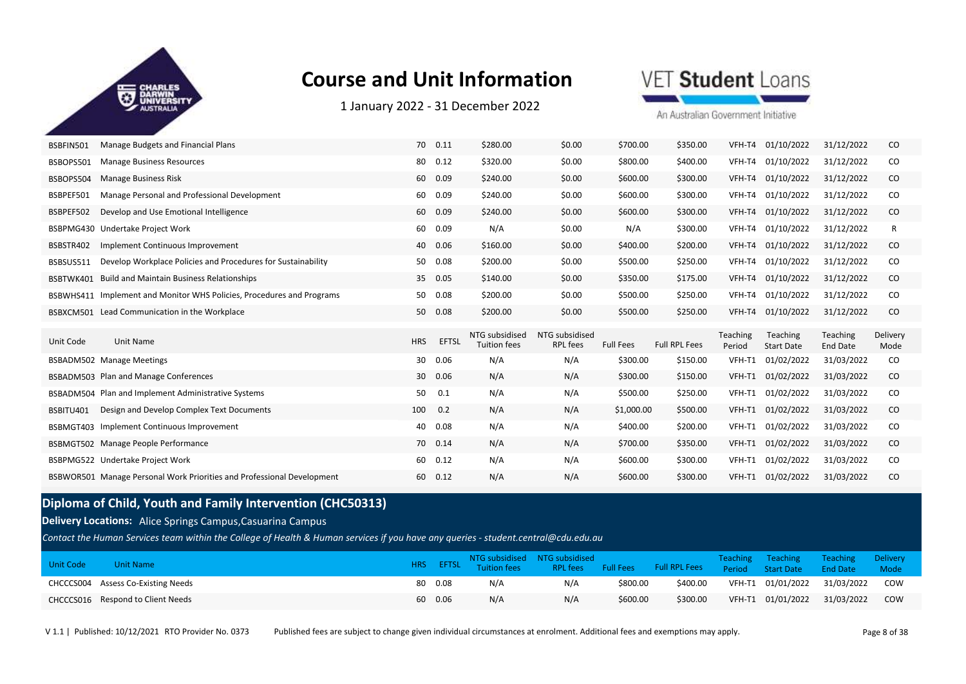

1 January 2022 ‐ 31 December 2022

VET Student Loans

An Australian Government Initiative

| BSBFIN501 | Manage Budgets and Financial Plans                           |            | 70 0.11      | \$280.00                              | \$0.00                            | \$700.00         | \$350.00             | VFH-T4             | 01/10/2022                    | 31/12/2022           | CO               |
|-----------|--------------------------------------------------------------|------------|--------------|---------------------------------------|-----------------------------------|------------------|----------------------|--------------------|-------------------------------|----------------------|------------------|
| BSBOPS501 | <b>Manage Business Resources</b>                             | 80         | 0.12         | \$320.00                              | \$0.00                            | \$800.00         | \$400.00             | VFH-T4             | 01/10/2022                    | 31/12/2022           | CO               |
| BSBOPS504 | <b>Manage Business Risk</b>                                  | 60         | 0.09         | \$240.00                              | \$0.00                            | \$600.00         | \$300.00             | VFH-T4             | 01/10/2022                    | 31/12/2022           | CO               |
| BSBPEF501 | Manage Personal and Professional Development                 | 60         | 0.09         | \$240.00                              | \$0.00                            | \$600.00         | \$300.00             | VFH-T4             | 01/10/2022                    | 31/12/2022           | CO               |
| BSBPEF502 | Develop and Use Emotional Intelligence                       | 60         | 0.09         | \$240.00                              | \$0.00                            | \$600.00         | \$300.00             | VFH-T4             | 01/10/2022                    | 31/12/2022           | CO               |
| BSBPMG430 | Undertake Project Work                                       | 60         | 0.09         | N/A                                   | \$0.00                            | N/A              | \$300.00             | VFH-T4             | 01/10/2022                    | 31/12/2022           | R                |
| BSBSTR402 | Implement Continuous Improvement                             |            | 40 0.06      | \$160.00                              | \$0.00                            | \$400.00         | \$200.00             | VFH-T4             | 01/10/2022                    | 31/12/2022           | CO               |
| BSBSUS511 | Develop Workplace Policies and Procedures for Sustainability | 50         | 0.08         | \$200.00                              | \$0.00                            | \$500.00         | \$250.00             | VFH-T4             | 01/10/2022                    | 31/12/2022           | CO               |
| BSBTWK401 | <b>Build and Maintain Business Relationships</b>             |            | 35 0.05      | \$140.00                              | \$0.00                            | \$350.00         | \$175.00             | VFH-T4             | 01/10/2022                    | 31/12/2022           | CO               |
| BSBWHS411 | Implement and Monitor WHS Policies, Procedures and Programs  |            | 50 0.08      | \$200.00                              | \$0.00                            | \$500.00         | \$250.00             | VFH-T4             | 01/10/2022                    | 31/12/2022           | CO               |
|           |                                                              |            |              |                                       |                                   |                  |                      |                    |                               |                      |                  |
|           | BSBXCM501 Lead Communication in the Workplace                |            | 50 0.08      | \$200.00                              | \$0.00                            | \$500.00         | \$250.00             | VFH-T4             | 01/10/2022                    | 31/12/2022           | CO               |
| Unit Code | Unit Name                                                    | <b>HRS</b> | <b>EFTSL</b> | NTG subsidised<br><b>Tuition fees</b> | NTG subsidised<br><b>RPL</b> fees | <b>Full Fees</b> | <b>Full RPL Fees</b> | Teaching<br>Period | Teaching<br><b>Start Date</b> | Teaching<br>End Date | Delivery<br>Mode |
|           | BSBADM502 Manage Meetings                                    | 30         | 0.06         | N/A                                   | N/A                               | \$300.00         | \$150.00             | VFH-T1             | 01/02/2022                    | 31/03/2022           | CO               |
|           | BSBADM503 Plan and Manage Conferences                        |            | 30 0.06      | N/A                                   | N/A                               | \$300.00         | \$150.00             | VFH-T1             | 01/02/2022                    | 31/03/2022           | CO               |
|           | BSBADM504 Plan and Implement Administrative Systems          | 50         | 0.1          | N/A                                   | N/A                               | \$500.00         | \$250.00             | VFH-T1             | 01/02/2022                    | 31/03/2022           | CO               |
| BSBITU401 | Design and Develop Complex Text Documents                    | 100        | 0.2          | N/A                                   | N/A                               | \$1,000.00       | \$500.00             | VFH-T1             | 01/02/2022                    | 31/03/2022           | CO               |
|           | BSBMGT403 Implement Continuous Improvement                   | 40         | 0.08         | N/A                                   | N/A                               | \$400.00         | \$200.00             | VFH-T1             | 01/02/2022                    | 31/03/2022           | CO               |
|           | BSBMGT502 Manage People Performance                          |            | 70 0.14      | N/A                                   | N/A                               | \$700.00         | \$350.00             | VFH-T1             | 01/02/2022                    | 31/03/2022           | CO               |
|           | BSBPMG522 Undertake Project Work                             | 60         | 0.12         | N/A                                   | N/A                               | \$600.00         | \$300.00             | VFH-T1             | 01/02/2022                    | 31/03/2022           | CO               |

### **Diploma of Child, Youth and Family Intervention (CHC50313)**

**Delivery Locations:** Alice Springs Campus,Casuarina Campus

*Contact the Human Services team within the College of Health & Human services if you have any queries - student.central@cdu.edu.au*

| <b>Unit Code</b> | <b>Unit Name</b>                   |          | <b>EXAMPLE INTO Subsidised NTG subsidised For SEARY STARY THE SUBSET SUBSET SEARCH THE STARY STARY STARY STARY STARY STARY STARY STARY STARY STARY STARY STARY STARY STARY STARY STARY STARY STARY STARY STARY STARY STARY STARY</b> |     |          |          | Teaching Teaching<br>Period Start Date End Date | <b>Example Server Teaching Delivery</b> | <b>Mode</b> |
|------------------|------------------------------------|----------|--------------------------------------------------------------------------------------------------------------------------------------------------------------------------------------------------------------------------------------|-----|----------|----------|-------------------------------------------------|-----------------------------------------|-------------|
|                  | CHCCCS004 Assess Co-Existing Needs | 80  0.08 | N/A                                                                                                                                                                                                                                  | N/A | \$800.00 | \$400.00 | VFH-T1 01/01/2022 31/03/2022                    |                                         | COW         |
|                  | CHCCCS016 Respond to Client Needs  | 60 0.06  | N/A                                                                                                                                                                                                                                  | N/A | \$600.00 | \$300.00 | VFH-T1 01/01/2022 31/03/2022                    |                                         | COW         |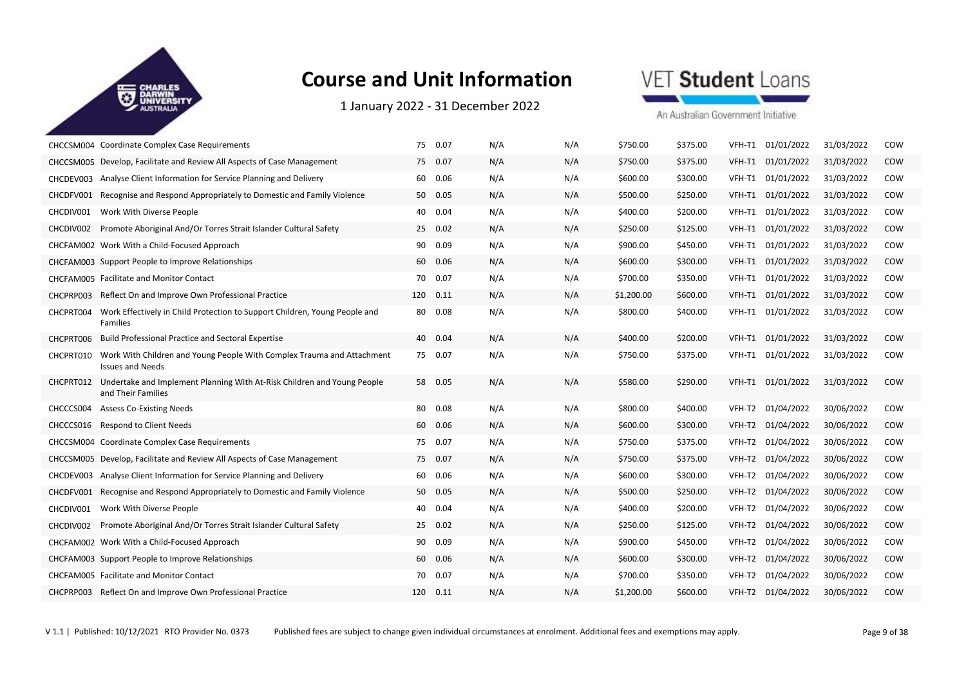

1 January 2022 ‐ 31 December 2022



|           | CHCCSM004 Coordinate Complex Case Requirements                                                    |    | 75 0.07  | N/A | N/A | \$750.00   | \$375.00 | VFH-T1 | 01/01/2022        | 31/03/2022 | COW        |
|-----------|---------------------------------------------------------------------------------------------------|----|----------|-----|-----|------------|----------|--------|-------------------|------------|------------|
|           | CHCCSM005 Develop, Facilitate and Review All Aspects of Case Management                           | 75 | 0.07     | N/A | N/A | \$750.00   | \$375.00 | VFH-T1 | 01/01/2022        | 31/03/2022 | COW        |
| CHCDEV003 | Analyse Client Information for Service Planning and Delivery                                      | 60 | 0.06     | N/A | N/A | \$600.00   | \$300.00 | VFH-T1 | 01/01/2022        | 31/03/2022 | COW        |
| CHCDFV001 | Recognise and Respond Appropriately to Domestic and Family Violence                               |    | 50 0.05  | N/A | N/A | \$500.00   | \$250.00 | VFH-T1 | 01/01/2022        | 31/03/2022 | COW        |
| CHCDIV001 | Work With Diverse People                                                                          | 40 | 0.04     | N/A | N/A | \$400.00   | \$200.00 | VFH-T1 | 01/01/2022        | 31/03/2022 | COW        |
| CHCDIV002 | Promote Aboriginal And/Or Torres Strait Islander Cultural Safety                                  |    | 25 0.02  | N/A | N/A | \$250.00   | \$125.00 | VFH-T1 | 01/01/2022        | 31/03/2022 | COW        |
|           | CHCFAM002 Work With a Child-Focused Approach                                                      |    | 90 0.09  | N/A | N/A | \$900.00   | \$450.00 |        | VFH-T1 01/01/2022 | 31/03/2022 | COW        |
|           | CHCFAM003 Support People to Improve Relationships                                                 | 60 | 0.06     | N/A | N/A | \$600.00   | \$300.00 | VFH-T1 | 01/01/2022        | 31/03/2022 | <b>COW</b> |
|           | CHCFAM005 Facilitate and Monitor Contact                                                          | 70 | 0.07     | N/A | N/A | \$700.00   | \$350.00 | VFH-T1 | 01/01/2022        | 31/03/2022 | COW        |
| CHCPRP003 | Reflect On and Improve Own Professional Practice                                                  |    | 120 0.11 | N/A | N/A | \$1,200.00 | \$600.00 |        | VFH-T1 01/01/2022 | 31/03/2022 | COW        |
| CHCPRT004 | Work Effectively in Child Protection to Support Children, Young People and<br>Families            | 80 | 0.08     | N/A | N/A | \$800.00   | \$400.00 | VFH-T1 | 01/01/2022        | 31/03/2022 | COW        |
| CHCPRT006 | <b>Build Professional Practice and Sectoral Expertise</b>                                         | 40 | 0.04     | N/A | N/A | \$400.00   | \$200.00 | VFH-T1 | 01/01/2022        | 31/03/2022 | COW        |
| CHCPRT010 | Work With Children and Young People With Complex Trauma and Attachment<br><b>Issues and Needs</b> |    | 75 0.07  | N/A | N/A | \$750.00   | \$375.00 |        | VFH-T1 01/01/2022 | 31/03/2022 | COW        |
| CHCPRT012 | Undertake and Implement Planning With At-Risk Children and Young People<br>and Their Families     |    | 58 0.05  | N/A | N/A | \$580.00   | \$290.00 |        | VFH-T1 01/01/2022 | 31/03/2022 | COW        |
| CHCCCS004 | <b>Assess Co-Existing Needs</b>                                                                   | 80 | 0.08     | N/A | N/A | \$800.00   | \$400.00 | VFH-T2 | 01/04/2022        | 30/06/2022 | COW        |
| CHCCCS016 | <b>Respond to Client Needs</b>                                                                    | 60 | 0.06     | N/A | N/A | \$600.00   | \$300.00 | VFH-T2 | 01/04/2022        | 30/06/2022 | COW        |
|           | CHCCSM004 Coordinate Complex Case Requirements                                                    |    | 75 0.07  | N/A | N/A | \$750.00   | \$375.00 | VFH-T2 | 01/04/2022        | 30/06/2022 | COW        |
|           | CHCCSM005 Develop, Facilitate and Review All Aspects of Case Management                           | 75 | 0.07     | N/A | N/A | \$750.00   | \$375.00 | VFH-T2 | 01/04/2022        | 30/06/2022 | COW        |
| CHCDEV003 | Analyse Client Information for Service Planning and Delivery                                      | 60 | 0.06     | N/A | N/A | \$600.00   | \$300.00 | VFH-T2 | 01/04/2022        | 30/06/2022 | COW        |
| CHCDFV001 | Recognise and Respond Appropriately to Domestic and Family Violence                               |    | 50 0.05  | N/A | N/A | \$500.00   | \$250.00 | VFH-T2 | 01/04/2022        | 30/06/2022 | COW        |
| CHCDIV001 | Work With Diverse People                                                                          | 40 | 0.04     | N/A | N/A | \$400.00   | \$200.00 | VFH-T2 | 01/04/2022        | 30/06/2022 | COW        |
| CHCDIV002 | Promote Aboriginal And/Or Torres Strait Islander Cultural Safety                                  |    | 25 0.02  | N/A | N/A | \$250.00   | \$125.00 | VFH-T2 | 01/04/2022        | 30/06/2022 | COW        |
|           | CHCFAM002 Work With a Child-Focused Approach                                                      |    | 90 0.09  | N/A | N/A | \$900.00   | \$450.00 | VFH-T2 | 01/04/2022        | 30/06/2022 | COW        |
|           | CHCFAM003 Support People to Improve Relationships                                                 | 60 | 0.06     | N/A | N/A | \$600.00   | \$300.00 | VFH-T2 | 01/04/2022        | 30/06/2022 | COW        |
|           | CHCFAM005 Facilitate and Monitor Contact                                                          | 70 | 0.07     | N/A | N/A | \$700.00   | \$350.00 | VFH-T2 | 01/04/2022        | 30/06/2022 | COW        |
|           | CHCPRP003 Reflect On and Improve Own Professional Practice                                        |    | 120 0.11 | N/A | N/A | \$1,200.00 | \$600.00 |        | VFH-T2 01/04/2022 | 30/06/2022 | COW        |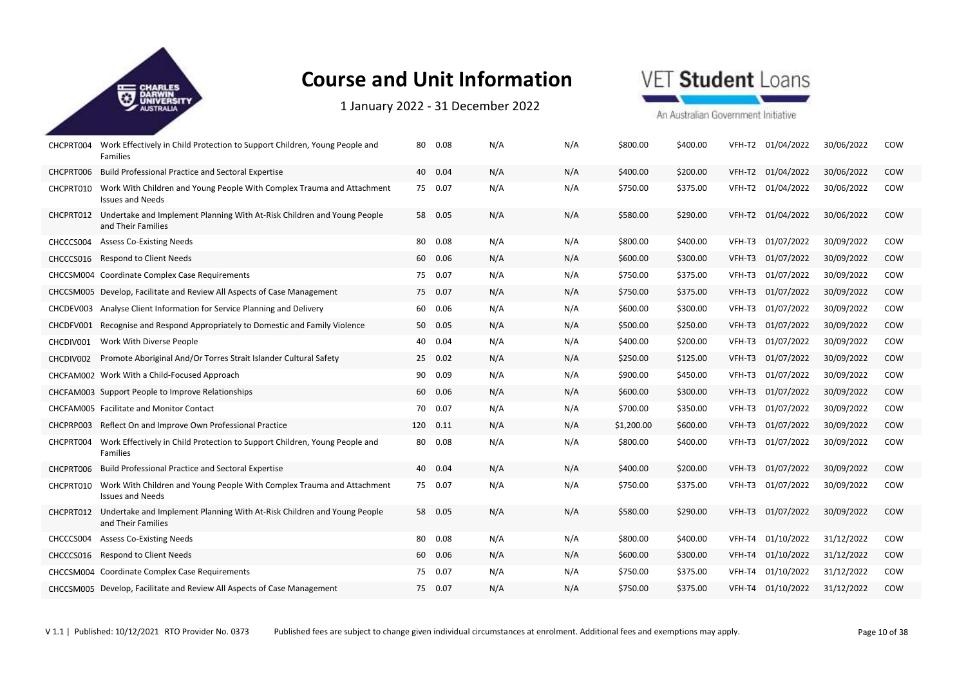

1 January 2022 ‐ 31 December 2022

## VET Student Loans

| CHCPRT004 | Work Effectively in Child Protection to Support Children, Young People and<br>Families            | 80 | 0.08     | N/A | N/A | \$800.00   | \$400.00 |        | VFH-T2 01/04/2022 | 30/06/2022 | COW        |
|-----------|---------------------------------------------------------------------------------------------------|----|----------|-----|-----|------------|----------|--------|-------------------|------------|------------|
| CHCPRT006 | <b>Build Professional Practice and Sectoral Expertise</b>                                         |    | 40 0.04  | N/A | N/A | \$400.00   | \$200.00 | VFH-T2 | 01/04/2022        | 30/06/2022 | COW        |
| CHCPRT010 | Work With Children and Young People With Complex Trauma and Attachment<br><b>Issues and Needs</b> |    | 75 0.07  | N/A | N/A | \$750.00   | \$375.00 | VFH-T2 | 01/04/2022        | 30/06/2022 | COW        |
| CHCPRT012 | Undertake and Implement Planning With At-Risk Children and Young People<br>and Their Families     |    | 58 0.05  | N/A | N/A | \$580.00   | \$290.00 | VFH-T2 | 01/04/2022        | 30/06/2022 | COW        |
| CHCCCS004 | <b>Assess Co-Existing Needs</b>                                                                   | 80 | 0.08     | N/A | N/A | \$800.00   | \$400.00 | VFH-T3 | 01/07/2022        | 30/09/2022 | COW        |
| CHCCCS016 | <b>Respond to Client Needs</b>                                                                    |    | 60 0.06  | N/A | N/A | \$600.00   | \$300.00 | VFH-T3 | 01/07/2022        | 30/09/2022 | COW        |
|           | CHCCSM004 Coordinate Complex Case Requirements                                                    |    | 75 0.07  | N/A | N/A | \$750.00   | \$375.00 | VFH-T3 | 01/07/2022        | 30/09/2022 | COW        |
|           | CHCCSM005 Develop, Facilitate and Review All Aspects of Case Management                           |    | 75 0.07  | N/A | N/A | \$750.00   | \$375.00 | VFH-T3 | 01/07/2022        | 30/09/2022 | <b>COW</b> |
| CHCDEV003 | Analyse Client Information for Service Planning and Delivery                                      | 60 | 0.06     | N/A | N/A | \$600.00   | \$300.00 | VFH-T3 | 01/07/2022        | 30/09/2022 | COW        |
| CHCDFV001 | Recognise and Respond Appropriately to Domestic and Family Violence                               |    | 50 0.05  | N/A | N/A | \$500.00   | \$250.00 | VFH-T3 | 01/07/2022        | 30/09/2022 | COW        |
| CHCDIV001 | Work With Diverse People                                                                          | 40 | 0.04     | N/A | N/A | \$400.00   | \$200.00 | VFH-T3 | 01/07/2022        | 30/09/2022 | COW        |
| CHCDIV002 | Promote Aboriginal And/Or Torres Strait Islander Cultural Safety                                  | 25 | 0.02     | N/A | N/A | \$250.00   | \$125.00 | VFH-T3 | 01/07/2022        | 30/09/2022 | COW        |
|           | CHCFAM002 Work With a Child-Focused Approach                                                      | 90 | 0.09     | N/A | N/A | \$900.00   | \$450.00 | VFH-T3 | 01/07/2022        | 30/09/2022 | COW        |
|           | CHCFAM003 Support People to Improve Relationships                                                 |    | 60 0.06  | N/A | N/A | \$600.00   | \$300.00 | VFH-T3 | 01/07/2022        | 30/09/2022 | COW        |
|           | CHCFAM005 Facilitate and Monitor Contact                                                          | 70 | 0.07     | N/A | N/A | \$700.00   | \$350.00 | VFH-T3 | 01/07/2022        | 30/09/2022 | COW        |
| CHCPRP003 | Reflect On and Improve Own Professional Practice                                                  |    | 120 0.11 | N/A | N/A | \$1,200.00 | \$600.00 | VFH-T3 | 01/07/2022        | 30/09/2022 | COW        |
| CHCPRT004 | Work Effectively in Child Protection to Support Children, Young People and<br>Families            |    | 80  0.08 | N/A | N/A | \$800.00   | \$400.00 | VFH-T3 | 01/07/2022        | 30/09/2022 | COW        |
| CHCPRT006 | <b>Build Professional Practice and Sectoral Expertise</b>                                         |    | 40 0.04  | N/A | N/A | \$400.00   | \$200.00 | VFH-T3 | 01/07/2022        | 30/09/2022 | COW        |
| CHCPRT010 | Work With Children and Young People With Complex Trauma and Attachment<br><b>Issues and Needs</b> |    | 75 0.07  | N/A | N/A | \$750.00   | \$375.00 | VFH-T3 | 01/07/2022        | 30/09/2022 | COW        |
| CHCPRT012 | Undertake and Implement Planning With At-Risk Children and Young People<br>and Their Families     |    | 58 0.05  | N/A | N/A | \$580.00   | \$290.00 | VFH-T3 | 01/07/2022        | 30/09/2022 | COW        |
| CHCCCS004 | <b>Assess Co-Existing Needs</b>                                                                   | 80 | 0.08     | N/A | N/A | \$800.00   | \$400.00 | VFH-T4 | 01/10/2022        | 31/12/2022 | COW        |
| CHCCCS016 | <b>Respond to Client Needs</b>                                                                    | 60 | 0.06     | N/A | N/A | \$600.00   | \$300.00 | VFH-T4 | 01/10/2022        | 31/12/2022 | COW        |
|           | CHCCSM004 Coordinate Complex Case Requirements                                                    |    | 75 0.07  | N/A | N/A | \$750.00   | \$375.00 | VFH-T4 | 01/10/2022        | 31/12/2022 | COW        |
|           | CHCCSM005 Develop, Facilitate and Review All Aspects of Case Management                           |    | 75 0.07  | N/A | N/A | \$750.00   | \$375.00 | VFH-T4 | 01/10/2022        | 31/12/2022 | COW        |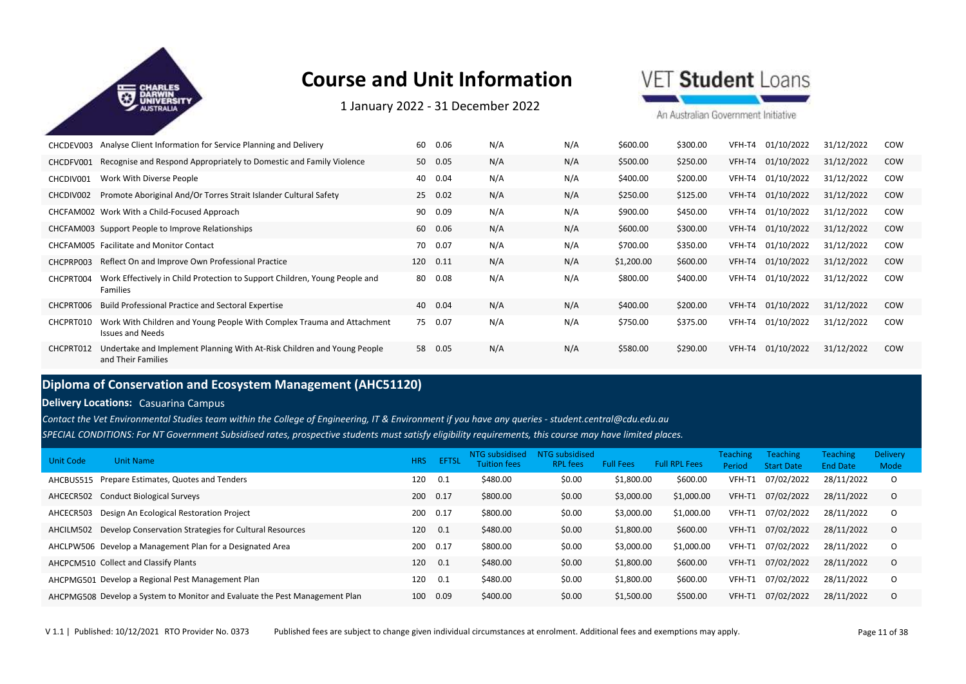

1 January 2022 ‐ 31 December 2022

VET Student Loans

An Australian Government Initiative

| CHCDEV003 | Analyse Client Information for Service Planning and Delivery                                      | 60  | 0.06    | N/A | N/A | \$600.00   | \$300.00 | VFH-T4 | 01/10/2022 | 31/12/2022 | COW        |
|-----------|---------------------------------------------------------------------------------------------------|-----|---------|-----|-----|------------|----------|--------|------------|------------|------------|
| CHCDFV001 | Recognise and Respond Appropriately to Domestic and Family Violence                               |     | 50 0.05 | N/A | N/A | \$500.00   | \$250.00 | VFH-T4 | 01/10/2022 | 31/12/2022 | <b>COW</b> |
| CHCDIV001 | Work With Diverse People                                                                          | 40  | 0.04    | N/A | N/A | \$400.00   | \$200.00 | VFH-T4 | 01/10/2022 | 31/12/2022 | COW        |
| CHCDIV002 | Promote Aboriginal And/Or Torres Strait Islander Cultural Safety                                  | 25  | 0.02    | N/A | N/A | \$250.00   | \$125.00 | VFH-T4 | 01/10/2022 | 31/12/2022 | <b>COW</b> |
|           | CHCFAM002 Work With a Child-Focused Approach                                                      | 90  | 0.09    | N/A | N/A | \$900.00   | \$450.00 | VFH-T4 | 01/10/2022 | 31/12/2022 | COW        |
|           | CHCFAM003 Support People to Improve Relationships                                                 | 60  | 0.06    | N/A | N/A | \$600.00   | \$300.00 | VFH-T4 | 01/10/2022 | 31/12/2022 | <b>COW</b> |
|           | CHCFAM005 Facilitate and Monitor Contact                                                          | 70  | 0.07    | N/A | N/A | \$700.00   | \$350.00 | VFH-T4 | 01/10/2022 | 31/12/2022 | COW        |
| CHCPRP003 | Reflect On and Improve Own Professional Practice                                                  | 120 | 0.11    | N/A | N/A | \$1,200.00 | \$600.00 | VFH-T4 | 01/10/2022 | 31/12/2022 | <b>COW</b> |
| CHCPRT004 | Work Effectively in Child Protection to Support Children, Young People and<br><b>Families</b>     | 80  | 0.08    | N/A | N/A | \$800.00   | \$400.00 | VFH-T4 | 01/10/2022 | 31/12/2022 | COW        |
| CHCPRT006 | <b>Build Professional Practice and Sectoral Expertise</b>                                         | 40  | 0.04    | N/A | N/A | \$400.00   | \$200.00 | VFH-T4 | 01/10/2022 | 31/12/2022 | <b>COW</b> |
| CHCPRT010 | Work With Children and Young People With Complex Trauma and Attachment<br><b>Issues and Needs</b> | 75  | 0.07    | N/A | N/A | \$750.00   | \$375.00 | VFH-T4 | 01/10/2022 | 31/12/2022 | COW        |
| CHCPRT012 | Undertake and Implement Planning With At-Risk Children and Young People<br>and Their Families     | 58  | 0.05    | N/A | N/A | \$580.00   | \$290.00 | VFH-T4 | 01/10/2022 | 31/12/2022 | <b>COW</b> |

### **Diploma of Conservation and Ecosystem Management (AHC51120)**

**Delivery Locations:** Casuarina Campus

*Contact the Vet Environmental Studies team within the College of Engineering, IT & Environment if you have any queries - student.central@cdu.edu.au*

*SPECIAL CONDITIONS: For NT Government Subsidised rates, prospective students must satisfy eligibility requirements, this course may have limited places.* 

| <b>Unit Code</b> | <b>Unit Name</b>                                                            | <b>HRS</b> | <b>EFTSL</b> | NTG subsidised<br><b>Tuition fees</b> | NTG subsidised<br><b>RPL</b> fees | <b>Full Fees</b> | <b>Full RPL Fees</b> | <b>Teaching</b><br>Period | <b>Teaching</b><br><b>Start Date</b> | <b>Teaching</b><br><b>End Date</b> | <b>Delivery</b><br>Mode |
|------------------|-----------------------------------------------------------------------------|------------|--------------|---------------------------------------|-----------------------------------|------------------|----------------------|---------------------------|--------------------------------------|------------------------------------|-------------------------|
| AHCBUS515        | Prepare Estimates, Quotes and Tenders                                       | 120        | 0.1          | \$480.00                              | \$0.00                            | \$1,800.00       | \$600.00             | VFH-T1                    | 07/02/2022                           | 28/11/2022                         | $\circ$                 |
| AHCECR502        | <b>Conduct Biological Surveys</b>                                           | 200        | 0.17         | \$800.00                              | \$0.00                            | \$3,000.00       | \$1,000.00           | VFH-T1                    | 07/02/2022                           | 28/11/2022                         | $\circ$                 |
| AHCECR503        | Design An Ecological Restoration Project                                    | 200        | 0.17         | \$800.00                              | \$0.00                            | \$3,000.00       | \$1,000.00           | VFH-T1                    | 07/02/2022                           | 28/11/2022                         | $\circ$                 |
| AHCILM502        | Develop Conservation Strategies for Cultural Resources                      | 120        | 0.1          | \$480.00                              | \$0.00                            | \$1,800.00       | \$600.00             | VFH-T1                    | 07/02/2022                           | 28/11/2022                         | $\circ$                 |
|                  | AHCLPW506 Develop a Management Plan for a Designated Area                   | 200        | 0.17         | \$800.00                              | \$0.00                            | \$3,000.00       | \$1,000.00           | VFH-T1                    | 07/02/2022                           | 28/11/2022                         | $\circ$                 |
|                  | AHCPCM510 Collect and Classify Plants                                       | 120        | 0.1          | \$480.00                              | \$0.00                            | \$1,800.00       | \$600.00             | VFH-T1                    | 07/02/2022                           | 28/11/2022                         | $\Omega$                |
|                  | AHCPMG501 Develop a Regional Pest Management Plan                           | 120        | 0.1          | \$480.00                              | \$0.00                            | \$1,800.00       | \$600.00             | VFH-T1                    | 07/02/2022                           | 28/11/2022                         | $\Omega$                |
|                  | AHCPMG508 Develop a System to Monitor and Evaluate the Pest Management Plan | 100        | 0.09         | \$400.00                              | \$0.00                            | \$1,500.00       | \$500.00             | VFH-T1                    | 07/02/2022                           | 28/11/2022                         | $\Omega$                |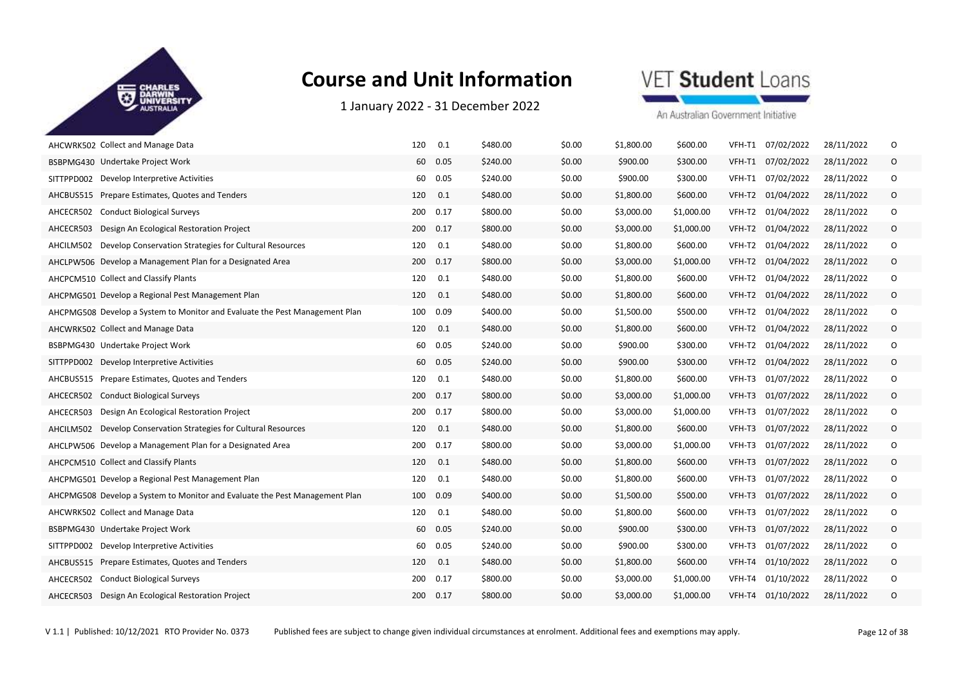

1 January 2022 ‐ 31 December 2022



| AHCWRK502 Collect and Manage Data                                           | 0.1<br>120  | \$480.00 | \$0.00 | \$1,800.00 | \$600.00   | VFH-T1 07/02/2022    | 28/11/2022 | 0       |
|-----------------------------------------------------------------------------|-------------|----------|--------|------------|------------|----------------------|------------|---------|
| BSBPMG430 Undertake Project Work                                            | 0.05<br>60  | \$240.00 | \$0.00 | \$900.00   | \$300.00   | VFH-T1 07/02/2022    | 28/11/2022 | $\circ$ |
| SITTPPD002 Develop Interpretive Activities                                  | 60<br>0.05  | \$240.00 | \$0.00 | \$900.00   | \$300.00   | VFH-T1 07/02/2022    | 28/11/2022 | O       |
| AHCBUS515<br>Prepare Estimates, Quotes and Tenders                          | 120<br>0.1  | \$480.00 | \$0.00 | \$1,800.00 | \$600.00   | VFH-T2 01/04/2022    | 28/11/2022 | O       |
| <b>Conduct Biological Surveys</b><br>AHCECR502                              | 0.17<br>200 | \$800.00 | \$0.00 | \$3,000.00 | \$1,000.00 | VFH-T2<br>01/04/2022 | 28/11/2022 | 0       |
| Design An Ecological Restoration Project<br>AHCECR503                       | 0.17<br>200 | \$800.00 | \$0.00 | \$3,000.00 | \$1,000.00 | VFH-T2 01/04/2022    | 28/11/2022 | 0       |
| Develop Conservation Strategies for Cultural Resources<br>AHCILM502         | 0.1<br>120  | \$480.00 | \$0.00 | \$1,800.00 | \$600.00   | VFH-T2 01/04/2022    | 28/11/2022 | 0       |
| AHCLPW506 Develop a Management Plan for a Designated Area                   | 0.17<br>200 | \$800.00 | \$0.00 | \$3,000.00 | \$1,000.00 | VFH-T2 01/04/2022    | 28/11/2022 | $\circ$ |
| AHCPCM510 Collect and Classify Plants                                       | 120<br>0.1  | \$480.00 | \$0.00 | \$1,800.00 | \$600.00   | 01/04/2022<br>VFH-T2 | 28/11/2022 | 0       |
| AHCPMG501 Develop a Regional Pest Management Plan                           | 120<br>0.1  | \$480.00 | \$0.00 | \$1,800.00 | \$600.00   | VFH-T2 01/04/2022    | 28/11/2022 | $\circ$ |
| AHCPMG508 Develop a System to Monitor and Evaluate the Pest Management Plan | 0.09<br>100 | \$400.00 | \$0.00 | \$1,500.00 | \$500.00   | VFH-T2<br>01/04/2022 | 28/11/2022 | 0       |
| AHCWRK502 Collect and Manage Data                                           | 120<br>0.1  | \$480.00 | \$0.00 | \$1,800.00 | \$600.00   | VFH-T2 01/04/2022    | 28/11/2022 | 0       |
| BSBPMG430 Undertake Project Work                                            | 0.05<br>60  | \$240.00 | \$0.00 | \$900.00   | \$300.00   | VFH-T2 01/04/2022    | 28/11/2022 | 0       |
| SITTPPD002 Develop Interpretive Activities                                  | 60<br>0.05  | \$240.00 | \$0.00 | \$900.00   | \$300.00   | VFH-T2<br>01/04/2022 | 28/11/2022 | 0       |
| AHCBUS515 Prepare Estimates, Quotes and Tenders                             | 120<br>0.1  | \$480.00 | \$0.00 | \$1,800.00 | \$600.00   | VFH-T3<br>01/07/2022 | 28/11/2022 | O       |
| <b>Conduct Biological Surveys</b><br>AHCECR502                              | 200<br>0.17 | \$800.00 | \$0.00 | \$3,000.00 | \$1,000.00 | VFH-T3 01/07/2022    | 28/11/2022 | 0       |
| Design An Ecological Restoration Project<br>AHCECR503                       | 200<br>0.17 | \$800.00 | \$0.00 | \$3,000.00 | \$1,000.00 | VFH-T3<br>01/07/2022 | 28/11/2022 | 0       |
| AHCILM502<br>Develop Conservation Strategies for Cultural Resources         | 0.1<br>120  | \$480.00 | \$0.00 | \$1,800.00 | \$600.00   | VFH-T3 01/07/2022    | 28/11/2022 | 0       |
| AHCLPW506 Develop a Management Plan for a Designated Area                   | 0.17<br>200 | \$800.00 | \$0.00 | \$3,000.00 | \$1,000.00 | 01/07/2022<br>VFH-T3 | 28/11/2022 | 0       |
| AHCPCM510 Collect and Classify Plants                                       | 0.1<br>120  | \$480.00 | \$0.00 | \$1,800.00 | \$600.00   | VFH-T3<br>01/07/2022 | 28/11/2022 | $\circ$ |
| AHCPMG501 Develop a Regional Pest Management Plan                           | 120<br>0.1  | \$480.00 | \$0.00 | \$1,800.00 | \$600.00   | VFH-T3<br>01/07/2022 | 28/11/2022 | O       |
| AHCPMG508 Develop a System to Monitor and Evaluate the Pest Management Plan | 0.09<br>100 | \$400.00 | \$0.00 | \$1,500.00 | \$500.00   | VFH-T3 01/07/2022    | 28/11/2022 | $\circ$ |
| AHCWRK502 Collect and Manage Data                                           | 0.1<br>120  | \$480.00 | \$0.00 | \$1,800.00 | \$600.00   | VFH-T3<br>01/07/2022 | 28/11/2022 | O       |
| BSBPMG430 Undertake Project Work                                            | 0.05<br>60  | \$240.00 | \$0.00 | \$900.00   | \$300.00   | VFH-T3<br>01/07/2022 | 28/11/2022 | $\circ$ |
| SITTPPD002 Develop Interpretive Activities                                  | 60<br>0.05  | \$240.00 | \$0.00 | \$900.00   | \$300.00   | VFH-T3<br>01/07/2022 | 28/11/2022 | 0       |
| AHCBUS515 Prepare Estimates, Quotes and Tenders                             | 120<br>0.1  | \$480.00 | \$0.00 | \$1,800.00 | \$600.00   | VFH-T4<br>01/10/2022 | 28/11/2022 | $\circ$ |
| AHCECR502 Conduct Biological Surveys                                        | 200<br>0.17 | \$800.00 | \$0.00 | \$3,000.00 | \$1,000.00 | VFH-T4<br>01/10/2022 | 28/11/2022 | 0       |
| AHCECR503 Design An Ecological Restoration Project                          | 0.17<br>200 | \$800.00 | \$0.00 | \$3,000.00 | \$1,000.00 | VFH-T4 01/10/2022    | 28/11/2022 | $\circ$ |
|                                                                             |             |          |        |            |            |                      |            |         |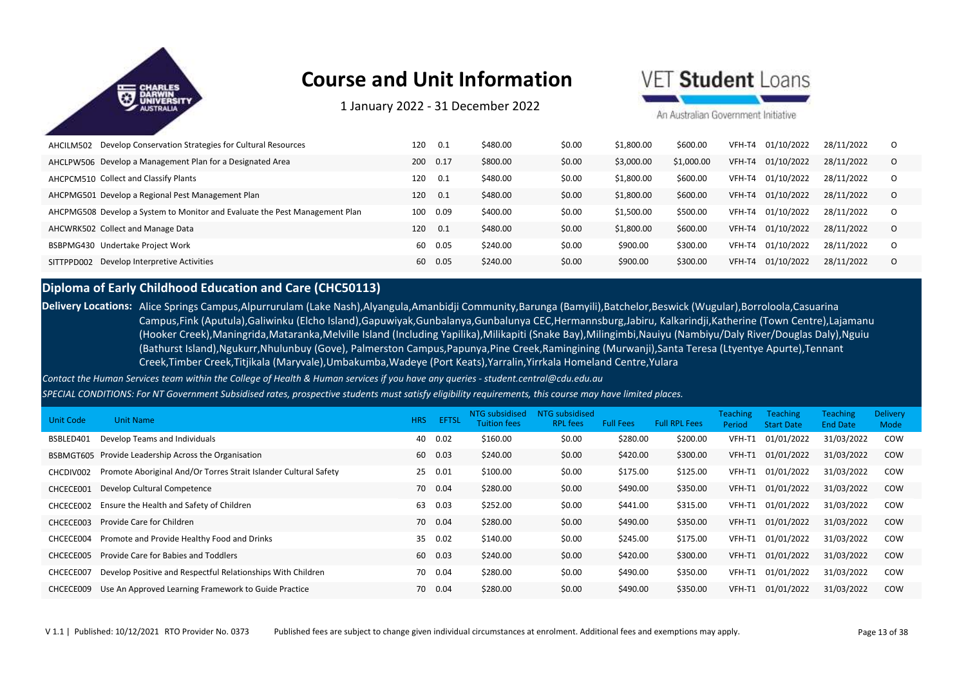

1 January 2022 ‐ 31 December 2022

### /FT Student Loans

An Australian Government Initiative

| Develop Conservation Strategies for Cultural Resources<br>AHCILM502         | 120 | 0.1  | \$480.00 | \$0.00 | \$1,800.00 | \$600.00   | VFH-T4 | 01/10/2022 | 28/11/2022 | O        |
|-----------------------------------------------------------------------------|-----|------|----------|--------|------------|------------|--------|------------|------------|----------|
| AHCLPW506 Develop a Management Plan for a Designated Area                   | 200 | 0.17 | \$800.00 | \$0.00 | \$3,000.00 | \$1,000.00 | VFH-T4 | 01/10/2022 | 28/11/2022 | $\Omega$ |
| AHCPCM510 Collect and Classify Plants                                       | 120 | 0.1  | \$480.00 | \$0.00 | \$1,800.00 | \$600.00   | VFH-T4 | 01/10/2022 | 28/11/2022 | $\Omega$ |
| AHCPMG501 Develop a Regional Pest Management Plan                           | 120 | 0.1  | \$480.00 | \$0.00 | \$1,800.00 | \$600.00   | VFH-T4 | 01/10/2022 | 28/11/2022 | $\Omega$ |
| AHCPMG508 Develop a System to Monitor and Evaluate the Pest Management Plan | 100 | 0.09 | \$400.00 | \$0.00 | \$1,500.00 | \$500.00   | VFH-T4 | 01/10/2022 | 28/11/2022 | $\Omega$ |
| AHCWRK502 Collect and Manage Data                                           | 120 | 0.1  | \$480.00 | \$0.00 | \$1,800.00 | \$600.00   | VFH-T4 | 01/10/2022 | 28/11/2022 | O        |
| BSBPMG430 Undertake Project Work                                            | 60  | 0.05 | \$240.00 | \$0.00 | \$900.00   | \$300.00   | VFH-T4 | 01/10/2022 | 28/11/2022 | $\Omega$ |
| SITTPPD002 Develop Interpretive Activities                                  | 60  | 0.05 | \$240.00 | \$0.00 | \$900.00   | \$300.00   | VFH-T4 | 01/10/2022 | 28/11/2022 | $\Omega$ |

### **Diploma of Early Childhood Education and Care (CHC50113)**

**Delivery Locations:** Alice Springs Campus,Alpurrurulam (Lake Nash),Alyangula,Amanbidji Community,Barunga (Bamyili),Batchelor,Beswick (Wugular),Borroloola,Casuarina Campus,Fink (Aputula),Galiwinku (Elcho Island),Gapuwiyak,Gunbalanya,Gunbalunya CEC,Hermannsburg,Jabiru, Kalkarindji,Katherine (Town Centre),Lajamanu (Hooker Creek),Maningrida,Mataranka,Melville Island (Including Yapilika),Milikapiti (Snake Bay),Milingimbi,Nauiyu (Nambiyu/Daly River/Douglas Daly),Nguiu (Bathurst Island),Ngukurr,Nhulunbuy (Gove), Palmerston Campus,Papunya,Pine Creek,Ramingining (Murwanji),Santa Teresa (Ltyentye Apurte),Tennant Creek,Timber Creek,Titjikala (Maryvale),Umbakumba,Wadeye (Port Keats),Yarralin,Yirrkala Homeland Centre,Yulara

*Contact the Human Services team within the College of Health & Human services if you have any queries - student.central@cdu.edu.au*

*SPECIAL CONDITIONS: For NT Government Subsidised rates, prospective students must satisfy eligibility requirements, this course may have limited places.* 

| Unit Code | <b>Unit Name</b>                                                 | <b>HRS</b> | <b>EFTSL</b> | <b>NTG</b> subsidised<br><b>Tuition fees</b> | NTG subsidised<br><b>RPL</b> fees | <b>Full Fees</b> | <b>Full RPL Fees</b> | <b>Teaching</b><br>Period | <b>Teaching</b><br><b>Start Date</b> | <b>Teaching</b><br><b>End Date</b> | <b>Delivery</b><br>Mode |
|-----------|------------------------------------------------------------------|------------|--------------|----------------------------------------------|-----------------------------------|------------------|----------------------|---------------------------|--------------------------------------|------------------------------------|-------------------------|
| BSBLED401 | Develop Teams and Individuals                                    | 40         | 0.02         | \$160.00                                     | \$0.00                            | \$280.00         | \$200.00             | VFH-T1                    | 01/01/2022                           | 31/03/2022                         | COW                     |
|           | BSBMGT605 Provide Leadership Across the Organisation             | 60         | 0.03         | \$240.00                                     | \$0.00                            | \$420.00         | \$300.00             | VFH-T1                    | 01/01/2022                           | 31/03/2022                         | <b>COW</b>              |
| CHCDIV002 | Promote Aboriginal And/Or Torres Strait Islander Cultural Safety | 25         | 0.01         | \$100.00                                     | \$0.00                            | \$175.00         | \$125.00             | VFH-T1                    | 01/01/2022                           | 31/03/2022                         | COW                     |
| CHCECE001 | Develop Cultural Competence                                      | 70         | 0.04         | \$280.00                                     | \$0.00                            | \$490.00         | \$350.00             | VFH-T1                    | 01/01/2022                           | 31/03/2022                         | <b>COW</b>              |
| CHCECE002 | Ensure the Health and Safety of Children                         | 63         | 0.03         | \$252.00                                     | \$0.00                            | \$441.00         | \$315.00             | VFH-T1                    | 01/01/2022                           | 31/03/2022                         | COW                     |
| CHCECE003 | Provide Care for Children                                        | 70         | 0.04         | \$280.00                                     | \$0.00                            | \$490.00         | \$350.00             | VFH-T1                    | 01/01/2022                           | 31/03/2022                         | COW                     |
| CHCECE004 | Promote and Provide Healthy Food and Drinks                      | 35         | 0.02         | \$140.00                                     | \$0.00                            | \$245.00         | \$175.00             | VFH-T1                    | 01/01/2022                           | 31/03/2022                         | COW                     |
| CHCECE005 | Provide Care for Babies and Toddlers                             | 60         | 0.03         | \$240.00                                     | \$0.00                            | \$420.00         | \$300.00             | VFH-T1                    | 01/01/2022                           | 31/03/2022                         | <b>COW</b>              |
| CHCECE007 | Develop Positive and Respectful Relationships With Children      | 70         | 0.04         | \$280.00                                     | \$0.00                            | \$490.00         | \$350.00             | VFH-T1                    | 01/01/2022                           | 31/03/2022                         | COW                     |
| CHCECE009 | Use An Approved Learning Framework to Guide Practice             | 70         | 0.04         | \$280.00                                     | \$0.00                            | \$490.00         | \$350.00             | VFH-T1                    | 01/01/2022                           | 31/03/2022                         | COW                     |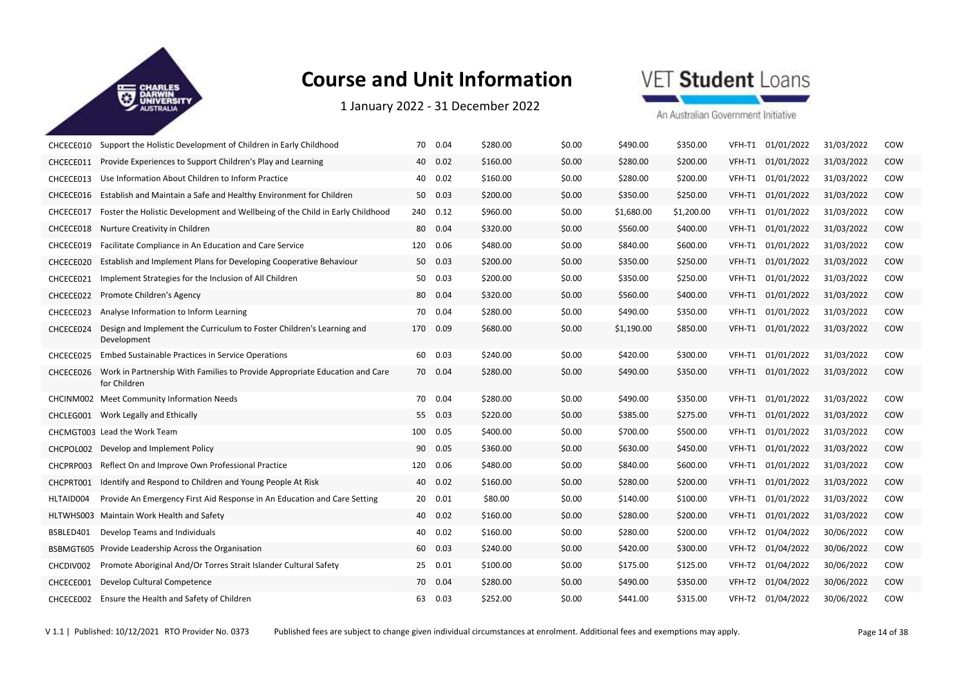

1 January 2022 ‐ 31 December 2022

## VET Student Loans

| CHCECE010 | Support the Holistic Development of Children in Early Childhood                             | 70  | 0.04    | \$280.00 | \$0.00 | \$490.00   | \$350.00   | VFH-T1 | 01/01/2022 | 31/03/2022 | COW |
|-----------|---------------------------------------------------------------------------------------------|-----|---------|----------|--------|------------|------------|--------|------------|------------|-----|
| CHCECE011 | Provide Experiences to Support Children's Play and Learning                                 | 40  | 0.02    | \$160.00 | \$0.00 | \$280.00   | \$200.00   | VFH-T1 | 01/01/2022 | 31/03/2022 | COW |
| CHCECE013 | Use Information About Children to Inform Practice                                           | 40  | 0.02    | \$160.00 | \$0.00 | \$280.00   | \$200.00   | VFH-T1 | 01/01/2022 | 31/03/2022 | COW |
| CHCECE016 | Establish and Maintain a Safe and Healthy Environment for Children                          | 50  | 0.03    | \$200.00 | \$0.00 | \$350.00   | \$250.00   | VFH-T1 | 01/01/2022 | 31/03/2022 | COW |
| CHCECE017 | Foster the Holistic Development and Wellbeing of the Child in Early Childhood               | 240 | 0.12    | \$960.00 | \$0.00 | \$1,680.00 | \$1,200.00 | VFH-T1 | 01/01/2022 | 31/03/2022 | COW |
| CHCECE018 | Nurture Creativity in Children                                                              | 80  | 0.04    | \$320.00 | \$0.00 | \$560.00   | \$400.00   | VFH-T1 | 01/01/2022 | 31/03/2022 | COW |
| CHCECE019 | Facilitate Compliance in An Education and Care Service                                      | 120 | 0.06    | \$480.00 | \$0.00 | \$840.00   | \$600.00   | VFH-T1 | 01/01/2022 | 31/03/2022 | COW |
| CHCECE020 | Establish and Implement Plans for Developing Cooperative Behaviour                          | 50  | 0.03    | \$200.00 | \$0.00 | \$350.00   | \$250.00   | VFH-T1 | 01/01/2022 | 31/03/2022 | COW |
| CHCECE021 | Implement Strategies for the Inclusion of All Children                                      | 50  | 0.03    | \$200.00 | \$0.00 | \$350.00   | \$250.00   | VFH-T1 | 01/01/2022 | 31/03/2022 | COW |
| CHCECE022 | Promote Children's Agency                                                                   |     | 80 0.04 | \$320.00 | \$0.00 | \$560.00   | \$400.00   | VFH-T1 | 01/01/2022 | 31/03/2022 | COW |
| CHCECE023 | Analyse Information to Inform Learning                                                      | 70  | 0.04    | \$280.00 | \$0.00 | \$490.00   | \$350.00   | VFH-T1 | 01/01/2022 | 31/03/2022 | COW |
| CHCECE024 | Design and Implement the Curriculum to Foster Children's Learning and<br>Development        | 170 | 0.09    | \$680.00 | \$0.00 | \$1,190.00 | \$850.00   | VFH-T1 | 01/01/2022 | 31/03/2022 | COW |
| CHCECE025 | <b>Embed Sustainable Practices in Service Operations</b>                                    | 60  | 0.03    | \$240.00 | \$0.00 | \$420.00   | \$300.00   | VFH-T1 | 01/01/2022 | 31/03/2022 | COW |
| CHCECE026 | Work in Partnership With Families to Provide Appropriate Education and Care<br>for Children |     | 70 0.04 | \$280.00 | \$0.00 | \$490.00   | \$350.00   | VFH-T1 | 01/01/2022 | 31/03/2022 | COW |
|           | CHCINM002 Meet Community Information Needs                                                  |     | 70 0.04 | \$280.00 | \$0.00 | \$490.00   | \$350.00   | VFH-T1 | 01/01/2022 | 31/03/2022 | COW |
|           | CHCLEG001 Work Legally and Ethically                                                        | 55  | 0.03    | \$220.00 | \$0.00 | \$385.00   | \$275.00   | VFH-T1 | 01/01/2022 | 31/03/2022 | COW |
|           | CHCMGT003 Lead the Work Team                                                                | 100 | 0.05    | \$400.00 | \$0.00 | \$700.00   | \$500.00   | VFH-T1 | 01/01/2022 | 31/03/2022 | COW |
| CHCPOL002 | Develop and Implement Policy                                                                | 90  | 0.05    | \$360.00 | \$0.00 | \$630.00   | \$450.00   | VFH-T1 | 01/01/2022 | 31/03/2022 | COW |
| CHCPRP003 | Reflect On and Improve Own Professional Practice                                            | 120 | 0.06    | \$480.00 | \$0.00 | \$840.00   | \$600.00   | VFH-T1 | 01/01/2022 | 31/03/2022 | COW |
| CHCPRT001 | Identify and Respond to Children and Young People At Risk                                   |     | 40 0.02 | \$160.00 | \$0.00 | \$280.00   | \$200.00   | VFH-T1 | 01/01/2022 | 31/03/2022 | COW |
| HLTAID004 | Provide An Emergency First Aid Response in An Education and Care Setting                    | 20  | 0.01    | \$80.00  | \$0.00 | \$140.00   | \$100.00   | VFH-T1 | 01/01/2022 | 31/03/2022 | COW |
| HLTWHS003 | Maintain Work Health and Safety                                                             |     | 40 0.02 | \$160.00 | \$0.00 | \$280.00   | \$200.00   | VFH-T1 | 01/01/2022 | 31/03/2022 | COW |
| BSBLED401 | Develop Teams and Individuals                                                               | 40  | 0.02    | \$160.00 | \$0.00 | \$280.00   | \$200.00   | VFH-T2 | 01/04/2022 | 30/06/2022 | COW |
| BSBMGT605 | Provide Leadership Across the Organisation                                                  | 60  | 0.03    | \$240.00 | \$0.00 | \$420.00   | \$300.00   | VFH-T2 | 01/04/2022 | 30/06/2022 | COW |
| CHCDIV002 | Promote Aboriginal And/Or Torres Strait Islander Cultural Safety                            | 25  | 0.01    | \$100.00 | \$0.00 | \$175.00   | \$125.00   | VFH-T2 | 01/04/2022 | 30/06/2022 | COW |
| CHCECE001 | Develop Cultural Competence                                                                 |     | 70 0.04 | \$280.00 | \$0.00 | \$490.00   | \$350.00   | VFH-T2 | 01/04/2022 | 30/06/2022 | COW |
|           | CHCECE002 Ensure the Health and Safety of Children                                          | 63  | 0.03    | \$252.00 | \$0.00 | \$441.00   | \$315.00   | VFH-T2 | 01/04/2022 | 30/06/2022 | COW |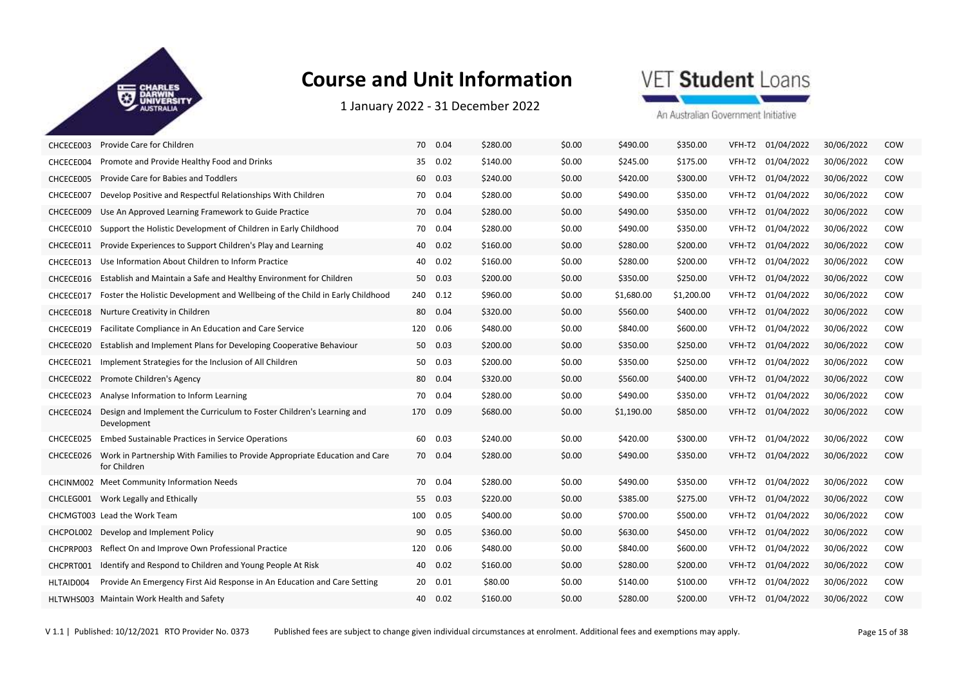

1 January 2022 ‐ 31 December 2022

## VET Student Loans

| CHCECE003 | Provide Care for Children                                                                   | 70  | 0.04     | \$280.00 | \$0.00 | \$490.00   | \$350.00   |        | VFH-T2 01/04/2022 | 30/06/2022 | COW        |
|-----------|---------------------------------------------------------------------------------------------|-----|----------|----------|--------|------------|------------|--------|-------------------|------------|------------|
| CHCECE004 | Promote and Provide Healthy Food and Drinks                                                 | 35  | 0.02     | \$140.00 | \$0.00 | \$245.00   | \$175.00   |        | VFH-T2 01/04/2022 | 30/06/2022 | COW        |
| CHCECE005 | Provide Care for Babies and Toddlers                                                        | 60  | 0.03     | \$240.00 | \$0.00 | \$420.00   | \$300.00   | VFH-T2 | 01/04/2022        | 30/06/2022 | COW        |
| CHCECE007 | Develop Positive and Respectful Relationships With Children                                 |     | 70 0.04  | \$280.00 | \$0.00 | \$490.00   | \$350.00   |        | VFH-T2 01/04/2022 | 30/06/2022 | COW        |
| CHCECE009 | Use An Approved Learning Framework to Guide Practice                                        | 70  | 0.04     | \$280.00 | \$0.00 | \$490.00   | \$350.00   | VFH-T2 | 01/04/2022        | 30/06/2022 | COW        |
| CHCECE010 | Support the Holistic Development of Children in Early Childhood                             |     | 70 0.04  | \$280.00 | \$0.00 | \$490.00   | \$350.00   | VFH-T2 | 01/04/2022        | 30/06/2022 | COW        |
| CHCECE011 | Provide Experiences to Support Children's Play and Learning                                 |     | 40 0.02  | \$160.00 | \$0.00 | \$280.00   | \$200.00   |        | VFH-T2 01/04/2022 | 30/06/2022 | COW        |
| CHCECE013 | Use Information About Children to Inform Practice                                           | 40  | 0.02     | \$160.00 | \$0.00 | \$280.00   | \$200.00   | VFH-T2 | 01/04/2022        | 30/06/2022 | COW        |
| CHCECE016 | Establish and Maintain a Safe and Healthy Environment for Children                          | 50  | 0.03     | \$200.00 | \$0.00 | \$350.00   | \$250.00   | VFH-T2 | 01/04/2022        | 30/06/2022 | <b>COW</b> |
| CHCECE017 | Foster the Holistic Development and Wellbeing of the Child in Early Childhood               |     | 240 0.12 | \$960.00 | \$0.00 | \$1,680.00 | \$1,200.00 | VFH-T2 | 01/04/2022        | 30/06/2022 | COW        |
| CHCECE018 | Nurture Creativity in Children                                                              | 80  | 0.04     | \$320.00 | \$0.00 | \$560.00   | \$400.00   |        | VFH-T2 01/04/2022 | 30/06/2022 | COW        |
| CHCECE019 | Facilitate Compliance in An Education and Care Service                                      | 120 | 0.06     | \$480.00 | \$0.00 | \$840.00   | \$600.00   | VFH-T2 | 01/04/2022        | 30/06/2022 | COW        |
| CHCECE020 | Establish and Implement Plans for Developing Cooperative Behaviour                          |     | 50 0.03  | \$200.00 | \$0.00 | \$350.00   | \$250.00   | VFH-T2 | 01/04/2022        | 30/06/2022 | COW        |
| CHCECE021 | Implement Strategies for the Inclusion of All Children                                      | 50  | 0.03     | \$200.00 | \$0.00 | \$350.00   | \$250.00   | VFH-T2 | 01/04/2022        | 30/06/2022 | COW        |
| CHCECE022 | Promote Children's Agency                                                                   | 80  | 0.04     | \$320.00 | \$0.00 | \$560.00   | \$400.00   | VFH-T2 | 01/04/2022        | 30/06/2022 | COW        |
| CHCECE023 | Analyse Information to Inform Learning                                                      |     | 70 0.04  | \$280.00 | \$0.00 | \$490.00   | \$350.00   |        | VFH-T2 01/04/2022 | 30/06/2022 | COW        |
| CHCECE024 | Design and Implement the Curriculum to Foster Children's Learning and<br>Development        | 170 | 0.09     | \$680.00 | \$0.00 | \$1,190.00 | \$850.00   | VFH-T2 | 01/04/2022        | 30/06/2022 | COW        |
| CHCECE025 | Embed Sustainable Practices in Service Operations                                           | 60  | 0.03     | \$240.00 | \$0.00 | \$420.00   | \$300.00   | VFH-T2 | 01/04/2022        | 30/06/2022 | COW        |
| CHCECE026 | Work in Partnership With Families to Provide Appropriate Education and Care<br>for Children |     | 70 0.04  | \$280.00 | \$0.00 | \$490.00   | \$350.00   |        | VFH-T2 01/04/2022 | 30/06/2022 | <b>COW</b> |
|           | CHCINM002 Meet Community Information Needs                                                  | 70  | 0.04     | \$280.00 | \$0.00 | \$490.00   | \$350.00   | VFH-T2 | 01/04/2022        | 30/06/2022 | COW        |
| CHCLEG001 | Work Legally and Ethically                                                                  | 55  | 0.03     | \$220.00 | \$0.00 | \$385.00   | \$275.00   | VFH-T2 | 01/04/2022        | 30/06/2022 | COW        |
|           | CHCMGT003 Lead the Work Team                                                                | 100 | 0.05     | \$400.00 | \$0.00 | \$700.00   | \$500.00   | VFH-T2 | 01/04/2022        | 30/06/2022 | COW        |
| CHCPOL002 | Develop and Implement Policy                                                                | 90  | 0.05     | \$360.00 | \$0.00 | \$630.00   | \$450.00   |        | VFH-T2 01/04/2022 | 30/06/2022 | COW        |
| CHCPRP003 | Reflect On and Improve Own Professional Practice                                            | 120 | 0.06     | \$480.00 | \$0.00 | \$840.00   | \$600.00   | VFH-T2 | 01/04/2022        | 30/06/2022 | COW        |
| CHCPRT001 | Identify and Respond to Children and Young People At Risk                                   | 40  | 0.02     | \$160.00 | \$0.00 | \$280.00   | \$200.00   | VFH-T2 | 01/04/2022        | 30/06/2022 | COW        |
| HLTAID004 | Provide An Emergency First Aid Response in An Education and Care Setting                    |     | 20 0.01  | \$80.00  | \$0.00 | \$140.00   | \$100.00   | VFH-T2 | 01/04/2022        | 30/06/2022 | COW        |
|           | HLTWHS003 Maintain Work Health and Safety                                                   | 40  | 0.02     | \$160.00 | \$0.00 | \$280.00   | \$200.00   |        | VFH-T2 01/04/2022 | 30/06/2022 | COW        |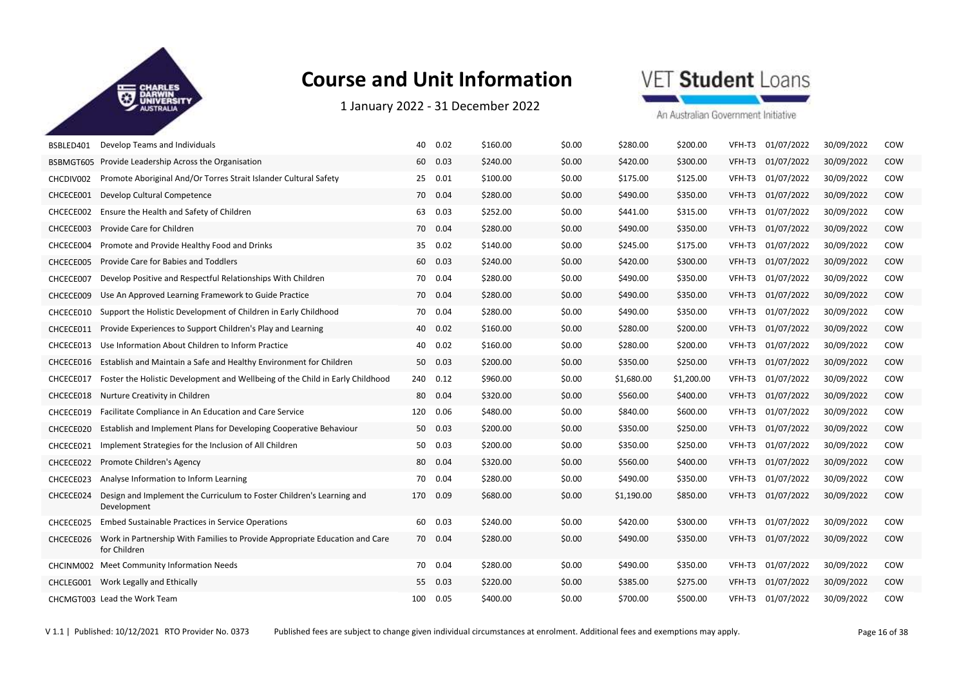

1 January 2022 ‐ 31 December 2022

## VET Student Loans

An Australian Government Initiative

| BSBLED401 | Develop Teams and Individuals                                                               | 40  | 0.02     | \$160.00 | \$0.00 | \$280.00   | \$200.00   | VFH-T3 | 01/07/2022 | 30/09/2022 | COW |
|-----------|---------------------------------------------------------------------------------------------|-----|----------|----------|--------|------------|------------|--------|------------|------------|-----|
| BSBMGT605 | Provide Leadership Across the Organisation                                                  | 60  | 0.03     | \$240.00 | \$0.00 | \$420.00   | \$300.00   | VFH-T3 | 01/07/2022 | 30/09/2022 | COW |
| CHCDIV002 | Promote Aboriginal And/Or Torres Strait Islander Cultural Safety                            | 25  | 0.01     | \$100.00 | \$0.00 | \$175.00   | \$125.00   | VFH-T3 | 01/07/2022 | 30/09/2022 | COW |
| CHCECE001 | Develop Cultural Competence                                                                 |     | 70 0.04  | \$280.00 | \$0.00 | \$490.00   | \$350.00   | VFH-T3 | 01/07/2022 | 30/09/2022 | COW |
| CHCECE002 | Ensure the Health and Safety of Children                                                    | 63  | 0.03     | \$252.00 | \$0.00 | \$441.00   | \$315.00   | VFH-T3 | 01/07/2022 | 30/09/2022 | COW |
| CHCECE003 | Provide Care for Children                                                                   |     | 70 0.04  | \$280.00 | \$0.00 | \$490.00   | \$350.00   | VFH-T3 | 01/07/2022 | 30/09/2022 | COW |
| CHCECE004 | Promote and Provide Healthy Food and Drinks                                                 | 35  | 0.02     | \$140.00 | \$0.00 | \$245.00   | \$175.00   | VFH-T3 | 01/07/2022 | 30/09/2022 | COW |
| CHCECE005 | Provide Care for Babies and Toddlers                                                        | 60  | 0.03     | \$240.00 | \$0.00 | \$420.00   | \$300.00   | VFH-T3 | 01/07/2022 | 30/09/2022 | COW |
| CHCECE007 | Develop Positive and Respectful Relationships With Children                                 | 70  | 0.04     | \$280.00 | \$0.00 | \$490.00   | \$350.00   | VFH-T3 | 01/07/2022 | 30/09/2022 | COW |
| CHCECE009 | Use An Approved Learning Framework to Guide Practice                                        |     | 70 0.04  | \$280.00 | \$0.00 | \$490.00   | \$350.00   | VFH-T3 | 01/07/2022 | 30/09/2022 | COW |
| CHCECE010 | Support the Holistic Development of Children in Early Childhood                             | 70  | 0.04     | \$280.00 | \$0.00 | \$490.00   | \$350.00   | VFH-T3 | 01/07/2022 | 30/09/2022 | COW |
| CHCECE011 | Provide Experiences to Support Children's Play and Learning                                 |     | 40 0.02  | \$160.00 | \$0.00 | \$280.00   | \$200.00   | VFH-T3 | 01/07/2022 | 30/09/2022 | COW |
| CHCECE013 | Use Information About Children to Inform Practice                                           | 40  | 0.02     | \$160.00 | \$0.00 | \$280.00   | \$200.00   | VFH-T3 | 01/07/2022 | 30/09/2022 | COW |
| CHCECE016 | Establish and Maintain a Safe and Healthy Environment for Children                          | 50  | 0.03     | \$200.00 | \$0.00 | \$350.00   | \$250.00   | VFH-T3 | 01/07/2022 | 30/09/2022 | COW |
| CHCECE017 | Foster the Holistic Development and Wellbeing of the Child in Early Childhood               |     | 240 0.12 | \$960.00 | \$0.00 | \$1,680.00 | \$1,200.00 | VFH-T3 | 01/07/2022 | 30/09/2022 | COW |
| CHCECE018 | Nurture Creativity in Children                                                              | 80  | 0.04     | \$320.00 | \$0.00 | \$560.00   | \$400.00   | VFH-T3 | 01/07/2022 | 30/09/2022 | COW |
| CHCECE019 | Facilitate Compliance in An Education and Care Service                                      | 120 | 0.06     | \$480.00 | \$0.00 | \$840.00   | \$600.00   | VFH-T3 | 01/07/2022 | 30/09/2022 | COW |
| CHCECE020 | Establish and Implement Plans for Developing Cooperative Behaviour                          | 50  | 0.03     | \$200.00 | \$0.00 | \$350.00   | \$250.00   | VFH-T3 | 01/07/2022 | 30/09/2022 | COW |
| CHCECE021 | Implement Strategies for the Inclusion of All Children                                      | 50  | 0.03     | \$200.00 | \$0.00 | \$350.00   | \$250.00   | VFH-T3 | 01/07/2022 | 30/09/2022 | COW |
| CHCECE022 | Promote Children's Agency                                                                   | 80  | 0.04     | \$320.00 | \$0.00 | \$560.00   | \$400.00   | VFH-T3 | 01/07/2022 | 30/09/2022 | COW |
| CHCECE023 | Analyse Information to Inform Learning                                                      | 70  | 0.04     | \$280.00 | \$0.00 | \$490.00   | \$350.00   | VFH-T3 | 01/07/2022 | 30/09/2022 | COW |
| CHCECE024 | Design and Implement the Curriculum to Foster Children's Learning and<br>Development        | 170 | 0.09     | \$680.00 | \$0.00 | \$1,190.00 | \$850.00   | VFH-T3 | 01/07/2022 | 30/09/2022 | COW |
| CHCECE025 | <b>Embed Sustainable Practices in Service Operations</b>                                    |     | 60 0.03  | \$240.00 | \$0.00 | \$420.00   | \$300.00   | VFH-T3 | 01/07/2022 | 30/09/2022 | COW |
| CHCECE026 | Work in Partnership With Families to Provide Appropriate Education and Care<br>for Children | 70  | 0.04     | \$280.00 | \$0.00 | \$490.00   | \$350.00   | VFH-T3 | 01/07/2022 | 30/09/2022 | COW |
|           | CHCINM002 Meet Community Information Needs                                                  | 70  | 0.04     | \$280.00 | \$0.00 | \$490.00   | \$350.00   | VFH-T3 | 01/07/2022 | 30/09/2022 | COW |
|           | CHCLEG001 Work Legally and Ethically                                                        | 55  | 0.03     | \$220.00 | \$0.00 | \$385.00   | \$275.00   | VFH-T3 | 01/07/2022 | 30/09/2022 | COW |
|           | CHCMGT003 Lead the Work Team                                                                | 100 | 0.05     | \$400.00 | \$0.00 | \$700.00   | \$500.00   | VFH-T3 | 01/07/2022 | 30/09/2022 | COW |

V 1.1 | Published: 10/12/2021 RTO Provider No. 0373 Published fees are subject to change given individual circumstances at enrolment. Additional fees and exemptions may apply. Page 16 of 38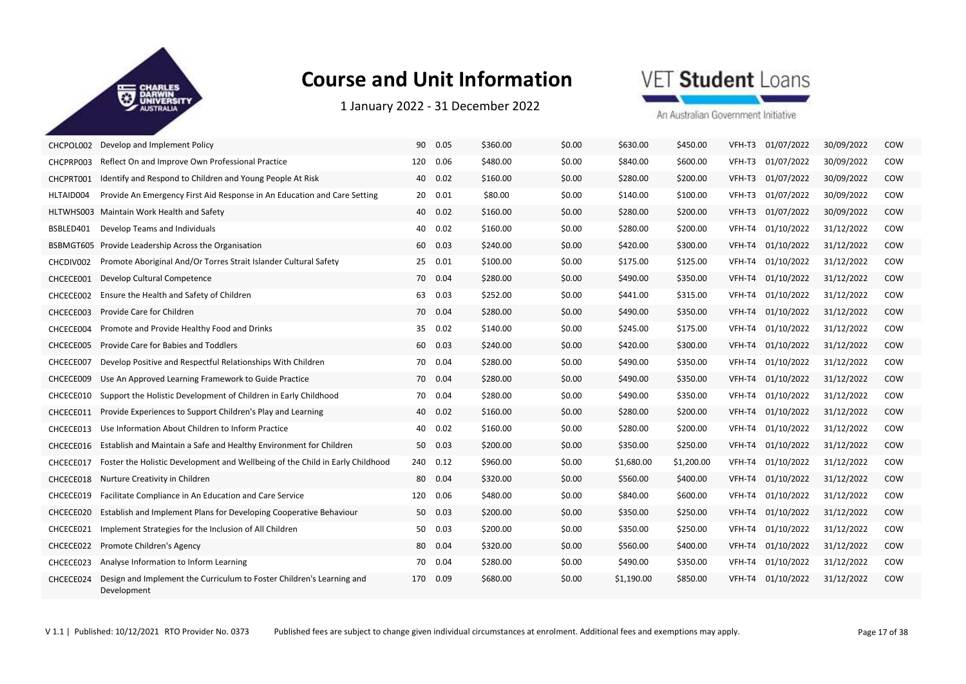

1 January 2022 ‐ 31 December 2022

## VET Student Loans

| CHCPOL002 | Develop and Implement Policy                                                         | 90  | 0.05    | \$360.00 | \$0.00 | \$630.00   | \$450.00   | VFH-T3 | 01/07/2022        | 30/09/2022 | COW        |
|-----------|--------------------------------------------------------------------------------------|-----|---------|----------|--------|------------|------------|--------|-------------------|------------|------------|
| CHCPRP003 | Reflect On and Improve Own Professional Practice                                     | 120 | 0.06    | \$480.00 | \$0.00 | \$840.00   | \$600.00   | VFH-T3 | 01/07/2022        | 30/09/2022 | COW        |
| CHCPRT001 | Identify and Respond to Children and Young People At Risk                            | 40  | 0.02    | \$160.00 | \$0.00 | \$280.00   | \$200.00   | VFH-T3 | 01/07/2022        | 30/09/2022 | COW        |
| HLTAID004 | Provide An Emergency First Aid Response in An Education and Care Setting             |     | 20 0.01 | \$80.00  | \$0.00 | \$140.00   | \$100.00   |        | VFH-T3 01/07/2022 | 30/09/2022 | COW        |
| HLTWHS003 | Maintain Work Health and Safety                                                      | 40  | 0.02    | \$160.00 | \$0.00 | \$280.00   | \$200.00   | VFH-T3 | 01/07/2022        | 30/09/2022 | COW        |
| BSBLED401 | Develop Teams and Individuals                                                        | 40  | 0.02    | \$160.00 | \$0.00 | \$280.00   | \$200.00   | VFH-T4 | 01/10/2022        | 31/12/2022 | COW        |
| BSBMGT605 | Provide Leadership Across the Organisation                                           | 60  | 0.03    | \$240.00 | \$0.00 | \$420.00   | \$300.00   | VFH-T4 | 01/10/2022        | 31/12/2022 | COW        |
| CHCDIV002 | Promote Aboriginal And/Or Torres Strait Islander Cultural Safety                     |     | 25 0.01 | \$100.00 | \$0.00 | \$175.00   | \$125.00   | VFH-T4 | 01/10/2022        | 31/12/2022 | COW        |
| CHCECE001 | Develop Cultural Competence                                                          |     | 70 0.04 | \$280.00 | \$0.00 | \$490.00   | \$350.00   |        | VFH-T4 01/10/2022 | 31/12/2022 | <b>COW</b> |
| CHCECE002 | Ensure the Health and Safety of Children                                             | 63  | 0.03    | \$252.00 | \$0.00 | \$441.00   | \$315.00   | VFH-T4 | 01/10/2022        | 31/12/2022 | COW        |
| CHCECE003 | Provide Care for Children                                                            |     | 70 0.04 | \$280.00 | \$0.00 | \$490.00   | \$350.00   | VFH-T4 | 01/10/2022        | 31/12/2022 | COW        |
| CHCECE004 | Promote and Provide Healthy Food and Drinks                                          | 35  | 0.02    | \$140.00 | \$0.00 | \$245.00   | \$175.00   |        | VFH-T4 01/10/2022 | 31/12/2022 | COW        |
| CHCECE005 | Provide Care for Babies and Toddlers                                                 | 60  | 0.03    | \$240.00 | \$0.00 | \$420.00   | \$300.00   | VFH-T4 | 01/10/2022        | 31/12/2022 | COW        |
| CHCECE007 | Develop Positive and Respectful Relationships With Children                          |     | 70 0.04 | \$280.00 | \$0.00 | \$490.00   | \$350.00   | VFH-T4 | 01/10/2022        | 31/12/2022 | COW        |
| CHCECE009 | Use An Approved Learning Framework to Guide Practice                                 |     | 70 0.04 | \$280.00 | \$0.00 | \$490.00   | \$350.00   |        | VFH-T4 01/10/2022 | 31/12/2022 | COW        |
| CHCECE010 | Support the Holistic Development of Children in Early Childhood                      | 70  | 0.04    | \$280.00 | \$0.00 | \$490.00   | \$350.00   | VFH-T4 | 01/10/2022        | 31/12/2022 | COW        |
| CHCECE011 | Provide Experiences to Support Children's Play and Learning                          | 40  | 0.02    | \$160.00 | \$0.00 | \$280.00   | \$200.00   | VFH-T4 | 01/10/2022        | 31/12/2022 | COW        |
| CHCECE013 | Use Information About Children to Inform Practice                                    |     | 40 0.02 | \$160.00 | \$0.00 | \$280.00   | \$200.00   |        | VFH-T4 01/10/2022 | 31/12/2022 | COW        |
| CHCECE016 | Establish and Maintain a Safe and Healthy Environment for Children                   | 50  | 0.03    | \$200.00 | \$0.00 | \$350.00   | \$250.00   | VFH-T4 | 01/10/2022        | 31/12/2022 | COW        |
| CHCECE017 | Foster the Holistic Development and Wellbeing of the Child in Early Childhood        | 240 | 0.12    | \$960.00 | \$0.00 | \$1,680.00 | \$1,200.00 | VFH-T4 | 01/10/2022        | 31/12/2022 | COW        |
| CHCECE018 | Nurture Creativity in Children                                                       | 80  | 0.04    | \$320.00 | \$0.00 | \$560.00   | \$400.00   | VFH-T4 | 01/10/2022        | 31/12/2022 | COW        |
| CHCECE019 | Facilitate Compliance in An Education and Care Service                               | 120 | 0.06    | \$480.00 | \$0.00 | \$840.00   | \$600.00   | VFH-T4 | 01/10/2022        | 31/12/2022 | COW        |
| CHCECE020 | Establish and Implement Plans for Developing Cooperative Behaviour                   |     | 50 0.03 | \$200.00 | \$0.00 | \$350.00   | \$250.00   |        | VFH-T4 01/10/2022 | 31/12/2022 | <b>COW</b> |
| CHCECE021 | Implement Strategies for the Inclusion of All Children                               | 50  | 0.03    | \$200.00 | \$0.00 | \$350.00   | \$250.00   | VFH-T4 | 01/10/2022        | 31/12/2022 | COW        |
| CHCECE022 | Promote Children's Agency                                                            |     | 80 0.04 | \$320.00 | \$0.00 | \$560.00   | \$400.00   | VFH-T4 | 01/10/2022        | 31/12/2022 | COW        |
| CHCECE023 | Analyse Information to Inform Learning                                               |     | 70 0.04 | \$280.00 | \$0.00 | \$490.00   | \$350.00   |        | VFH-T4 01/10/2022 | 31/12/2022 | COW        |
| CHCECE024 | Design and Implement the Curriculum to Foster Children's Learning and<br>Development | 170 | 0.09    | \$680.00 | \$0.00 | \$1,190.00 | \$850.00   | VFH-T4 | 01/10/2022        | 31/12/2022 | COW        |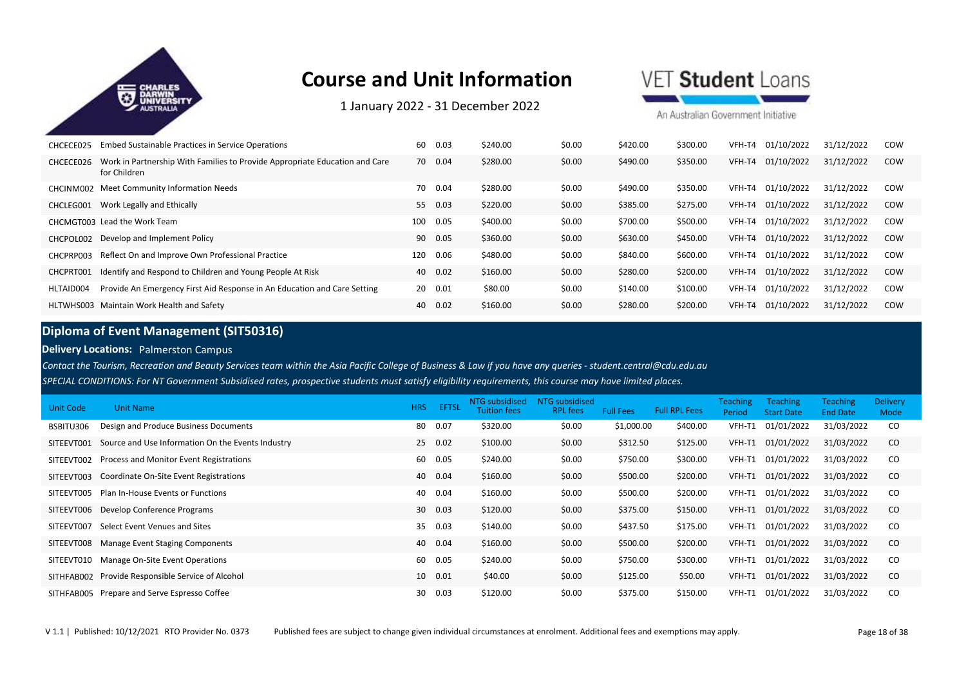

1 January 2022 ‐ 31 December 2022

VET Student Loans

An Australian Government Initiative

| CHCECE025 | Embed Sustainable Practices in Service Operations                                           | 60  | 0.03    | \$240.00 | \$0.00 | \$420.00 | \$300.00 | VFH-T4 | 01/10/2022 | 31/12/2022 | COW        |
|-----------|---------------------------------------------------------------------------------------------|-----|---------|----------|--------|----------|----------|--------|------------|------------|------------|
| CHCECE026 | Work in Partnership With Families to Provide Appropriate Education and Care<br>for Children |     | 70 0.04 | \$280.00 | \$0.00 | \$490.00 | \$350.00 | VFH-T4 | 01/10/2022 | 31/12/2022 | <b>COW</b> |
|           | CHCINM002 Meet Community Information Needs                                                  | 70  | 0.04    | \$280.00 | \$0.00 | \$490.00 | \$350.00 | VFH-T4 | 01/10/2022 | 31/12/2022 | COW        |
| CHCLEG001 | Work Legally and Ethically                                                                  | 55  | 0.03    | \$220.00 | \$0.00 | \$385.00 | \$275.00 | VFH-T4 | 01/10/2022 | 31/12/2022 | <b>COW</b> |
|           | CHCMGT003 Lead the Work Team                                                                | 100 | 0.05    | \$400.00 | \$0.00 | \$700.00 | \$500.00 | VFH-T4 | 01/10/2022 | 31/12/2022 | COW        |
| CHCPOL002 | Develop and Implement Policy                                                                | 90  | 0.05    | \$360.00 | \$0.00 | \$630.00 | \$450.00 | VFH-T4 | 01/10/2022 | 31/12/2022 | <b>COW</b> |
| CHCPRP003 | Reflect On and Improve Own Professional Practice                                            | 120 | 0.06    | \$480.00 | \$0.00 | \$840.00 | \$600.00 | VFH-T4 | 01/10/2022 | 31/12/2022 | COW        |
| CHCPRT001 | Identify and Respond to Children and Young People At Risk                                   | 40  | 0.02    | \$160.00 | \$0.00 | \$280.00 | \$200.00 | VFH-T4 | 01/10/2022 | 31/12/2022 | COW        |
| HLTAID004 | Provide An Emergency First Aid Response in An Education and Care Setting                    | 20  | 0.01    | \$80.00  | \$0.00 | \$140.00 | \$100.00 | VFH-T4 | 01/10/2022 | 31/12/2022 | COW        |
|           | HLTWHS003 Maintain Work Health and Safety                                                   | 40  | 0.02    | \$160.00 | \$0.00 | \$280.00 | \$200.00 | VFH-T4 | 01/10/2022 | 31/12/2022 | <b>COW</b> |

### **Diploma of Event Management (SIT50316)**

**Delivery Locations:** Palmerston Campus

*Contact the Tourism, Recreation and Beauty Services team within the Asia Pacific College of Business & Law if you have any queries - student.central@cdu.edu.au*

*SPECIAL CONDITIONS: For NT Government Subsidised rates, prospective students must satisfy eligibility requirements, this course may have limited places.* 

| Unit Code  | <b>Unit Name</b>                                  | <b>HRS</b> | <b>EFTSL</b> | NTG subsidised<br><b>Tuition fees</b> | NTG subsidised<br><b>RPL</b> fees | <b>Full Fees</b> | <b>Full RPL Fees</b> | <b>Teaching</b><br>Period | <b>Teaching</b><br><b>Start Date</b> | <b>Teaching</b><br><b>End Date</b> | <b>Delivery</b><br>Mode |
|------------|---------------------------------------------------|------------|--------------|---------------------------------------|-----------------------------------|------------------|----------------------|---------------------------|--------------------------------------|------------------------------------|-------------------------|
| BSBITU306  | Design and Produce Business Documents             | 80         | 0.07         | \$320.00                              | \$0.00                            | \$1,000.00       | \$400.00             | VFH-T1                    | 01/01/2022                           | 31/03/2022                         | CO                      |
| SITEEVT001 | Source and Use Information On the Events Industry |            | 25 0.02      | \$100.00                              | \$0.00                            | \$312.50         | \$125.00             | VFH-T1                    | 01/01/2022                           | 31/03/2022                         | CO                      |
| SITEEVT002 | Process and Monitor Event Registrations           | 60         | 0.05         | \$240.00                              | \$0.00                            | \$750.00         | \$300.00             | VFH-T1                    | 01/01/2022                           | 31/03/2022                         | CO                      |
| SITEEVT003 | Coordinate On-Site Event Registrations            |            | 40 0.04      | \$160.00                              | \$0.00                            | \$500.00         | \$200.00             | VFH-T1                    | 01/01/2022                           | 31/03/2022                         | CO                      |
| SITEEVT005 | Plan In-House Events or Functions                 | 40         | 0.04         | \$160.00                              | \$0.00                            | \$500.00         | \$200.00             | VFH-T1                    | 01/01/2022                           | 31/03/2022                         | CO                      |
|            | SITEEVT006 Develop Conference Programs            |            | 30 0.03      | \$120.00                              | \$0.00                            | \$375.00         | \$150.00             | VFH-T1                    | 01/01/2022                           | 31/03/2022                         | CO                      |
| SITEEVT007 | Select Event Venues and Sites                     | 35         | 0.03         | \$140.00                              | \$0.00                            | \$437.50         | \$175.00             | VFH-T1                    | 01/01/2022                           | 31/03/2022                         | CO                      |
|            | SITEEVT008 Manage Event Staging Components        | 40         | 0.04         | \$160.00                              | \$0.00                            | \$500.00         | \$200.00             | VFH-T1                    | 01/01/2022                           | 31/03/2022                         | <sub>co</sub>           |
| SITEEVT010 | Manage On-Site Event Operations                   | 60         | 0.05         | \$240.00                              | \$0.00                            | \$750.00         | \$300.00             | VFH-T1                    | 01/01/2022                           | 31/03/2022                         | CO                      |
|            | SITHFAB002 Provide Responsible Service of Alcohol | 10         | 0.01         | \$40.00                               | \$0.00                            | \$125.00         | \$50.00              | VFH-T1                    | 01/01/2022                           | 31/03/2022                         | <sub>co</sub>           |
|            | SITHFAB005 Prepare and Serve Espresso Coffee      | 30         | 0.03         | \$120.00                              | \$0.00                            | \$375.00         | \$150.00             | VFH-T1                    | 01/01/2022                           | 31/03/2022                         | CO.                     |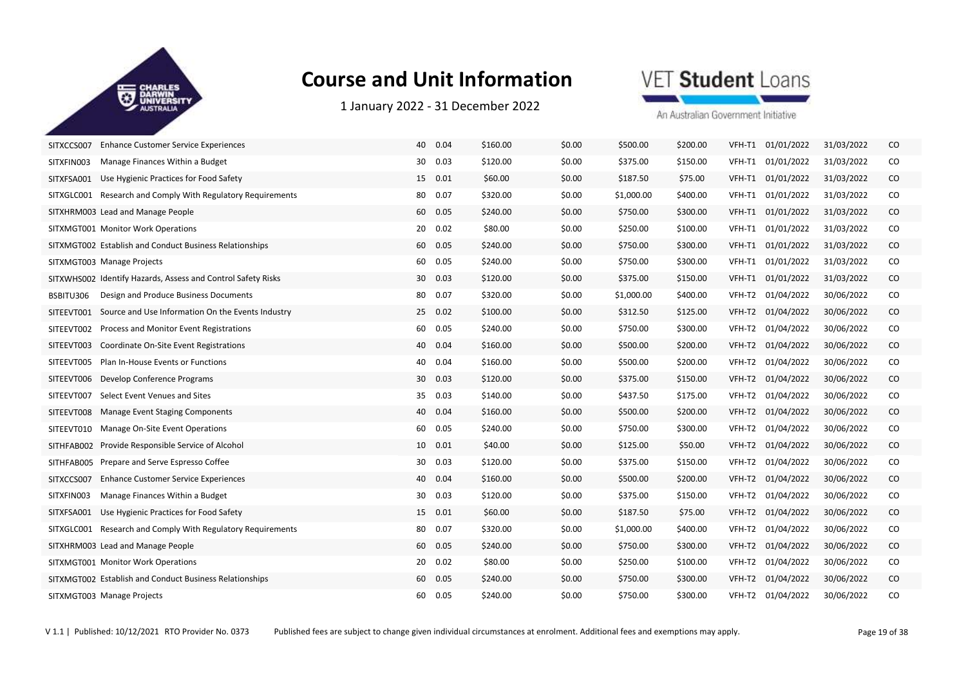

1 January 2022 ‐ 31 December 2022

## VET Student Loans

| SITXCCS007<br><b>Enhance Customer Service Experiences</b>       | 40<br>0.04 | \$160.00 | \$0.00 | \$500.00   | \$200.00 | VFH-T1<br>01/01/2022 | 31/03/2022               | CO       |
|-----------------------------------------------------------------|------------|----------|--------|------------|----------|----------------------|--------------------------|----------|
| Manage Finances Within a Budget<br>SITXFIN003                   | 30<br>0.03 | \$120.00 | \$0.00 | \$375.00   | \$150.00 | VFH-T1               | 01/01/2022<br>31/03/2022 | CO       |
| SITXFSA001<br>Use Hygienic Practices for Food Safety            | 15 0.01    | \$60.00  | \$0.00 | \$187.50   | \$75.00  | VFH-T1               | 01/01/2022<br>31/03/2022 | CO       |
| Research and Comply With Regulatory Requirements<br>SITXGLC001  | 80<br>0.07 | \$320.00 | \$0.00 | \$1,000.00 | \$400.00 | VFH-T1               | 01/01/2022<br>31/03/2022 | CO       |
| SITXHRM003 Lead and Manage People                               | 60<br>0.05 | \$240.00 | \$0.00 | \$750.00   | \$300.00 | VFH-T1               | 01/01/2022<br>31/03/2022 | CO       |
| SITXMGT001 Monitor Work Operations                              | 20<br>0.02 | \$80.00  | \$0.00 | \$250.00   | \$100.00 | VFH-T1<br>01/01/2022 | 31/03/2022               | CO       |
| SITXMGT002 Establish and Conduct Business Relationships         | 60 0.05    | \$240.00 | \$0.00 | \$750.00   | \$300.00 | 01/01/2022<br>VFH-T1 | 31/03/2022               | $\rm CO$ |
| SITXMGT003 Manage Projects                                      | 0.05<br>60 | \$240.00 | \$0.00 | \$750.00   | \$300.00 | VFH-T1               | 01/01/2022<br>31/03/2022 | CO       |
| SITXWHS002 Identify Hazards, Assess and Control Safety Risks    | 0.03<br>30 | \$120.00 | \$0.00 | \$375.00   | \$150.00 | VFH-T1<br>01/01/2022 | 31/03/2022               | $\rm CO$ |
| Design and Produce Business Documents<br>BSBITU306              | 0.07<br>80 | \$320.00 | \$0.00 | \$1,000.00 | \$400.00 | VFH-T2<br>01/04/2022 | 30/06/2022               | CO       |
| SITEEVT001<br>Source and Use Information On the Events Industry | 0.02<br>25 | \$100.00 | \$0.00 | \$312.50   | \$125.00 | VFH-T2<br>01/04/2022 | 30/06/2022               | $\rm CO$ |
| Process and Monitor Event Registrations<br>SITEEVT002           | 60<br>0.05 | \$240.00 | \$0.00 | \$750.00   | \$300.00 | VFH-T2<br>01/04/2022 | 30/06/2022               | CO       |
| Coordinate On-Site Event Registrations<br>SITEEVT003            | 40 0.04    | \$160.00 | \$0.00 | \$500.00   | \$200.00 | VFH-T2<br>01/04/2022 | 30/06/2022               | CO.      |
| Plan In-House Events or Functions<br>SITEEVT005                 | 0.04<br>40 | \$160.00 | \$0.00 | \$500.00   | \$200.00 | VFH-T2               | 01/04/2022<br>30/06/2022 | CO       |
| SITEEVT006<br>Develop Conference Programs                       | 0.03<br>30 | \$120.00 | \$0.00 | \$375.00   | \$150.00 | 01/04/2022<br>VFH-T2 | 30/06/2022               | CO       |
| Select Event Venues and Sites<br>SITEEVT007                     | 35 0.03    | \$140.00 | \$0.00 | \$437.50   | \$175.00 | VFH-T2               | 01/04/2022<br>30/06/2022 | CO       |
| SITEEVT008<br>Manage Event Staging Components                   | 40<br>0.04 | \$160.00 | \$0.00 | \$500.00   | \$200.00 | 01/04/2022<br>VFH-T2 | 30/06/2022               | CO       |
| SITEEVT010<br>Manage On-Site Event Operations                   | 60<br>0.05 | \$240.00 | \$0.00 | \$750.00   | \$300.00 | VFH-T2<br>01/04/2022 | 30/06/2022               | CO       |
| Provide Responsible Service of Alcohol<br>SITHFAB002            | 10  0.01   | \$40.00  | \$0.00 | \$125.00   | \$50.00  | VFH-T2               | 01/04/2022<br>30/06/2022 | CO       |
| Prepare and Serve Espresso Coffee<br>SITHFAB005                 | 0.03<br>30 | \$120.00 | \$0.00 | \$375.00   | \$150.00 | VFH-T2               | 01/04/2022<br>30/06/2022 | CO       |
| <b>Enhance Customer Service Experiences</b><br>SITXCCS007       | 40<br>0.04 | \$160.00 | \$0.00 | \$500.00   | \$200.00 | VFH-T2<br>01/04/2022 | 30/06/2022               | $\rm CO$ |
| SITXFIN003<br>Manage Finances Within a Budget                   | 30 0.03    | \$120.00 | \$0.00 | \$375.00   | \$150.00 | VFH-T2               | 01/04/2022<br>30/06/2022 | CO       |
| SITXFSA001<br>Use Hygienic Practices for Food Safety            | 15 0.01    | \$60.00  | \$0.00 | \$187.50   | \$75.00  | VFH-T2<br>01/04/2022 | 30/06/2022               | CO.      |
| Research and Comply With Regulatory Requirements<br>SITXGLC001  | 80<br>0.07 | \$320.00 | \$0.00 | \$1,000.00 | \$400.00 | VFH-T2<br>01/04/2022 | 30/06/2022               | CO       |
| SITXHRM003 Lead and Manage People                               | 60 0.05    | \$240.00 | \$0.00 | \$750.00   | \$300.00 | VFH-T2               | 01/04/2022<br>30/06/2022 | CO       |
| SITXMGT001 Monitor Work Operations                              | 0.02<br>20 | \$80.00  | \$0.00 | \$250.00   | \$100.00 | VFH-T2               | 01/04/2022<br>30/06/2022 | CO       |
| SITXMGT002 Establish and Conduct Business Relationships         | 60<br>0.05 | \$240.00 | \$0.00 | \$750.00   | \$300.00 | 01/04/2022<br>VFH-T2 | 30/06/2022               | $\rm CO$ |
| SITXMGT003 Manage Projects                                      | 60  0.05   | \$240.00 | \$0.00 | \$750.00   | \$300.00 | VFH-T2               | 01/04/2022<br>30/06/2022 | CO       |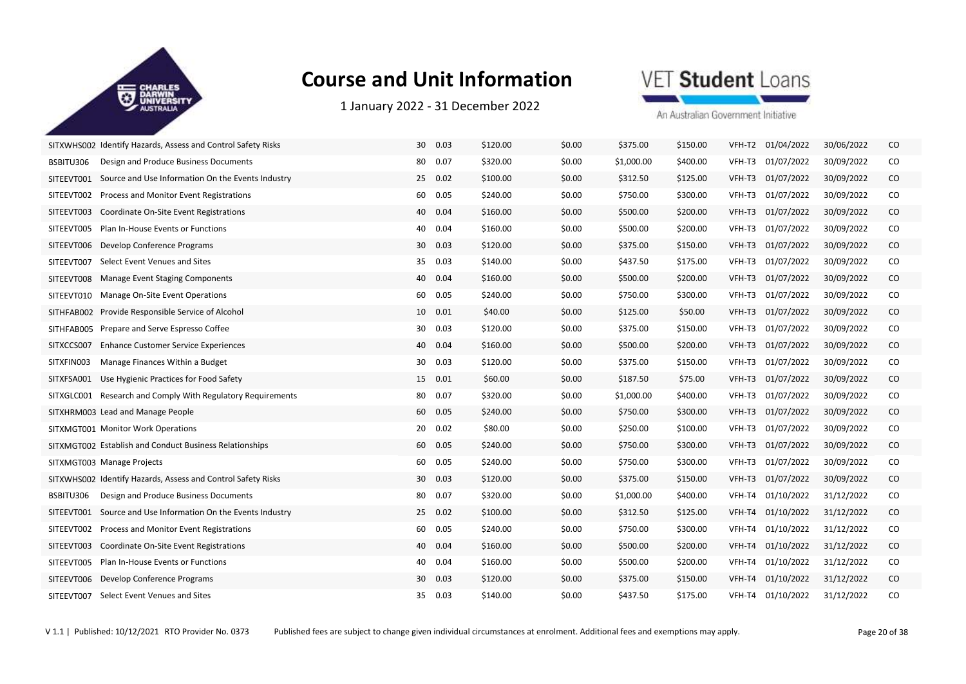

1 January 2022 ‐ 31 December 2022

### VET Student Loans

| SITXWHS002 Identify Hazards, Assess and Control Safety Risks    | 30<br>0.03 | \$120.00 | \$0.00 | \$375.00   | \$150.00 | VFH-T2 | 01/04/2022        | 30/06/2022 | CO       |
|-----------------------------------------------------------------|------------|----------|--------|------------|----------|--------|-------------------|------------|----------|
| Design and Produce Business Documents<br>BSBITU306              | 0.07<br>80 | \$320.00 | \$0.00 | \$1,000.00 | \$400.00 | VFH-T3 | 01/07/2022        | 30/09/2022 | CO       |
| Source and Use Information On the Events Industry<br>SITEEVT001 | 25 0.02    | \$100.00 | \$0.00 | \$312.50   | \$125.00 | VFH-T3 | 01/07/2022        | 30/09/2022 | $\rm CO$ |
| Process and Monitor Event Registrations<br>SITEEVT002           | 60 0.05    | \$240.00 | \$0.00 | \$750.00   | \$300.00 | VFH-T3 | 01/07/2022        | 30/09/2022 | CO       |
| Coordinate On-Site Event Registrations<br>SITEEVT003            | 40<br>0.04 | \$160.00 | \$0.00 | \$500.00   | \$200.00 | VFH-T3 | 01/07/2022        | 30/09/2022 | CO       |
| Plan In-House Events or Functions<br>SITEEVT005                 | 40 0.04    | \$160.00 | \$0.00 | \$500.00   | \$200.00 | VFH-T3 | 01/07/2022        | 30/09/2022 | CO       |
| SITEEVT006<br>Develop Conference Programs                       | 30 0.03    | \$120.00 | \$0.00 | \$375.00   | \$150.00 | VFH-T3 | 01/07/2022        | 30/09/2022 | CO       |
| Select Event Venues and Sites<br>SITEEVT007                     | 35<br>0.03 | \$140.00 | \$0.00 | \$437.50   | \$175.00 | VFH-T3 | 01/07/2022        | 30/09/2022 | CO       |
| SITEEVT008<br>Manage Event Staging Components                   | 40 0.04    | \$160.00 | \$0.00 | \$500.00   | \$200.00 | VFH-T3 | 01/07/2022        | 30/09/2022 | $\rm CO$ |
| SITEEVT010<br>Manage On-Site Event Operations                   | 0.05<br>60 | \$240.00 | \$0.00 | \$750.00   | \$300.00 | VFH-T3 | 01/07/2022        | 30/09/2022 | CO       |
| SITHFAB002<br>Provide Responsible Service of Alcohol            | 10<br>0.01 | \$40.00  | \$0.00 | \$125.00   | \$50.00  | VFH-T3 | 01/07/2022        | 30/09/2022 | $\rm CO$ |
| Prepare and Serve Espresso Coffee<br>SITHFAB005                 | 30<br>0.03 | \$120.00 | \$0.00 | \$375.00   | \$150.00 | VFH-T3 | 01/07/2022        | 30/09/2022 | CO       |
| <b>Enhance Customer Service Experiences</b><br>SITXCCS007       | 40 0.04    | \$160.00 | \$0.00 | \$500.00   | \$200.00 | VFH-T3 | 01/07/2022        | 30/09/2022 | CO       |
| Manage Finances Within a Budget<br>SITXFIN003                   | 0.03<br>30 | \$120.00 | \$0.00 | \$375.00   | \$150.00 | VFH-T3 | 01/07/2022        | 30/09/2022 | CO       |
| SITXFSA001<br>Use Hygienic Practices for Food Safety            | 15 0.01    | \$60.00  | \$0.00 | \$187.50   | \$75.00  | VFH-T3 | 01/07/2022        | 30/09/2022 | CO       |
| SITXGLC001 Research and Comply With Regulatory Requirements     | 80  0.07   | \$320.00 | \$0.00 | \$1,000.00 | \$400.00 | VFH-T3 | 01/07/2022        | 30/09/2022 | CO       |
| SITXHRM003 Lead and Manage People                               | 60<br>0.05 | \$240.00 | \$0.00 | \$750.00   | \$300.00 | VFH-T3 | 01/07/2022        | 30/09/2022 | $\rm CO$ |
| SITXMGT001 Monitor Work Operations                              | 0.02<br>20 | \$80.00  | \$0.00 | \$250.00   | \$100.00 | VFH-T3 | 01/07/2022        | 30/09/2022 | CO       |
| SITXMGT002 Establish and Conduct Business Relationships         | 0.05<br>60 | \$240.00 | \$0.00 | \$750.00   | \$300.00 | VFH-T3 | 01/07/2022        | 30/09/2022 | CO       |
| SITXMGT003 Manage Projects                                      | 60<br>0.05 | \$240.00 | \$0.00 | \$750.00   | \$300.00 | VFH-T3 | 01/07/2022        | 30/09/2022 | CO       |
| SITXWHS002 Identify Hazards, Assess and Control Safety Risks    | 30<br>0.03 | \$120.00 | \$0.00 | \$375.00   | \$150.00 | VFH-T3 | 01/07/2022        | 30/09/2022 | $\rm CO$ |
| BSBITU306<br>Design and Produce Business Documents              | 80 0.07    | \$320.00 | \$0.00 | \$1,000.00 | \$400.00 | VFH-T4 | 01/10/2022        | 31/12/2022 | CO       |
| SITEEVT001<br>Source and Use Information On the Events Industry | 25 0.02    | \$100.00 | \$0.00 | \$312.50   | \$125.00 | VFH-T4 | 01/10/2022        | 31/12/2022 | CO       |
| Process and Monitor Event Registrations<br>SITEEVT002           | 60<br>0.05 | \$240.00 | \$0.00 | \$750.00   | \$300.00 | VFH-T4 | 01/10/2022        | 31/12/2022 | CO       |
| SITEEVT003<br>Coordinate On-Site Event Registrations            | 40 0.04    | \$160.00 | \$0.00 | \$500.00   | \$200.00 | VFH-T4 | 01/10/2022        | 31/12/2022 | $\rm CO$ |
| Plan In-House Events or Functions<br>SITEEVT005                 | 0.04<br>40 | \$160.00 | \$0.00 | \$500.00   | \$200.00 | VFH-T4 | 01/10/2022        | 31/12/2022 | CO       |
| SITEEVT006<br>Develop Conference Programs                       | 30<br>0.03 | \$120.00 | \$0.00 | \$375.00   | \$150.00 | VFH-T4 | 01/10/2022        | 31/12/2022 | $\rm CO$ |
| Select Event Venues and Sites<br>SITEEVT007                     | 35 0.03    | \$140.00 | \$0.00 | \$437.50   | \$175.00 |        | VFH-T4 01/10/2022 | 31/12/2022 | CO       |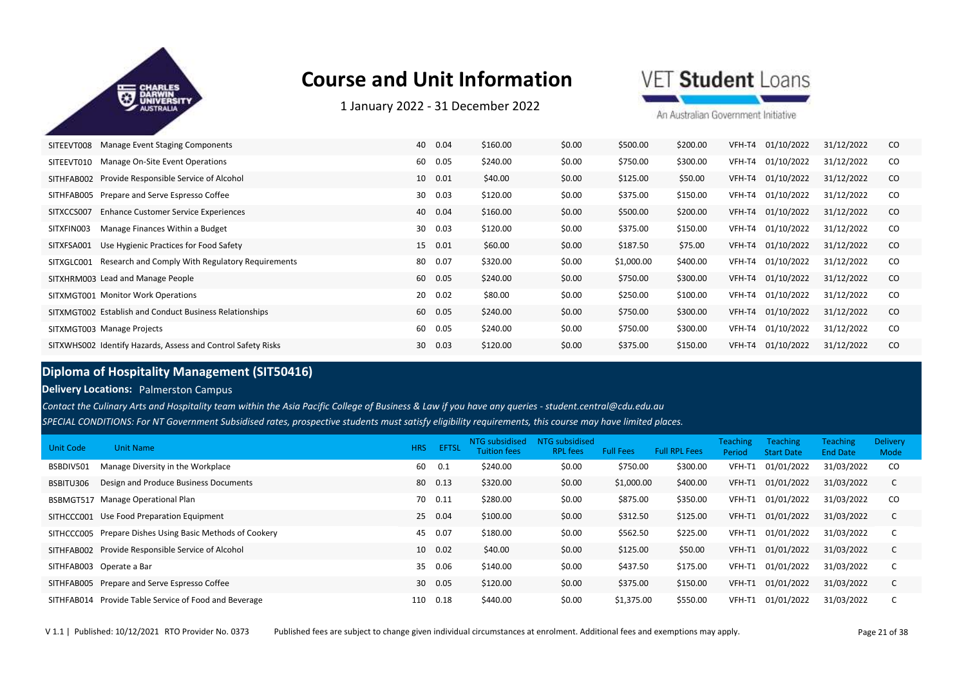

1 January 2022 ‐ 31 December 2022

VET Student Loans

An Australian Government Initiative

| SITEEVT008 | Manage Event Staging Components                              | 40 | 0.04 | \$160.00 | \$0.00 | \$500.00   | \$200.00 | VFH-T4 | 01/10/2022 | 31/12/2022 | CO.           |
|------------|--------------------------------------------------------------|----|------|----------|--------|------------|----------|--------|------------|------------|---------------|
| SITEEVT010 | Manage On-Site Event Operations                              | 60 | 0.05 | \$240.00 | \$0.00 | \$750.00   | \$300.00 | VFH-T4 | 01/10/2022 | 31/12/2022 | CO            |
|            | SITHFAB002 Provide Responsible Service of Alcohol            | 10 | 0.01 | \$40.00  | \$0.00 | \$125.00   | \$50.00  | VFH-T4 | 01/10/2022 | 31/12/2022 | <sub>co</sub> |
|            | SITHFAB005 Prepare and Serve Espresso Coffee                 | 30 | 0.03 | \$120.00 | \$0.00 | \$375.00   | \$150.00 | VFH-T4 | 01/10/2022 | 31/12/2022 | CO            |
| SITXCCS007 | <b>Enhance Customer Service Experiences</b>                  | 40 | 0.04 | \$160.00 | \$0.00 | \$500.00   | \$200.00 | VFH-T4 | 01/10/2022 | 31/12/2022 | CO.           |
| SITXFIN003 | Manage Finances Within a Budget                              | 30 | 0.03 | \$120.00 | \$0.00 | \$375.00   | \$150.00 | VFH-T4 | 01/10/2022 | 31/12/2022 | CO            |
| SITXFSA001 | Use Hygienic Practices for Food Safety                       | 15 | 0.01 | \$60.00  | \$0.00 | \$187.50   | \$75.00  | VFH-T4 | 01/10/2022 | 31/12/2022 | <sub>co</sub> |
| SITXGLC001 | Research and Comply With Regulatory Requirements             | 80 | 0.07 | \$320.00 | \$0.00 | \$1,000.00 | \$400.00 | VFH-T4 | 01/10/2022 | 31/12/2022 | CO            |
|            | SITXHRM003 Lead and Manage People                            | 60 | 0.05 | \$240.00 | \$0.00 | \$750.00   | \$300.00 | VFH-T4 | 01/10/2022 | 31/12/2022 | <sub>co</sub> |
|            | SITXMGT001 Monitor Work Operations                           | 20 | 0.02 | \$80.00  | \$0.00 | \$250.00   | \$100.00 | VFH-T4 | 01/10/2022 | 31/12/2022 | CO            |
|            | SITXMGT002 Establish and Conduct Business Relationships      | 60 | 0.05 | \$240.00 | \$0.00 | \$750.00   | \$300.00 | VFH-T4 | 01/10/2022 | 31/12/2022 | <sub>co</sub> |
|            | SITXMGT003 Manage Projects                                   | 60 | 0.05 | \$240.00 | \$0.00 | \$750.00   | \$300.00 | VFH-T4 | 01/10/2022 | 31/12/2022 | CO            |
|            | SITXWHS002 Identify Hazards, Assess and Control Safety Risks | 30 | 0.03 | \$120.00 | \$0.00 | \$375.00   | \$150.00 | VFH-T4 | 01/10/2022 | 31/12/2022 | <sub>co</sub> |

### **Diploma of Hospitality Management (SIT50416)**

#### **Delivery Locations: Palmerston Campus**

*SPECIAL CONDITIONS: For NT Government Subsidised rates, prospective students must satisfy eligibility requirements, this course may have limited places. Contact the Culinary Arts and Hospitality team within the Asia Pacific College of Business & Law if you have any queries - student.central@cdu.edu.au*

| <b>Unit Code</b> | <b>Unit Name</b>                                         | <b>HRS</b> | <b>EFTSL</b> | NTG subsidised<br><b>Tuition fees</b> | NTG subsidised<br><b>RPL fees</b> | <b>Full Fees</b> | <b>Full RPL Fees</b> | <b>Teaching</b><br>Period | <b>Teaching</b><br><b>Start Date</b> | <b>Teaching</b><br><b>End Date</b> | <b>Delivery</b><br>Mode |
|------------------|----------------------------------------------------------|------------|--------------|---------------------------------------|-----------------------------------|------------------|----------------------|---------------------------|--------------------------------------|------------------------------------|-------------------------|
| BSBDIV501        | Manage Diversity in the Workplace                        | 60         | 0.1          | \$240.00                              | \$0.00                            | \$750.00         | \$300.00             | VFH-T1                    | 01/01/2022                           | 31/03/2022                         | <sub>co</sub>           |
| BSBITU306        | Design and Produce Business Documents                    | 80         | 0.13         | \$320.00                              | \$0.00                            | \$1,000.00       | \$400.00             | VFH-T1                    | 01/01/2022                           | 31/03/2022                         |                         |
|                  | BSBMGT517 Manage Operational Plan                        | 70         | 0.11         | \$280.00                              | \$0.00                            | \$875.00         | \$350.00             |                           | VFH-T1 01/01/2022                    | 31/03/2022                         | CO.                     |
|                  | SITHCCC001 Use Food Preparation Equipment                | 25         | 0.04         | \$100.00                              | \$0.00                            | \$312.50         | \$125.00             | VFH-T1                    | 01/01/2022                           | 31/03/2022                         |                         |
|                  | SITHCCC005 Prepare Dishes Using Basic Methods of Cookery | 45         | 0.07         | \$180.00                              | \$0.00                            | \$562.50         | \$225.00             | VFH-T1                    | 01/01/2022                           | 31/03/2022                         |                         |
|                  | SITHFAB002 Provide Responsible Service of Alcohol        | 10         | 0.02         | \$40.00                               | \$0.00                            | \$125.00         | \$50.00              | VFH-T1                    | 01/01/2022                           | 31/03/2022                         |                         |
|                  | SITHFAB003 Operate a Bar                                 | 35         | 0.06         | \$140.00                              | \$0.00                            | \$437.50         | \$175.00             | VFH-T1                    | 01/01/2022                           | 31/03/2022                         |                         |
|                  | SITHFAB005 Prepare and Serve Espresso Coffee             | 30         | 0.05         | \$120.00                              | \$0.00                            | \$375.00         | \$150.00             | VFH-T1                    | 01/01/2022                           | 31/03/2022                         |                         |
|                  | SITHFAB014 Provide Table Service of Food and Beverage    | 110        | 0.18         | \$440.00                              | \$0.00                            | \$1,375.00       | \$550.00             | VFH-T1                    | 01/01/2022                           | 31/03/2022                         |                         |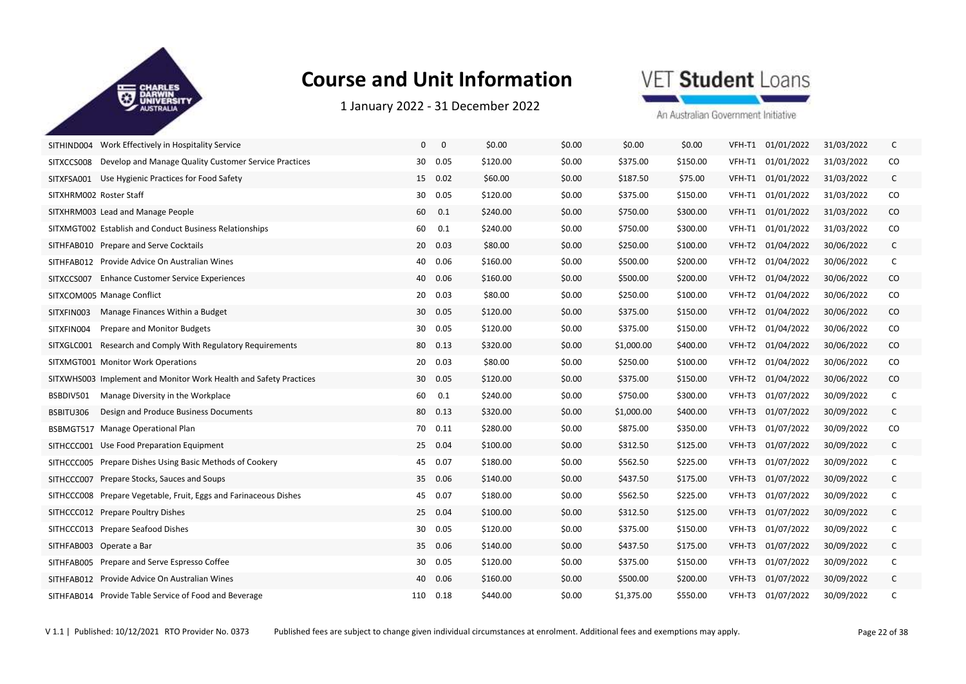

1 January 2022 ‐ 31 December 2022

## VET Student Loans

| SITHIND004 Work Effectively in Hospitality Service                  | $\mathbf 0$<br>$\mathbf 0$ | \$0.00   | \$0.00 | \$0.00     | \$0.00   | VFH-T1 01/01/2022    | 31/03/2022 | C            |
|---------------------------------------------------------------------|----------------------------|----------|--------|------------|----------|----------------------|------------|--------------|
| Develop and Manage Quality Customer Service Practices<br>SITXCCS008 | 30<br>0.05                 | \$120.00 | \$0.00 | \$375.00   | \$150.00 | VFH-T1 01/01/2022    | 31/03/2022 | CO           |
| SITXFSA001 Use Hygienic Practices for Food Safety                   | 15 0.02                    | \$60.00  | \$0.00 | \$187.50   | \$75.00  | VFH-T1 01/01/2022    | 31/03/2022 | $\mathsf{C}$ |
| SITXHRM002 Roster Staff                                             | 30<br>0.05                 | \$120.00 | \$0.00 | \$375.00   | \$150.00 | VFH-T1 01/01/2022    | 31/03/2022 | CO.          |
| SITXHRM003 Lead and Manage People                                   | 60<br>0.1                  | \$240.00 | \$0.00 | \$750.00   | \$300.00 | VFH-T1 01/01/2022    | 31/03/2022 | $\rm CO$     |
| SITXMGT002 Establish and Conduct Business Relationships             | 60<br>0.1                  | \$240.00 | \$0.00 | \$750.00   | \$300.00 | VFH-T1 01/01/2022    | 31/03/2022 | CO           |
| SITHFAB010 Prepare and Serve Cocktails                              | 20<br>0.03                 | \$80.00  | \$0.00 | \$250.00   | \$100.00 | VFH-T2 01/04/2022    | 30/06/2022 | $\mathsf{C}$ |
| SITHFAB012 Provide Advice On Australian Wines                       | 40<br>0.06                 | \$160.00 | \$0.00 | \$500.00   | \$200.00 | VFH-T2<br>01/04/2022 | 30/06/2022 | C            |
| SITXCCS007 Enhance Customer Service Experiences                     | 40 0.06                    | \$160.00 | \$0.00 | \$500.00   | \$200.00 | 01/04/2022<br>VFH-T2 | 30/06/2022 | CO           |
| SITXCOM005 Manage Conflict                                          | 20 0.03                    | \$80.00  | \$0.00 | \$250.00   | \$100.00 | VFH-T2 01/04/2022    | 30/06/2022 | CO.          |
| SITXFIN003<br>Manage Finances Within a Budget                       | 30<br>0.05                 | \$120.00 | \$0.00 | \$375.00   | \$150.00 | VFH-T2 01/04/2022    | 30/06/2022 | CO           |
| Prepare and Monitor Budgets<br>SITXFIN004                           | 30<br>0.05                 | \$120.00 | \$0.00 | \$375.00   | \$150.00 | VFH-T2<br>01/04/2022 | 30/06/2022 | CO           |
| Research and Comply With Regulatory Requirements<br>SITXGLC001      | 80 0.13                    | \$320.00 | \$0.00 | \$1,000.00 | \$400.00 | VFH-T2<br>01/04/2022 | 30/06/2022 | $\rm CO$     |
| SITXMGT001 Monitor Work Operations                                  | 20<br>0.03                 | \$80.00  | \$0.00 | \$250.00   | \$100.00 | VFH-T2<br>01/04/2022 | 30/06/2022 | CO           |
| SITXWHS003 Implement and Monitor Work Health and Safety Practices   | 0.05<br>30                 | \$120.00 | \$0.00 | \$375.00   | \$150.00 | VFH-T2<br>01/04/2022 | 30/06/2022 | $\rm CO$     |
| Manage Diversity in the Workplace<br>BSBDIV501                      | 0.1<br>60                  | \$240.00 | \$0.00 | \$750.00   | \$300.00 | VFH-T3<br>01/07/2022 | 30/09/2022 | C            |
| Design and Produce Business Documents<br>BSBITU306                  | 80<br>0.13                 | \$320.00 | \$0.00 | \$1,000.00 | \$400.00 | VFH-T3<br>01/07/2022 | 30/09/2022 | $\mathsf{C}$ |
| BSBMGT517 Manage Operational Plan                                   | 70 0.11                    | \$280.00 | \$0.00 | \$875.00   | \$350.00 | 01/07/2022<br>VFH-T3 | 30/09/2022 | CO           |
| SITHCCC001 Use Food Preparation Equipment                           | 25 0.04                    | \$100.00 | \$0.00 | \$312.50   | \$125.00 | 01/07/2022<br>VFH-T3 | 30/09/2022 | $\mathsf{C}$ |
| SITHCCC005 Prepare Dishes Using Basic Methods of Cookery            | 0.07<br>45                 | \$180.00 | \$0.00 | \$562.50   | \$225.00 | 01/07/2022<br>VFH-T3 | 30/09/2022 | C            |
| SITHCCC007 Prepare Stocks, Sauces and Soups                         | 35<br>0.06                 | \$140.00 | \$0.00 | \$437.50   | \$175.00 | 01/07/2022<br>VFH-T3 | 30/09/2022 | $\mathsf{C}$ |
| SITHCCC008 Prepare Vegetable, Fruit, Eggs and Farinaceous Dishes    | 45 0.07                    | \$180.00 | \$0.00 | \$562.50   | \$225.00 | 01/07/2022<br>VFH-T3 | 30/09/2022 | C            |
| SITHCCC012 Prepare Poultry Dishes                                   | 25 0.04                    | \$100.00 | \$0.00 | \$312.50   | \$125.00 | 01/07/2022<br>VFH-T3 | 30/09/2022 | C            |
| SITHCCC013 Prepare Seafood Dishes                                   | 30<br>0.05                 | \$120.00 | \$0.00 | \$375.00   | \$150.00 | VFH-T3<br>01/07/2022 | 30/09/2022 | C            |
| SITHFAB003 Operate a Bar                                            | 35 0.06                    | \$140.00 | \$0.00 | \$437.50   | \$175.00 | VFH-T3<br>01/07/2022 | 30/09/2022 | $\mathsf{C}$ |
| SITHFAB005 Prepare and Serve Espresso Coffee                        | 30<br>0.05                 | \$120.00 | \$0.00 | \$375.00   | \$150.00 | 01/07/2022<br>VFH-T3 | 30/09/2022 | C            |
| SITHFAB012 Provide Advice On Australian Wines                       | 40<br>0.06                 | \$160.00 | \$0.00 | \$500.00   | \$200.00 | 01/07/2022<br>VFH-T3 | 30/09/2022 | C            |
| SITHFAB014 Provide Table Service of Food and Beverage               | 110<br>0.18                | \$440.00 | \$0.00 | \$1,375.00 | \$550.00 | VFH-T3 01/07/2022    | 30/09/2022 | C            |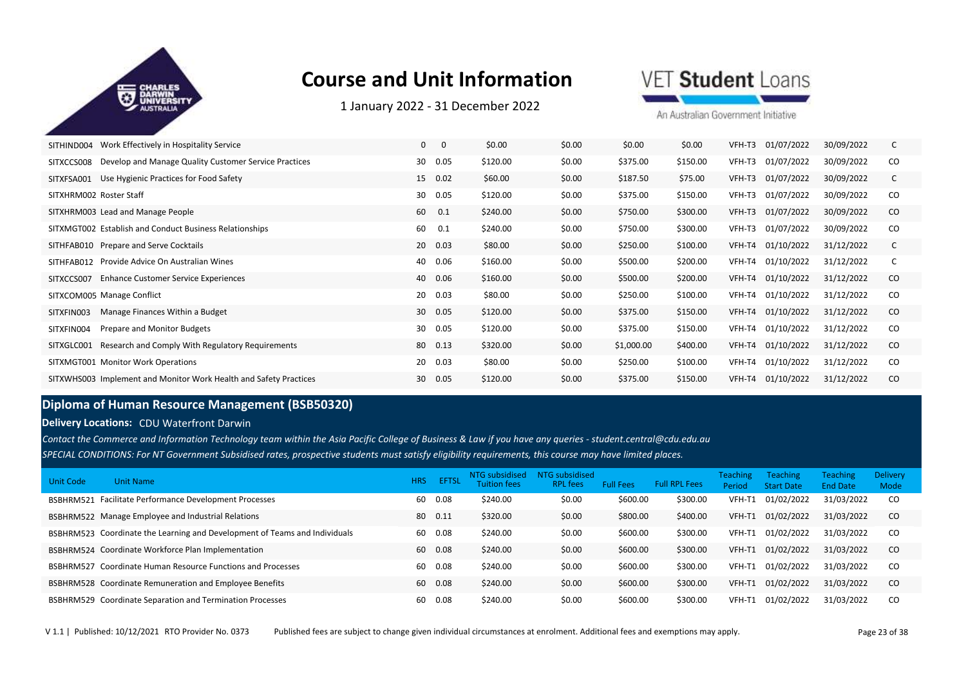

1 January 2022 ‐ 31 December 2022

VET Student Loans

An Australian Government Initiative

| Work Effectively in Hospitality Service<br>SITHIND004               | 0<br>0     | \$0.00   | \$0.00 | \$0.00     | \$0.00   | 01/07/2022<br>VFH-T3 | 30/09/2022 |               |
|---------------------------------------------------------------------|------------|----------|--------|------------|----------|----------------------|------------|---------------|
| Develop and Manage Quality Customer Service Practices<br>SITXCCS008 | 0.05<br>30 | \$120.00 | \$0.00 | \$375.00   | \$150.00 | 01/07/2022<br>VFH-T3 | 30/09/2022 | CO.           |
| Use Hygienic Practices for Food Safety<br>SITXFSA001                | 0.02<br>15 | \$60.00  | \$0.00 | \$187.50   | \$75.00  | VFH-T3<br>01/07/2022 | 30/09/2022 | C             |
| SITXHRM002 Roster Staff                                             | 0.05<br>30 | \$120.00 | \$0.00 | \$375.00   | \$150.00 | 01/07/2022<br>VFH-T3 | 30/09/2022 | CO            |
| SITXHRM003 Lead and Manage People                                   | 60<br>0.1  | \$240.00 | \$0.00 | \$750.00   | \$300.00 | 01/07/2022<br>VFH-T3 | 30/09/2022 | <sub>co</sub> |
| SITXMGT002 Establish and Conduct Business Relationships             | 60<br>0.1  | \$240.00 | \$0.00 | \$750.00   | \$300.00 | 01/07/2022<br>VFH-T3 | 30/09/2022 | CO            |
| SITHFAB010 Prepare and Serve Cocktails                              | 0.03<br>20 | \$80.00  | \$0.00 | \$250.00   | \$100.00 | VFH-T4 01/10/2022    | 31/12/2022 |               |
| SITHFAB012 Provide Advice On Australian Wines                       | 0.06<br>40 | \$160.00 | \$0.00 | \$500.00   | \$200.00 | 01/10/2022<br>VFH-T4 | 31/12/2022 |               |
| <b>Enhance Customer Service Experiences</b><br>SITXCCS007           | 0.06<br>40 | \$160.00 | \$0.00 | \$500.00   | \$200.00 | VFH-T4 01/10/2022    | 31/12/2022 | <sub>co</sub> |
| SITXCOM005 Manage Conflict                                          | 20<br>0.03 | \$80.00  | \$0.00 | \$250.00   | \$100.00 | VFH-T4 01/10/2022    | 31/12/2022 | CO            |
| Manage Finances Within a Budget<br>SITXFIN003                       | 30<br>0.05 | \$120.00 | \$0.00 | \$375.00   | \$150.00 | VFH-T4 01/10/2022    | 31/12/2022 | <sub>co</sub> |
| Prepare and Monitor Budgets<br>SITXFIN004                           | 0.05<br>30 | \$120.00 | \$0.00 | \$375.00   | \$150.00 | 01/10/2022<br>VFH-T4 | 31/12/2022 | <sub>co</sub> |
| Research and Comply With Regulatory Requirements<br>SITXGLC001      | 0.13<br>80 | \$320.00 | \$0.00 | \$1,000.00 | \$400.00 | VFH-T4 01/10/2022    | 31/12/2022 | CO            |
| SITXMGT001 Monitor Work Operations                                  | 0.03<br>20 | \$80.00  | \$0.00 | \$250.00   | \$100.00 | 01/10/2022<br>VFH-T4 | 31/12/2022 | CO.           |
| SITXWHS003 Implement and Monitor Work Health and Safety Practices   | 30<br>0.05 | \$120.00 | \$0.00 | \$375.00   | \$150.00 | VFH-T4 01/10/2022    | 31/12/2022 | <sub>co</sub> |

### **Diploma of Human Resource Management (BSB50320)**

#### **Delivery Locations:** CDU Waterfront Darwin

*SPECIAL CONDITIONS: For NT Government Subsidised rates, prospective students must satisfy eligibility requirements, this course may have limited places. Contact the Commerce and Information Technology team within the Asia Pacific College of Business & Law if you have any queries - student.central@cdu.edu.au*

| Unit Code | Unit Name                                                                  | <b>HRS</b> | <b>EFTSI</b> | NTG subsidised<br><b>Tuition fees</b> | <b>NTG subsidised</b><br><b>RPL</b> fees | <b>Full Fees</b> | <b>Full RPL Fees</b> | <b>Teaching</b><br><b>Period</b> | <b>Teaching</b><br><b>Start Date</b> | <b>Teaching</b><br><b>End Date</b> | <b>Delivery</b><br>Mode |
|-----------|----------------------------------------------------------------------------|------------|--------------|---------------------------------------|------------------------------------------|------------------|----------------------|----------------------------------|--------------------------------------|------------------------------------|-------------------------|
|           | BSBHRM521 Facilitate Performance Development Processes                     | 60         | 0.08         | \$240.00                              | \$0.00                                   | \$600.00         | \$300.00             | VFH-T1                           | 01/02/2022                           | 31/03/2022                         | <sub>co</sub>           |
|           | BSBHRM522 Manage Employee and Industrial Relations                         | 80         | 0.11         | \$320.00                              | \$0.00                                   | \$800.00         | \$400.00             | VFH-T1                           | 01/02/2022                           | 31/03/2022                         | <sub>co</sub>           |
|           | BSBHRM523 Coordinate the Learning and Development of Teams and Individuals | 60         | 0.08         | \$240.00                              | \$0.00                                   | \$600.00         | \$300.00             | VFH-T1                           | 01/02/2022                           | 31/03/2022                         | <sub>co</sub>           |
|           | BSBHRM524 Coordinate Workforce Plan Implementation                         | 60         | 0.08         | \$240.00                              | \$0.00                                   | \$600.00         | \$300.00             | VFH-T1                           | 01/02/2022                           | 31/03/2022                         | <sub>co</sub>           |
| BSBHRM527 | Coordinate Human Resource Functions and Processes                          | 60         | 0.08         | \$240.00                              | \$0.00                                   | \$600.00         | \$300.00             | VFH-T1                           | 01/02/2022                           | 31/03/2022                         | <sub>co</sub>           |
|           | BSBHRM528 Coordinate Remuneration and Employee Benefits                    | 60         | 0.08         | \$240.00                              | \$0.00                                   | \$600.00         | \$300.00             | VFH-T1                           | 01/02/2022                           | 31/03/2022                         | <sub>co</sub>           |
|           | <b>BSBHRM529</b> Coordinate Separation and Termination Processes           | 60         | 0.08         | \$240.00                              | \$0.00                                   | \$600.00         | \$300.00             | VFH-T1                           | 01/02/2022                           | 31/03/2022                         | <sub>co</sub>           |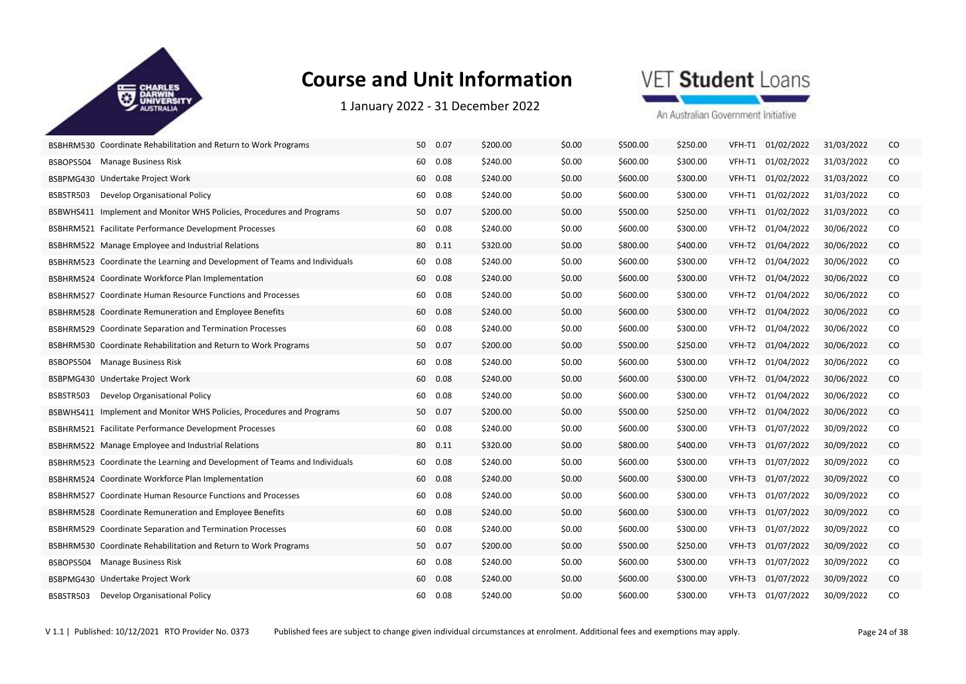

1 January 2022 ‐ 31 December 2022



| BSBHRM530 Coordinate Rehabilitation and Return to Work Programs            | 50<br>0.07 | \$200.00 | \$0.00 | \$500.00 | \$250.00 | VFH-T1 | 01/02/2022 | 31/03/2022 | CO.      |
|----------------------------------------------------------------------------|------------|----------|--------|----------|----------|--------|------------|------------|----------|
| Manage Business Risk<br>BSBOPS504                                          | 0.08<br>60 | \$240.00 | \$0.00 | \$600.00 | \$300.00 | VFH-T1 | 01/02/2022 | 31/03/2022 | CO       |
| BSBPMG430 Undertake Project Work                                           | 60<br>0.08 | \$240.00 | \$0.00 | \$600.00 | \$300.00 | VFH-T1 | 01/02/2022 | 31/03/2022 | $\rm CO$ |
| BSBSTR503<br>Develop Organisational Policy                                 | 0.08<br>60 | \$240.00 | \$0.00 | \$600.00 | \$300.00 | VFH-T1 | 01/02/2022 | 31/03/2022 | CO       |
| BSBWHS411 Implement and Monitor WHS Policies, Procedures and Programs      | 50<br>0.07 | \$200.00 | \$0.00 | \$500.00 | \$250.00 | VFH-T1 | 01/02/2022 | 31/03/2022 | CO       |
| <b>BSBHRM521 Facilitate Performance Development Processes</b>              | 0.08<br>60 | \$240.00 | \$0.00 | \$600.00 | \$300.00 | VFH-T2 | 01/04/2022 | 30/06/2022 | CO       |
| BSBHRM522 Manage Employee and Industrial Relations                         | 80  0.11   | \$320.00 | \$0.00 | \$800.00 | \$400.00 | VFH-T2 | 01/04/2022 | 30/06/2022 | CO.      |
| BSBHRM523 Coordinate the Learning and Development of Teams and Individuals | 0.08<br>60 | \$240.00 | \$0.00 | \$600.00 | \$300.00 | VFH-T2 | 01/04/2022 | 30/06/2022 | CO       |
| BSBHRM524 Coordinate Workforce Plan Implementation                         | 60<br>0.08 | \$240.00 | \$0.00 | \$600.00 | \$300.00 | VFH-T2 | 01/04/2022 | 30/06/2022 | CO       |
| <b>BSBHRM527</b> Coordinate Human Resource Functions and Processes         | 0.08<br>60 | \$240.00 | \$0.00 | \$600.00 | \$300.00 | VFH-T2 | 01/04/2022 | 30/06/2022 | CO.      |
| BSBHRM528 Coordinate Remuneration and Employee Benefits                    | 60<br>0.08 | \$240.00 | \$0.00 | \$600.00 | \$300.00 | VFH-T2 | 01/04/2022 | 30/06/2022 | $\rm CO$ |
| BSBHRM529 Coordinate Separation and Termination Processes                  | 60<br>0.08 | \$240.00 | \$0.00 | \$600.00 | \$300.00 | VFH-T2 | 01/04/2022 | 30/06/2022 | CO       |
| BSBHRM530 Coordinate Rehabilitation and Return to Work Programs            | 50 0.07    | \$200.00 | \$0.00 | \$500.00 | \$250.00 | VFH-T2 | 01/04/2022 | 30/06/2022 | CO       |
| <b>Manage Business Risk</b><br>BSBOPS504                                   | 60<br>0.08 | \$240.00 | \$0.00 | \$600.00 | \$300.00 | VFH-T2 | 01/04/2022 | 30/06/2022 | CO       |
| BSBPMG430 Undertake Project Work                                           | 60<br>0.08 | \$240.00 | \$0.00 | \$600.00 | \$300.00 | VFH-T2 | 01/04/2022 | 30/06/2022 | $\rm CO$ |
| Develop Organisational Policy<br>BSBSTR503                                 | 0.08<br>60 | \$240.00 | \$0.00 | \$600.00 | \$300.00 | VFH-T2 | 01/04/2022 | 30/06/2022 | CO       |
| BSBWHS411 Implement and Monitor WHS Policies, Procedures and Programs      | 0.07<br>50 | \$200.00 | \$0.00 | \$500.00 | \$250.00 | VFH-T2 | 01/04/2022 | 30/06/2022 | $\rm CO$ |
| <b>BSBHRM521 Facilitate Performance Development Processes</b>              | 60<br>0.08 | \$240.00 | \$0.00 | \$600.00 | \$300.00 | VFH-T3 | 01/07/2022 | 30/09/2022 | CO       |
| BSBHRM522 Manage Employee and Industrial Relations                         | 80  0.11   | \$320.00 | \$0.00 | \$800.00 | \$400.00 | VFH-T3 | 01/07/2022 | 30/09/2022 | CO.      |
| BSBHRM523 Coordinate the Learning and Development of Teams and Individuals | 0.08<br>60 | \$240.00 | \$0.00 | \$600.00 | \$300.00 | VFH-T3 | 01/07/2022 | 30/09/2022 | CO       |
| BSBHRM524 Coordinate Workforce Plan Implementation                         | 60<br>0.08 | \$240.00 | \$0.00 | \$600.00 | \$300.00 | VFH-T3 | 01/07/2022 | 30/09/2022 | CO       |
| <b>BSBHRM527</b> Coordinate Human Resource Functions and Processes         | 0.08<br>60 | \$240.00 | \$0.00 | \$600.00 | \$300.00 | VFH-T3 | 01/07/2022 | 30/09/2022 | CO       |
| BSBHRM528 Coordinate Remuneration and Employee Benefits                    | 60<br>0.08 | \$240.00 | \$0.00 | \$600.00 | \$300.00 | VFH-T3 | 01/07/2022 | 30/09/2022 | CO       |
| BSBHRM529 Coordinate Separation and Termination Processes                  | 0.08<br>60 | \$240.00 | \$0.00 | \$600.00 | \$300.00 | VFH-T3 | 01/07/2022 | 30/09/2022 | CO       |
| BSBHRM530 Coordinate Rehabilitation and Return to Work Programs            | 0.07<br>50 | \$200.00 | \$0.00 | \$500.00 | \$250.00 | VFH-T3 | 01/07/2022 | 30/09/2022 | CO       |
| <b>Manage Business Risk</b><br>BSBOPS504                                   | 60<br>0.08 | \$240.00 | \$0.00 | \$600.00 | \$300.00 | VFH-T3 | 01/07/2022 | 30/09/2022 | CO       |
| BSBPMG430 Undertake Project Work                                           | 60<br>0.08 | \$240.00 | \$0.00 | \$600.00 | \$300.00 | VFH-T3 | 01/07/2022 | 30/09/2022 | CO.      |
| BSBSTR503<br>Develop Organisational Policy                                 | 60<br>0.08 | \$240.00 | \$0.00 | \$600.00 | \$300.00 | VFH-T3 | 01/07/2022 | 30/09/2022 | CO       |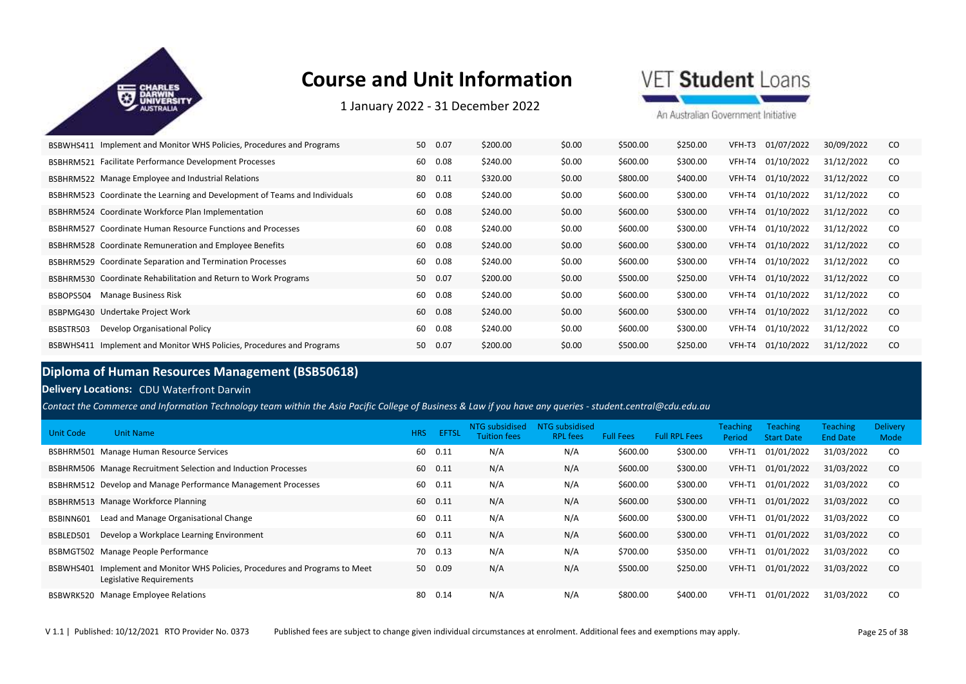

1 January 2022 ‐ 31 December 2022

VET Student Loans

An Australian Government Initiative

| Implement and Monitor WHS Policies, Procedures and Programs<br>BSBWHS411   | 50<br>0.07 | \$200.00 | \$0.00 | \$500.00 | \$250.00 | 01/07/2022<br>VFH-T3 | 30/09/2022 | CO.           |
|----------------------------------------------------------------------------|------------|----------|--------|----------|----------|----------------------|------------|---------------|
| Facilitate Performance Development Processes<br>BSBHRM521                  | 60<br>0.08 | \$240.00 | \$0.00 | \$600.00 | \$300.00 | 01/10/2022<br>VFH-T4 | 31/12/2022 | <sub>CO</sub> |
| BSBHRM522 Manage Employee and Industrial Relations                         | 80<br>0.11 | \$320.00 | \$0.00 | \$800.00 | \$400.00 | 01/10/2022<br>VFH-T4 | 31/12/2022 | CO.           |
| BSBHRM523 Coordinate the Learning and Development of Teams and Individuals | 0.08<br>60 | \$240.00 | \$0.00 | \$600.00 | \$300.00 | 01/10/2022<br>VFH-T4 | 31/12/2022 | CO.           |
| BSBHRM524 Coordinate Workforce Plan Implementation                         | 60<br>0.08 | \$240.00 | \$0.00 | \$600.00 | \$300.00 | 01/10/2022<br>VFH-T4 | 31/12/2022 | <sub>co</sub> |
| BSBHRM527 Coordinate Human Resource Functions and Processes                | 0.08<br>60 | \$240.00 | \$0.00 | \$600.00 | \$300.00 | 01/10/2022<br>VFH-T4 | 31/12/2022 | <sub>CO</sub> |
| BSBHRM528 Coordinate Remuneration and Employee Benefits                    | 60<br>0.08 | \$240.00 | \$0.00 | \$600.00 | \$300.00 | 01/10/2022<br>VFH-T4 | 31/12/2022 | CO.           |
| BSBHRM529 Coordinate Separation and Termination Processes                  | 60<br>0.08 | \$240.00 | \$0.00 | \$600.00 | \$300.00 | 01/10/2022<br>VFH-T4 | 31/12/2022 | <sub>CO</sub> |
| BSBHRM530 Coordinate Rehabilitation and Return to Work Programs            | 50<br>0.07 | \$200.00 | \$0.00 | \$500.00 | \$250.00 | 01/10/2022<br>VFH-T4 | 31/12/2022 | <sub>co</sub> |
| <b>Manage Business Risk</b><br>BSBOPS504                                   | 0.08<br>60 | \$240.00 | \$0.00 | \$600.00 | \$300.00 | 01/10/2022<br>VFH-T4 | 31/12/2022 | <sub>CO</sub> |
| BSBPMG430 Undertake Project Work                                           | 60<br>0.08 | \$240.00 | \$0.00 | \$600.00 | \$300.00 | 01/10/2022<br>VFH-T4 | 31/12/2022 | <sub>co</sub> |
| Develop Organisational Policy<br>BSBSTR503                                 | 0.08<br>60 | \$240.00 | \$0.00 | \$600.00 | \$300.00 | 01/10/2022<br>VFH-T4 | 31/12/2022 | <sub>CO</sub> |
| Implement and Monitor WHS Policies, Procedures and Programs<br>BSBWHS411   | 50<br>0.07 | \$200.00 | \$0.00 | \$500.00 | \$250.00 | 01/10/2022<br>VFH-T4 | 31/12/2022 | <sub>co</sub> |

### **Diploma of Human Resources Management (BSB50618)**

#### **Delivery Locations:** CDU Waterfront Darwin

*Contact the Commerce and Information Technology team within the Asia Pacific College of Business & Law if you have any queries - student.central@cdu.edu.au*

| Unit Code | <b>Unit Name</b>                                                                                | <b>HRS</b> | <b>EFTSL</b> | NTG subsidised<br>Tuition fees | NTG subsidised<br><b>RPL</b> fees | <b>Full Fees</b> | <b>Full RPL Fees</b> | <b>Teaching</b><br>Period | <b>Teaching</b><br><b>Start Date</b> | <b>Teaching</b><br><b>End Date</b> | <b>Delivery</b><br>Mode |
|-----------|-------------------------------------------------------------------------------------------------|------------|--------------|--------------------------------|-----------------------------------|------------------|----------------------|---------------------------|--------------------------------------|------------------------------------|-------------------------|
|           | BSBHRM501 Manage Human Resource Services                                                        | 60         | 0.11         | N/A                            | N/A                               | \$600.00         | \$300.00             | VFH-T1                    | 01/01/2022                           | 31/03/2022                         | CO.                     |
|           | BSBHRM506 Manage Recruitment Selection and Induction Processes                                  | 60         | 0.11         | N/A                            | N/A                               | \$600.00         | \$300.00             | VFH-T1                    | 01/01/2022                           | 31/03/2022                         | <sub>co</sub>           |
|           | BSBHRM512 Develop and Manage Performance Management Processes                                   | 60         | 0.11         | N/A                            | N/A                               | \$600.00         | \$300.00             | VFH-T1                    | 01/01/2022                           | 31/03/2022                         | CO.                     |
|           | BSBHRM513 Manage Workforce Planning                                                             | 60         | 0.11         | N/A                            | N/A                               | \$600.00         | \$300.00             | VFH-T1                    | 01/01/2022                           | 31/03/2022                         | <sub>co</sub>           |
| BSBINN601 | Lead and Manage Organisational Change                                                           | 60         | 0.11         | N/A                            | N/A                               | \$600.00         | \$300.00             | VFH-T1                    | 01/01/2022                           | 31/03/2022                         | CO.                     |
| BSBLED501 | Develop a Workplace Learning Environment                                                        | 60         | 0.11         | N/A                            | N/A                               | \$600.00         | \$300.00             | VFH-T1                    | 01/01/2022                           | 31/03/2022                         | <sub>co</sub>           |
|           | BSBMGT502 Manage People Performance                                                             | 70         | 0.13         | N/A                            | N/A                               | \$700.00         | \$350.00             | VFH-T1                    | 01/01/2022                           | 31/03/2022                         | CO.                     |
| BSBWHS401 | Implement and Monitor WHS Policies, Procedures and Programs to Meet<br>Legislative Requirements | 50         | 0.09         | N/A                            | N/A                               | \$500.00         | \$250.00             | VFH-T1                    | 01/01/2022                           | 31/03/2022                         | <sub>co</sub>           |
|           | BSBWRK520 Manage Employee Relations                                                             | 80         | 0.14         | N/A                            | N/A                               | \$800.00         | \$400.00             | VFH-T1                    | 01/01/2022                           | 31/03/2022                         | CO.                     |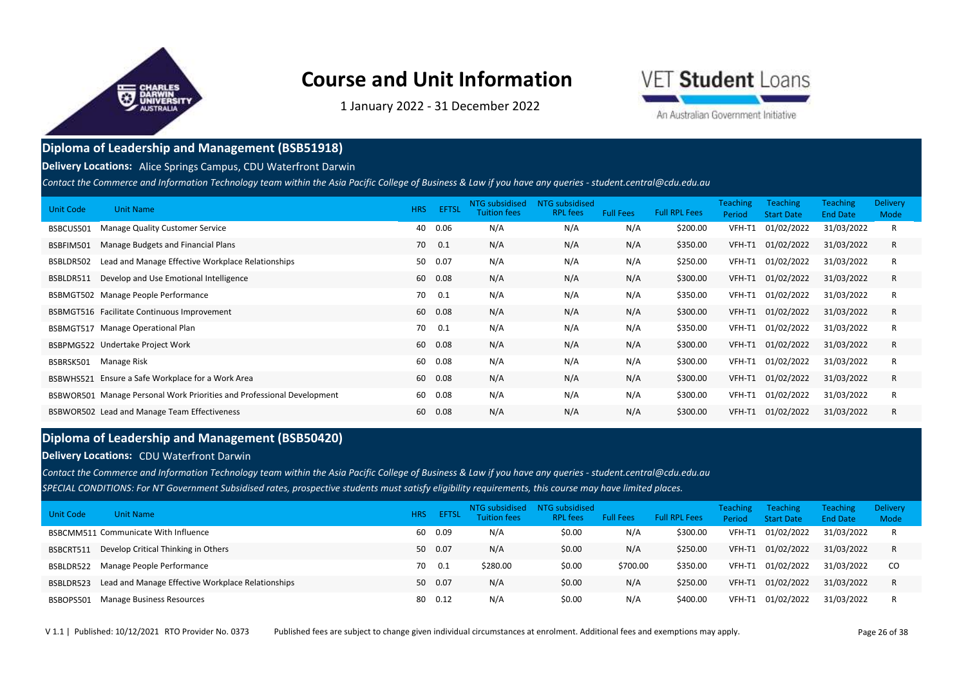

1 January 2022 ‐ 31 December 2022



An Australian Government Initiative

#### **Diploma of Leadership and Management (BSB51918)**

#### **Delivery Locations:** Alice Springs Campus, CDU Waterfront Darwin

*Contact the Commerce and Information Technology team within the Asia Pacific College of Business & Law if you have any queries - student.central@cdu.edu.au*

| Unit Code | <b>Unit Name</b>                                                       | <b>HRS</b> | <b>EFTSL</b> | NTG subsidised<br><b>Tuition fees</b> | NTG subsidised<br><b>RPL fees</b> | <b>Full Fees</b> | <b>Full RPL Fees</b> | <b>Teaching</b><br>Period | <b>Teaching</b><br><b>Start Date</b> | <b>Teaching</b><br><b>End Date</b> | <b>Delivery</b><br>Mode |
|-----------|------------------------------------------------------------------------|------------|--------------|---------------------------------------|-----------------------------------|------------------|----------------------|---------------------------|--------------------------------------|------------------------------------|-------------------------|
| BSBCUS501 | Manage Quality Customer Service                                        | 40         | 0.06         | N/A                                   | N/A                               | N/A              | \$200.00             | VFH-T1                    | 01/02/2022                           | 31/03/2022                         | R                       |
| BSBFIM501 | Manage Budgets and Financial Plans                                     | 70         | 0.1          | N/A                                   | N/A                               | N/A              | \$350.00             | VFH-T1                    | 01/02/2022                           | 31/03/2022                         | R                       |
| BSBLDR502 | Lead and Manage Effective Workplace Relationships                      | 50         | 0.07         | N/A                                   | N/A                               | N/A              | \$250.00             | VFH-T1                    | 01/02/2022                           | 31/03/2022                         | R                       |
| BSBLDR511 | Develop and Use Emotional Intelligence                                 | 60         | 0.08         | N/A                                   | N/A                               | N/A              | \$300.00             | VFH-T1                    | 01/02/2022                           | 31/03/2022                         | R                       |
|           | BSBMGT502 Manage People Performance                                    | 70         | 0.1          | N/A                                   | N/A                               | N/A              | \$350.00             | VFH-T1                    | 01/02/2022                           | 31/03/2022                         | R                       |
|           | BSBMGT516 Facilitate Continuous Improvement                            | 60         | 0.08         | N/A                                   | N/A                               | N/A              | \$300.00             | VFH-T1                    | 01/02/2022                           | 31/03/2022                         | R                       |
|           | BSBMGT517 Manage Operational Plan                                      | 70         | 0.1          | N/A                                   | N/A                               | N/A              | \$350.00             | VFH-T1                    | 01/02/2022                           | 31/03/2022                         | R                       |
|           | BSBPMG522 Undertake Project Work                                       | 60         | 0.08         | N/A                                   | N/A                               | N/A              | \$300.00             | VFH-T1                    | 01/02/2022                           | 31/03/2022                         | R                       |
| BSBRSK501 | Manage Risk                                                            | 60         | 0.08         | N/A                                   | N/A                               | N/A              | \$300.00             | VFH-T1                    | 01/02/2022                           | 31/03/2022                         | R                       |
|           | BSBWHS521 Ensure a Safe Workplace for a Work Area                      | 60         | 0.08         | N/A                                   | N/A                               | N/A              | \$300.00             |                           | VFH-T1 01/02/2022                    | 31/03/2022                         | R                       |
|           | BSBWOR501 Manage Personal Work Priorities and Professional Development | 60         | 0.08         | N/A                                   | N/A                               | N/A              | \$300.00             | VFH-T1                    | 01/02/2022                           | 31/03/2022                         | R                       |
|           | BSBWOR502 Lead and Manage Team Effectiveness                           | 60         | 0.08         | N/A                                   | N/A                               | N/A              | \$300.00             | VFH-T1                    | 01/02/2022                           | 31/03/2022                         | R                       |

### **Diploma of Leadership and Management (BSB50420)**

#### **Delivery Locations: CDU Waterfront Darwin**

*SPECIAL CONDITIONS: For NT Government Subsidised rates, prospective students must satisfy eligibility requirements, this course may have limited places. Contact the Commerce and Information Technology team within the Asia Pacific College of Business & Law if you have any queries - student.central@cdu.edu.au*

| Unit Code | <b>Unit Name</b>                                  | <b>HRS</b> | <b>EFTSL</b> | NTG subsidised<br><b>Tuition fees</b> | NTG subsidised<br><b>RPL fees</b> | <b>Full Fees</b> | <b>Full RPL Fees</b> | <b>Teaching</b><br>Period | <b>Teaching</b><br><b>Start Date</b> | <b>Teaching</b><br><b>End Date</b> | <b>Delivery</b><br>Mode |
|-----------|---------------------------------------------------|------------|--------------|---------------------------------------|-----------------------------------|------------------|----------------------|---------------------------|--------------------------------------|------------------------------------|-------------------------|
|           | BSBCMM511 Communicate With Influence              |            | 60 0.09      | N/A                                   | \$0.00                            | N/A              | \$300.00             | VFH-T1                    | 01/02/2022                           | 31/03/2022                         |                         |
| BSBCRT511 | Develop Critical Thinking in Others               |            | 50 0.07      | N/A                                   | \$0.00                            | N/A              | \$250.00             | VFH-T1                    | 01/02/2022                           | 31/03/2022                         |                         |
| BSBLDR522 | Manage People Performance                         | 70         | 0.1          | \$280.00                              | \$0.00                            | \$700.00         | \$350.00             | VFH-T1                    | 01/02/2022                           | 31/03/2022                         | .co                     |
| BSBLDR523 | Lead and Manage Effective Workplace Relationships |            | 50 0.07      | N/A                                   | \$0.00                            | N/A              | \$250.00             | VFH-T1                    | 01/02/2022                           | 31/03/2022                         |                         |
| BSBOPS501 | Manage Business Resources                         |            | 80 0.12      | N/A                                   | \$0.00                            | N/A              | \$400.00             | VFH-T1                    | 01/02/2022                           | 31/03/2022                         |                         |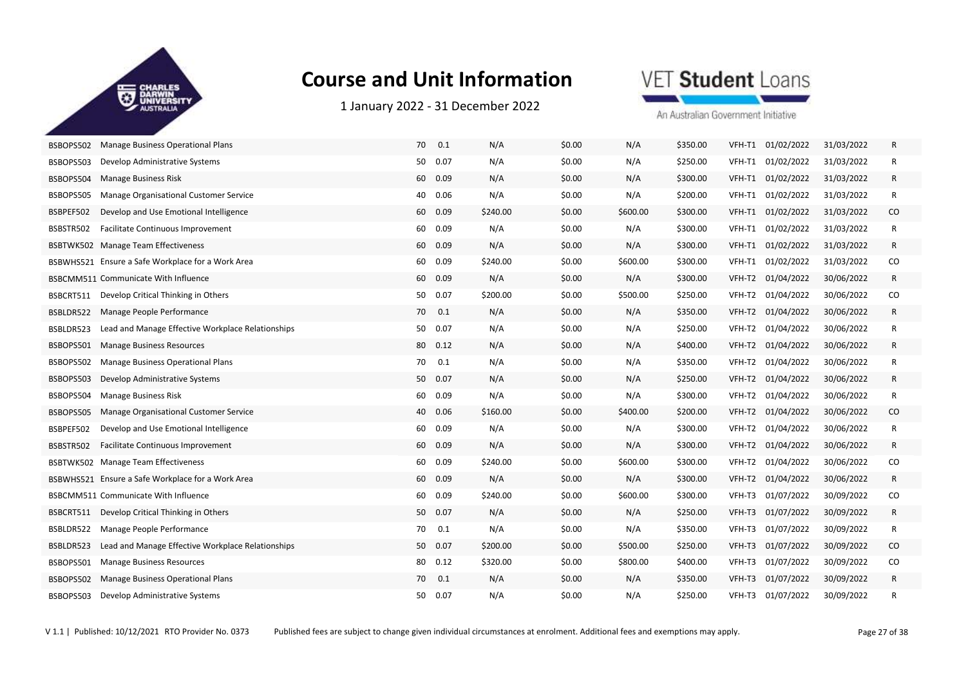

1 January 2022 ‐ 31 December 2022

VET Student Loans

| BSBOPS502 | Manage Business Operational Plans                 | 70 | 0.1      | N/A      | \$0.00 | N/A      | \$350.00 | VFH-T1 | 01/02/2022 | 31/03/2022 | R        |
|-----------|---------------------------------------------------|----|----------|----------|--------|----------|----------|--------|------------|------------|----------|
| BSBOPS503 | Develop Administrative Systems                    | 50 | 0.07     | N/A      | \$0.00 | N/A      | \$250.00 | VFH-T1 | 01/02/2022 | 31/03/2022 | R        |
| BSBOPS504 | <b>Manage Business Risk</b>                       |    | 60 0.09  | N/A      | \$0.00 | N/A      | \$300.00 | VFH-T1 | 01/02/2022 | 31/03/2022 | R        |
| BSBOPS505 | Manage Organisational Customer Service            | 40 | 0.06     | N/A      | \$0.00 | N/A      | \$200.00 | VFH-T1 | 01/02/2022 | 31/03/2022 | R        |
| BSBPEF502 | Develop and Use Emotional Intelligence            | 60 | 0.09     | \$240.00 | \$0.00 | \$600.00 | \$300.00 | VFH-T1 | 01/02/2022 | 31/03/2022 | CO       |
| BSBSTR502 | Facilitate Continuous Improvement                 |    | 60 0.09  | N/A      | \$0.00 | N/A      | \$300.00 | VFH-T1 | 01/02/2022 | 31/03/2022 | R        |
|           | BSBTWK502 Manage Team Effectiveness               |    | 60 0.09  | N/A      | \$0.00 | N/A      | \$300.00 | VFH-T1 | 01/02/2022 | 31/03/2022 | R        |
|           | BSBWHS521 Ensure a Safe Workplace for a Work Area | 60 | 0.09     | \$240.00 | \$0.00 | \$600.00 | \$300.00 | VFH-T1 | 01/02/2022 | 31/03/2022 | CO       |
|           | BSBCMM511 Communicate With Influence              |    | 60 0.09  | N/A      | \$0.00 | N/A      | \$300.00 | VFH-T2 | 01/04/2022 | 30/06/2022 | R        |
| BSBCRT511 | Develop Critical Thinking in Others               | 50 | 0.07     | \$200.00 | \$0.00 | \$500.00 | \$250.00 | VFH-T2 | 01/04/2022 | 30/06/2022 | CO       |
| BSBLDR522 | Manage People Performance                         | 70 | 0.1      | N/A      | \$0.00 | N/A      | \$350.00 | VFH-T2 | 01/04/2022 | 30/06/2022 | R        |
| BSBLDR523 | Lead and Manage Effective Workplace Relationships |    | 50 0.07  | N/A      | \$0.00 | N/A      | \$250.00 | VFH-T2 | 01/04/2022 | 30/06/2022 | R        |
| BSBOPS501 | <b>Manage Business Resources</b>                  |    | 80 0.12  | N/A      | \$0.00 | N/A      | \$400.00 | VFH-T2 | 01/04/2022 | 30/06/2022 | R        |
| BSBOPS502 | Manage Business Operational Plans                 | 70 | 0.1      | N/A      | \$0.00 | N/A      | \$350.00 | VFH-T2 | 01/04/2022 | 30/06/2022 | R        |
| BSBOPS503 | Develop Administrative Systems                    |    | 50 0.07  | N/A      | \$0.00 | N/A      | \$250.00 | VFH-T2 | 01/04/2022 | 30/06/2022 | R        |
| BSBOPS504 | <b>Manage Business Risk</b>                       |    | 60 0.09  | N/A      | \$0.00 | N/A      | \$300.00 | VFH-T2 | 01/04/2022 | 30/06/2022 | R        |
| BSBOPS505 | Manage Organisational Customer Service            |    | 40  0.06 | \$160.00 | \$0.00 | \$400.00 | \$200.00 | VFH-T2 | 01/04/2022 | 30/06/2022 | CO       |
| BSBPEF502 | Develop and Use Emotional Intelligence            | 60 | 0.09     | N/A      | \$0.00 | N/A      | \$300.00 | VFH-T2 | 01/04/2022 | 30/06/2022 | R        |
| BSBSTR502 | Facilitate Continuous Improvement                 |    | 60 0.09  | N/A      | \$0.00 | N/A      | \$300.00 | VFH-T2 | 01/04/2022 | 30/06/2022 | R        |
|           | BSBTWK502 Manage Team Effectiveness               | 60 | 0.09     | \$240.00 | \$0.00 | \$600.00 | \$300.00 | VFH-T2 | 01/04/2022 | 30/06/2022 | $\rm CO$ |
|           | BSBWHS521 Ensure a Safe Workplace for a Work Area |    | 60 0.09  | N/A      | \$0.00 | N/A      | \$300.00 | VFH-T2 | 01/04/2022 | 30/06/2022 | R        |
|           | BSBCMM511 Communicate With Influence              |    | 60 0.09  | \$240.00 | \$0.00 | \$600.00 | \$300.00 | VFH-T3 | 01/07/2022 | 30/09/2022 | $\rm CO$ |
| BSBCRT511 | Develop Critical Thinking in Others               |    | 50 0.07  | N/A      | \$0.00 | N/A      | \$250.00 | VFH-T3 | 01/07/2022 | 30/09/2022 | R        |
| BSBLDR522 | Manage People Performance                         | 70 | 0.1      | N/A      | \$0.00 | N/A      | \$350.00 | VFH-T3 | 01/07/2022 | 30/09/2022 | R        |
| BSBLDR523 | Lead and Manage Effective Workplace Relationships |    | 50 0.07  | \$200.00 | \$0.00 | \$500.00 | \$250.00 | VFH-T3 | 01/07/2022 | 30/09/2022 | CO       |
| BSBOPS501 | <b>Manage Business Resources</b>                  | 80 | 0.12     | \$320.00 | \$0.00 | \$800.00 | \$400.00 | VFH-T3 | 01/07/2022 | 30/09/2022 | CO       |
| BSBOPS502 | Manage Business Operational Plans                 | 70 | 0.1      | N/A      | \$0.00 | N/A      | \$350.00 | VFH-T3 | 01/07/2022 | 30/09/2022 | R        |
| BSBOPS503 | Develop Administrative Systems                    | 50 | 0.07     | N/A      | \$0.00 | N/A      | \$250.00 | VFH-T3 | 01/07/2022 | 30/09/2022 | R        |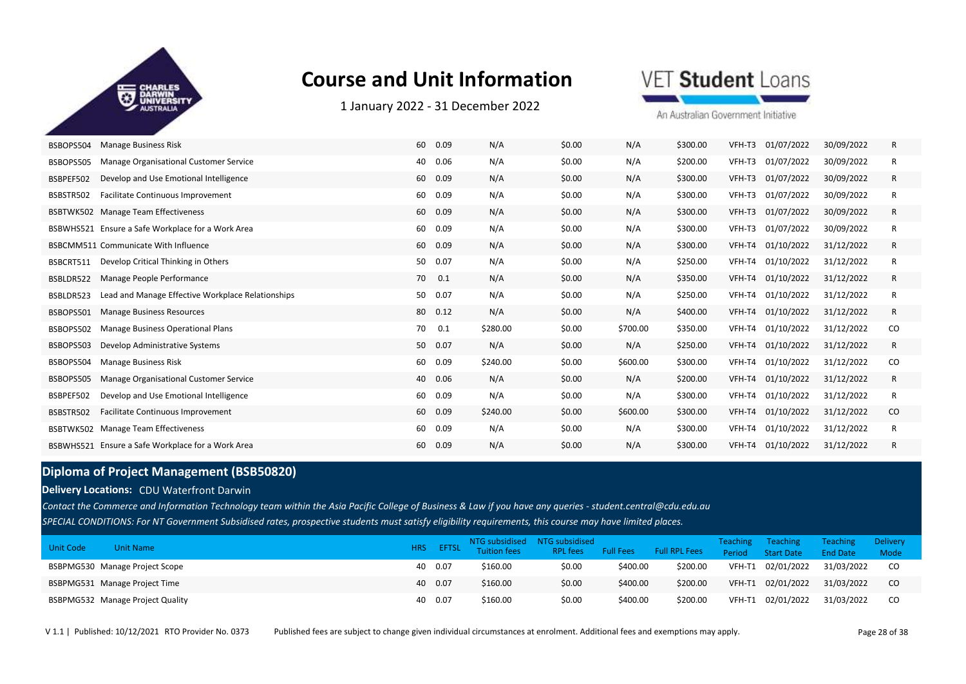

1 January 2022 ‐ 31 December 2022

VET Student Loans

An Australian Government Initiative

| BSBOPS504 | <b>Manage Business Risk</b>                       | 60 | 0.09 | N/A      | \$0.00 | N/A      | \$300.00 | VFH-T3 | 01/07/2022        | 30/09/2022 | R  |
|-----------|---------------------------------------------------|----|------|----------|--------|----------|----------|--------|-------------------|------------|----|
| BSBOPS505 | Manage Organisational Customer Service            | 40 | 0.06 | N/A      | \$0.00 | N/A      | \$200.00 | VFH-T3 | 01/07/2022        | 30/09/2022 | R  |
| BSBPEF502 | Develop and Use Emotional Intelligence            | 60 | 0.09 | N/A      | \$0.00 | N/A      | \$300.00 | VFH-T3 | 01/07/2022        | 30/09/2022 | R  |
| BSBSTR502 | <b>Facilitate Continuous Improvement</b>          | 60 | 0.09 | N/A      | \$0.00 | N/A      | \$300.00 | VFH-T3 | 01/07/2022        | 30/09/2022 | R  |
| BSBTWK502 | Manage Team Effectiveness                         | 60 | 0.09 | N/A      | \$0.00 | N/A      | \$300.00 | VFH-T3 | 01/07/2022        | 30/09/2022 | R  |
|           | BSBWHS521 Ensure a Safe Workplace for a Work Area | 60 | 0.09 | N/A      | \$0.00 | N/A      | \$300.00 | VFH-T3 | 01/07/2022        | 30/09/2022 | R  |
|           | <b>BSBCMM511 Communicate With Influence</b>       | 60 | 0.09 | N/A      | \$0.00 | N/A      | \$300.00 | VFH-T4 | 01/10/2022        | 31/12/2022 | R  |
| BSBCRT511 | Develop Critical Thinking in Others               | 50 | 0.07 | N/A      | \$0.00 | N/A      | \$250.00 | VFH-T4 | 01/10/2022        | 31/12/2022 | R  |
| BSBLDR522 | Manage People Performance                         | 70 | 0.1  | N/A      | \$0.00 | N/A      | \$350.00 | VFH-T4 | 01/10/2022        | 31/12/2022 | R  |
| BSBLDR523 | Lead and Manage Effective Workplace Relationships | 50 | 0.07 | N/A      | \$0.00 | N/A      | \$250.00 | VFH-T4 | 01/10/2022        | 31/12/2022 | R  |
| BSBOPS501 | <b>Manage Business Resources</b>                  | 80 | 0.12 | N/A      | \$0.00 | N/A      | \$400.00 | VFH-T4 | 01/10/2022        | 31/12/2022 | R  |
| BSBOPS502 | Manage Business Operational Plans                 | 70 | 0.1  | \$280.00 | \$0.00 | \$700.00 | \$350.00 | VFH-T4 | 01/10/2022        | 31/12/2022 | CO |
| BSBOPS503 | Develop Administrative Systems                    | 50 | 0.07 | N/A      | \$0.00 | N/A      | \$250.00 |        | VFH-T4 01/10/2022 | 31/12/2022 | R  |
| BSBOPS504 | <b>Manage Business Risk</b>                       | 60 | 0.09 | \$240.00 | \$0.00 | \$600.00 | \$300.00 | VFH-T4 | 01/10/2022        | 31/12/2022 | CO |
| BSBOPS505 | Manage Organisational Customer Service            | 40 | 0.06 | N/A      | \$0.00 | N/A      | \$200.00 | VFH-T4 | 01/10/2022        | 31/12/2022 | R  |
| BSBPEF502 | Develop and Use Emotional Intelligence            | 60 | 0.09 | N/A      | \$0.00 | N/A      | \$300.00 | VFH-T4 | 01/10/2022        | 31/12/2022 | R  |
| BSBSTR502 | Facilitate Continuous Improvement                 | 60 | 0.09 | \$240.00 | \$0.00 | \$600.00 | \$300.00 | VFH-T4 | 01/10/2022        | 31/12/2022 | CO |
| BSBTWK502 | <b>Manage Team Effectiveness</b>                  | 60 | 0.09 | N/A      | \$0.00 | N/A      | \$300.00 | VFH-T4 | 01/10/2022        | 31/12/2022 | R  |
|           | BSBWHS521 Ensure a Safe Workplace for a Work Area | 60 | 0.09 | N/A      | \$0.00 | N/A      | \$300.00 |        | VFH-T4 01/10/2022 | 31/12/2022 | R  |

### **Diploma of Project Management (BSB50820)**

**Delivery Locations:** CDU Waterfront Darwin

*SPECIAL CONDITIONS: For NT Government Subsidised rates, prospective students must satisfy eligibility requirements, this course may have limited places. Contact the Commerce and Information Technology team within the Asia Pacific College of Business & Law if you have any queries - student.central@cdu.edu.au*

| Unit Code<br><b>Unit Name</b>    |         | NTG subsidised NTG subsidised<br><b>EFTSL</b> Tuition fees | RPL fees | <b>Full Fees</b> | <b>Eull RPL Fees</b> | Teaching<br>Period | Teaching<br><b>Start Date</b> | <b>Teaching</b><br><b>End Date</b> | <b>Delivery</b><br>Mode |
|----------------------------------|---------|------------------------------------------------------------|----------|------------------|----------------------|--------------------|-------------------------------|------------------------------------|-------------------------|
| BSBPMG530 Manage Project Scope   | 40 0.07 | \$160.00                                                   | \$0.00   | \$400.00         | \$200.00             | VFH-T1             | 02/01/2022                    | 31/03/2022                         | CO.                     |
| BSBPMG531 Manage Project Time    | 40 0.07 | \$160.00                                                   | \$0.00   | \$400.00         | \$200.00             | VFH-T1             | 02/01/2022                    | 31/03/2022                         | <sub>co</sub>           |
| BSBPMG532 Manage Project Quality | 40 0.07 | \$160.00                                                   | \$0.00   | \$400.00         | \$200.00             | VFH-T1             | 02/01/2022                    | 31/03/2022                         | CO.                     |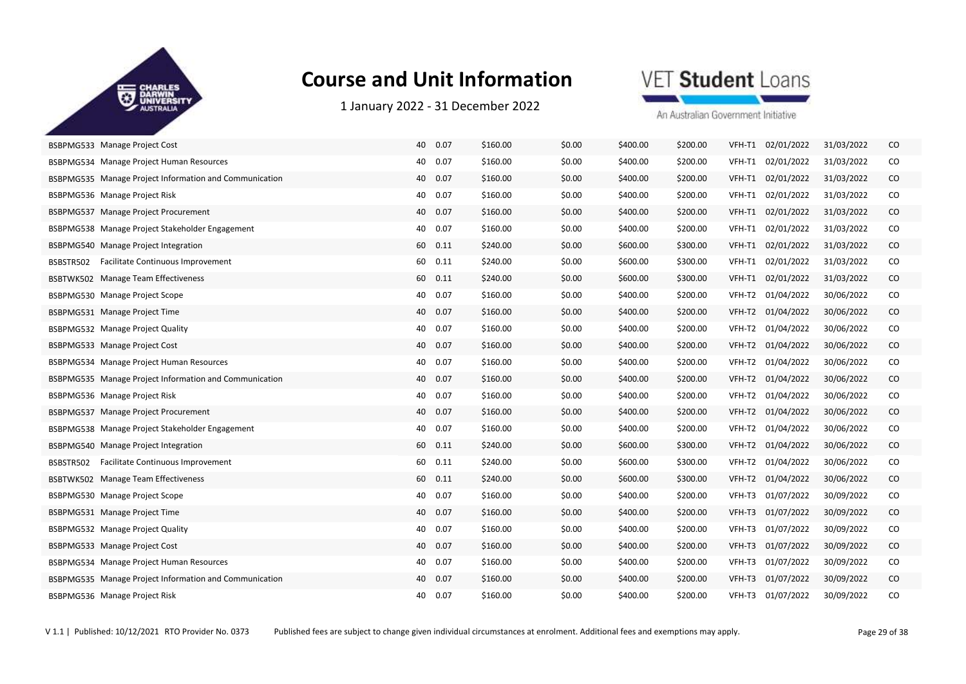

1 January 2022 ‐ 31 December 2022

### VET Student Loans

| BSBPMG533 Manage Project Cost                          | 40<br>0.07 | \$160.00 | \$0.00 | \$400.00 | \$200.00 | VFH-T1 | 02/01/2022 | 31/03/2022 | CO       |
|--------------------------------------------------------|------------|----------|--------|----------|----------|--------|------------|------------|----------|
| BSBPMG534 Manage Project Human Resources               | 40<br>0.07 | \$160.00 | \$0.00 | \$400.00 | \$200.00 | VFH-T1 | 02/01/2022 | 31/03/2022 | CO       |
| BSBPMG535 Manage Project Information and Communication | 40 0.07    | \$160.00 | \$0.00 | \$400.00 | \$200.00 | VFH-T1 | 02/01/2022 | 31/03/2022 | CO       |
| BSBPMG536 Manage Project Risk                          | 40<br>0.07 | \$160.00 | \$0.00 | \$400.00 | \$200.00 | VFH-T1 | 02/01/2022 | 31/03/2022 | $\rm CO$ |
| BSBPMG537 Manage Project Procurement                   | 40<br>0.07 | \$160.00 | \$0.00 | \$400.00 | \$200.00 | VFH-T1 | 02/01/2022 | 31/03/2022 | $\rm CO$ |
| BSBPMG538 Manage Project Stakeholder Engagement        | 40<br>0.07 | \$160.00 | \$0.00 | \$400.00 | \$200.00 | VFH-T1 | 02/01/2022 | 31/03/2022 | CO       |
| BSBPMG540 Manage Project Integration                   | 60<br>0.11 | \$240.00 | \$0.00 | \$600.00 | \$300.00 | VFH-T1 | 02/01/2022 | 31/03/2022 | CO       |
| BSBSTR502<br>Facilitate Continuous Improvement         | 60<br>0.11 | \$240.00 | \$0.00 | \$600.00 | \$300.00 | VFH-T1 | 02/01/2022 | 31/03/2022 | $\rm CO$ |
| BSBTWK502 Manage Team Effectiveness                    | 60 0.11    | \$240.00 | \$0.00 | \$600.00 | \$300.00 | VFH-T1 | 02/01/2022 | 31/03/2022 | $\rm CO$ |
| BSBPMG530 Manage Project Scope                         | 0.07<br>40 | \$160.00 | \$0.00 | \$400.00 | \$200.00 | VFH-T2 | 01/04/2022 | 30/06/2022 | CO       |
| BSBPMG531 Manage Project Time                          | 40<br>0.07 | \$160.00 | \$0.00 | \$400.00 | \$200.00 | VFH-T2 | 01/04/2022 | 30/06/2022 | $\rm CO$ |
| BSBPMG532 Manage Project Quality                       | 40<br>0.07 | \$160.00 | \$0.00 | \$400.00 | \$200.00 | VFH-T2 | 01/04/2022 | 30/06/2022 | CO       |
| BSBPMG533 Manage Project Cost                          | 40<br>0.07 | \$160.00 | \$0.00 | \$400.00 | \$200.00 | VFH-T2 | 01/04/2022 | 30/06/2022 | CO       |
| BSBPMG534 Manage Project Human Resources               | 40<br>0.07 | \$160.00 | \$0.00 | \$400.00 | \$200.00 | VFH-T2 | 01/04/2022 | 30/06/2022 | CO       |
| BSBPMG535 Manage Project Information and Communication | 40<br>0.07 | \$160.00 | \$0.00 | \$400.00 | \$200.00 | VFH-T2 | 01/04/2022 | 30/06/2022 | CO       |
| BSBPMG536 Manage Project Risk                          | 40 0.07    | \$160.00 | \$0.00 | \$400.00 | \$200.00 | VFH-T2 | 01/04/2022 | 30/06/2022 | CO       |
| BSBPMG537 Manage Project Procurement                   | 40<br>0.07 | \$160.00 | \$0.00 | \$400.00 | \$200.00 | VFH-T2 | 01/04/2022 | 30/06/2022 | $\rm CO$ |
| BSBPMG538 Manage Project Stakeholder Engagement        | 40<br>0.07 | \$160.00 | \$0.00 | \$400.00 | \$200.00 | VFH-T2 | 01/04/2022 | 30/06/2022 | CO       |
| BSBPMG540 Manage Project Integration                   | 60 0.11    | \$240.00 | \$0.00 | \$600.00 | \$300.00 | VFH-T2 | 01/04/2022 | 30/06/2022 | $\rm CO$ |
| Facilitate Continuous Improvement<br>BSBSTR502         | 60<br>0.11 | \$240.00 | \$0.00 | \$600.00 | \$300.00 | VFH-T2 | 01/04/2022 | 30/06/2022 | CO       |
| BSBTWK502 Manage Team Effectiveness                    | 60<br>0.11 | \$240.00 | \$0.00 | \$600.00 | \$300.00 | VFH-T2 | 01/04/2022 | 30/06/2022 | CO       |
| BSBPMG530 Manage Project Scope                         | 40 0.07    | \$160.00 | \$0.00 | \$400.00 | \$200.00 | VFH-T3 | 01/07/2022 | 30/09/2022 | CO       |
| BSBPMG531 Manage Project Time                          | 0.07<br>40 | \$160.00 | \$0.00 | \$400.00 | \$200.00 | VFH-T3 | 01/07/2022 | 30/09/2022 | CO       |
| BSBPMG532 Manage Project Quality                       | 0.07<br>40 | \$160.00 | \$0.00 | \$400.00 | \$200.00 | VFH-T3 | 01/07/2022 | 30/09/2022 | CO       |
| BSBPMG533 Manage Project Cost                          | 40 0.07    | \$160.00 | \$0.00 | \$400.00 | \$200.00 | VFH-T3 | 01/07/2022 | 30/09/2022 | $\rm CO$ |
| BSBPMG534 Manage Project Human Resources               | 40<br>0.07 | \$160.00 | \$0.00 | \$400.00 | \$200.00 | VFH-T3 | 01/07/2022 | 30/09/2022 | CO       |
| BSBPMG535 Manage Project Information and Communication | 40<br>0.07 | \$160.00 | \$0.00 | \$400.00 | \$200.00 | VFH-T3 | 01/07/2022 | 30/09/2022 | CO       |
| BSBPMG536 Manage Project Risk                          | 0.07<br>40 | \$160.00 | \$0.00 | \$400.00 | \$200.00 | VFH-T3 | 01/07/2022 | 30/09/2022 | CO       |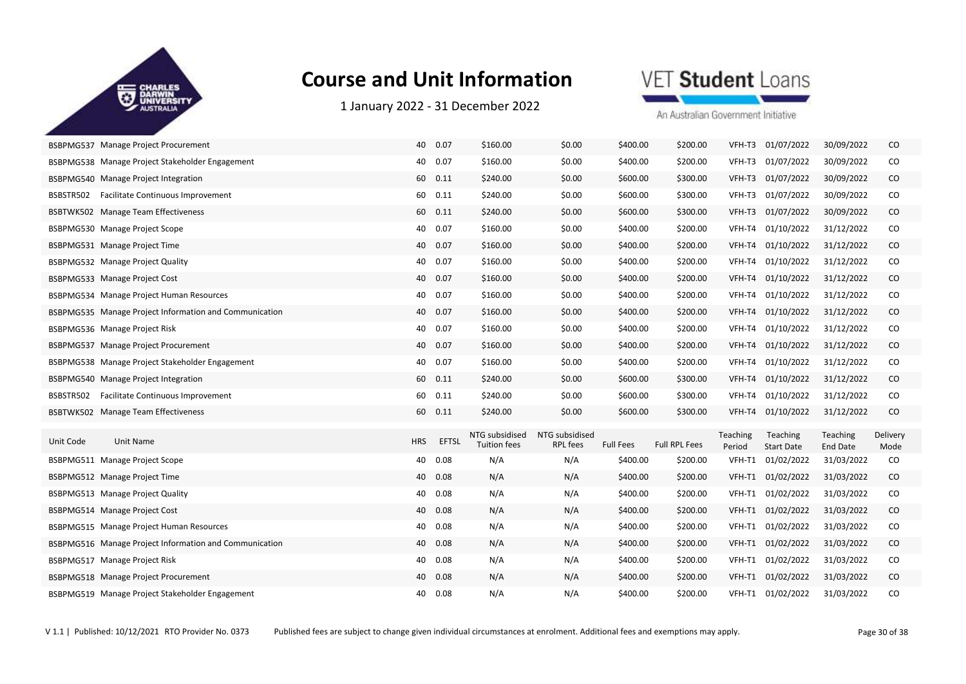

1 January 2022 ‐ 31 December 2022

### VET Student Loans

|           | BSBPMG537 Manage Project Procurement                   | 40         | 0.07         | \$160.00                              | \$0.00                            | \$400.00         | \$200.00             | VFH-T3             | 01/07/2022                    | 30/09/2022           | CO               |
|-----------|--------------------------------------------------------|------------|--------------|---------------------------------------|-----------------------------------|------------------|----------------------|--------------------|-------------------------------|----------------------|------------------|
|           | BSBPMG538 Manage Project Stakeholder Engagement        | 40         | 0.07         | \$160.00                              | \$0.00                            | \$400.00         | \$200.00             | VFH-T3             | 01/07/2022                    | 30/09/2022           | CO               |
|           | BSBPMG540 Manage Project Integration                   |            | 60 0.11      | \$240.00                              | \$0.00                            | \$600.00         | \$300.00             | VFH-T3             | 01/07/2022                    | 30/09/2022           | $\rm CO$         |
|           | BSBSTR502 Facilitate Continuous Improvement            |            | 60 0.11      | \$240.00                              | \$0.00                            | \$600.00         | \$300.00             | VFH-T3             | 01/07/2022                    | 30/09/2022           | $\rm CO$         |
|           | BSBTWK502 Manage Team Effectiveness                    | 60         | 0.11         | \$240.00                              | \$0.00                            | \$600.00         | \$300.00             | VFH-T3             | 01/07/2022                    | 30/09/2022           | $\rm CO$         |
|           | BSBPMG530 Manage Project Scope                         |            | 40 0.07      | \$160.00                              | \$0.00                            | \$400.00         | \$200.00             | VFH-T4             | 01/10/2022                    | 31/12/2022           | CO               |
|           | BSBPMG531 Manage Project Time                          |            | 40 0.07      | \$160.00                              | \$0.00                            | \$400.00         | \$200.00             |                    | VFH-T4 01/10/2022             | 31/12/2022           | CO               |
|           | BSBPMG532 Manage Project Quality                       | 40         | 0.07         | \$160.00                              | \$0.00                            | \$400.00         | \$200.00             | VFH-T4             | 01/10/2022                    | 31/12/2022           | CO               |
|           | BSBPMG533 Manage Project Cost                          |            | 40 0.07      | \$160.00                              | \$0.00                            | \$400.00         | \$200.00             | VFH-T4             | 01/10/2022                    | 31/12/2022           | $\rm CO$         |
|           | BSBPMG534 Manage Project Human Resources               |            | 40 0.07      | \$160.00                              | \$0.00                            | \$400.00         | \$200.00             | VFH-T4             | 01/10/2022                    | 31/12/2022           | CO               |
|           | BSBPMG535 Manage Project Information and Communication |            | 40 0.07      | \$160.00                              | \$0.00                            | \$400.00         | \$200.00             | VFH-T4             | 01/10/2022                    | 31/12/2022           | $\rm CO$         |
|           | BSBPMG536 Manage Project Risk                          | 40         | 0.07         | \$160.00                              | \$0.00                            | \$400.00         | \$200.00             | VFH-T4             | 01/10/2022                    | 31/12/2022           | CO               |
|           | BSBPMG537 Manage Project Procurement                   |            | 40 0.07      | \$160.00                              | \$0.00                            | \$400.00         | \$200.00             | VFH-T4             | 01/10/2022                    | 31/12/2022           | $\rm CO$         |
|           | BSBPMG538 Manage Project Stakeholder Engagement        |            | 40 0.07      | \$160.00                              | \$0.00                            | \$400.00         | \$200.00             | VFH-T4             | 01/10/2022                    | 31/12/2022           | CO               |
|           | BSBPMG540 Manage Project Integration                   |            | 60 0.11      | \$240.00                              | \$0.00                            | \$600.00         | \$300.00             | VFH-T4             | 01/10/2022                    | 31/12/2022           | $\rm CO$         |
| BSBSTR502 | Facilitate Continuous Improvement                      |            | 60 0.11      | \$240.00                              | \$0.00                            | \$600.00         | \$300.00             |                    | VFH-T4 01/10/2022             | 31/12/2022           | CO               |
|           | BSBTWK502 Manage Team Effectiveness                    |            | 60 0.11      | \$240.00                              | \$0.00                            | \$600.00         | \$300.00             | VFH-T4             | 01/10/2022                    | 31/12/2022           | $\rm CO$         |
| Unit Code | Unit Name                                              | <b>HRS</b> | <b>EFTSL</b> | NTG subsidised<br><b>Tuition fees</b> | NTG subsidised<br><b>RPL fees</b> | <b>Full Fees</b> | <b>Full RPL Fees</b> | Teaching<br>Period | Teaching<br><b>Start Date</b> | Teaching<br>End Date | Delivery<br>Mode |
|           | BSBPMG511 Manage Project Scope                         | 40         | 0.08         | N/A                                   | N/A                               | \$400.00         | \$200.00             | VFH-T1             | 01/02/2022                    | 31/03/2022           | CO               |
|           | BSBPMG512 Manage Project Time                          |            | 40 0.08      | N/A                                   | N/A                               | \$400.00         | \$200.00             | VFH-T1             | 01/02/2022                    | 31/03/2022           | CO               |
|           | BSBPMG513 Manage Project Quality                       |            | 40 0.08      | N/A                                   | N/A                               | \$400.00         | \$200.00             | VFH-T1             | 01/02/2022                    | 31/03/2022           | CO               |
|           | BSBPMG514 Manage Project Cost                          | 40         | 0.08         | N/A                                   | N/A                               | \$400.00         | \$200.00             | VFH-T1             | 01/02/2022                    | 31/03/2022           | $\rm CO$         |
|           | BSBPMG515 Manage Project Human Resources               | 40         | 0.08         | N/A                                   | N/A                               | \$400.00         | \$200.00             | VFH-T1             | 01/02/2022                    | 31/03/2022           | CO               |
|           | BSBPMG516 Manage Project Information and Communication | 40         | 0.08         | N/A                                   | N/A                               | \$400.00         | \$200.00             | VFH-T1             | 01/02/2022                    | 31/03/2022           | $\rm CO$         |
|           | BSBPMG517 Manage Project Risk                          | 40         | 0.08         | N/A                                   | N/A                               | \$400.00         | \$200.00             | VFH-T1             | 01/02/2022                    | 31/03/2022           | CO               |
|           | BSBPMG518 Manage Project Procurement                   | 40         | 0.08         | N/A                                   | N/A                               | \$400.00         | \$200.00             | VFH-T1             | 01/02/2022                    | 31/03/2022           | $\rm CO$         |
|           |                                                        |            |              |                                       |                                   |                  |                      |                    |                               |                      |                  |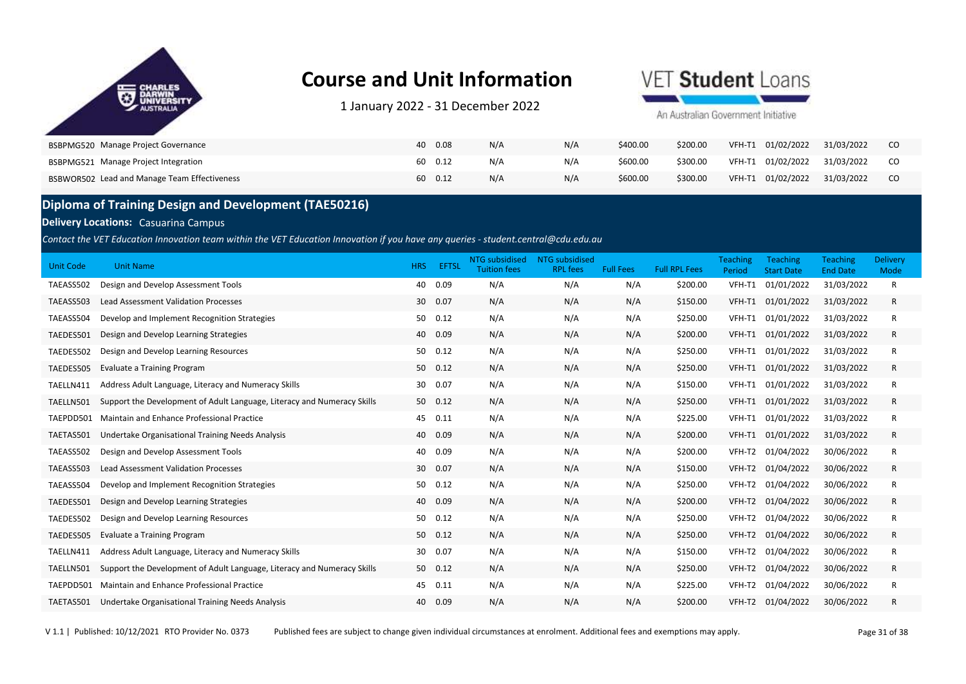

1 January 2022 ‐ 31 December 2022

## VET Student Loans

An Australian Government Initiative

| BSBPMG520 Manage Project Governance          | 0.08       | N/A | N/A | \$400.00 | \$200.00 | 01/02/2022<br>VFH-T1 | 31/03/2022 |  |
|----------------------------------------------|------------|-----|-----|----------|----------|----------------------|------------|--|
| BSBPMG521 Manage Project Integration         | 0.12<br>60 | N/A | N/A | \$600.00 | \$300.00 | VFH-T1 01/02/2022    | 31/03/2022 |  |
| BSBWOR502 Lead and Manage Team Effectiveness | 0.12<br>60 | N/A | N/A | \$600.00 | \$300.00 | VFH-T1 01/02/2022    | 31/03/2022 |  |

### **Diploma of Training Design and Development (TAE50216)**

#### **Delivery Locations: Casuarina Campus**

*Contact the VET Education Innovation team within the VET Education Innovation if you have any queries - student.central@cdu.edu.au*

| Unit Code | <b>Unit Name</b>                                                        | <b>HRS</b> | <b>EFTSL</b> | <b>NTG</b> subsidised<br><b>Tuition fees</b> | <b>NTG</b> subsidised<br><b>RPL fees</b> | <b>Full Fees</b> | <b>Full RPL Fees</b> | <b>Teaching</b><br>Period | <b>Teaching</b><br><b>Start Date</b> | <b>Teaching</b><br><b>End Date</b> | Delivery<br>Mode |  |
|-----------|-------------------------------------------------------------------------|------------|--------------|----------------------------------------------|------------------------------------------|------------------|----------------------|---------------------------|--------------------------------------|------------------------------------|------------------|--|
| TAEASS502 | Design and Develop Assessment Tools                                     | 40         | 0.09         | N/A                                          | N/A                                      | N/A              | \$200.00             | VFH-T1                    | 01/01/2022                           | 31/03/2022                         | R                |  |
| TAEASS503 | <b>Lead Assessment Validation Processes</b>                             | 30         | 0.07         | N/A                                          | N/A                                      | N/A              | \$150.00             | VFH-T1                    | 01/01/2022                           | 31/03/2022                         | R                |  |
| TAEASS504 | Develop and Implement Recognition Strategies                            | 50         | 0.12         | N/A                                          | N/A                                      | N/A              | \$250.00             | VFH-T1                    | 01/01/2022                           | 31/03/2022                         | R                |  |
| TAEDES501 | Design and Develop Learning Strategies                                  | 40         | 0.09         | N/A                                          | N/A                                      | N/A              | \$200.00             | VFH-T1                    | 01/01/2022                           | 31/03/2022                         | R                |  |
| TAEDES502 | Design and Develop Learning Resources                                   | 50         | 0.12         | N/A                                          | N/A                                      | N/A              | \$250.00             | VFH-T1                    | 01/01/2022                           | 31/03/2022                         | R                |  |
| TAEDES505 | <b>Evaluate a Training Program</b>                                      | 50         | 0.12         | N/A                                          | N/A                                      | N/A              | \$250.00             | VFH-T1                    | 01/01/2022                           | 31/03/2022                         | R                |  |
| TAELLN411 | Address Adult Language, Literacy and Numeracy Skills                    | 30         | 0.07         | N/A                                          | N/A                                      | N/A              | \$150.00             | VFH-T1                    | 01/01/2022                           | 31/03/2022                         | R                |  |
| TAELLN501 | Support the Development of Adult Language, Literacy and Numeracy Skills |            | 50 0.12      | N/A                                          | N/A                                      | N/A              | \$250.00             | VFH-T1                    | 01/01/2022                           | 31/03/2022                         | R                |  |
| TAEPDD501 | Maintain and Enhance Professional Practice                              | 45         | 0.11         | N/A                                          | N/A                                      | N/A              | \$225.00             | VFH-T1                    | 01/01/2022                           | 31/03/2022                         | R                |  |
| TAETAS501 | Undertake Organisational Training Needs Analysis                        | 40         | 0.09         | N/A                                          | N/A                                      | N/A              | \$200.00             | VFH-T1                    | 01/01/2022                           | 31/03/2022                         | R                |  |
| TAEASS502 | Design and Develop Assessment Tools                                     | 40         | 0.09         | N/A                                          | N/A                                      | N/A              | \$200.00             | VFH-T2                    | 01/04/2022                           | 30/06/2022                         | R                |  |
| TAEASS503 | Lead Assessment Validation Processes                                    | 30         | 0.07         | N/A                                          | N/A                                      | N/A              | \$150.00             | VFH-T2                    | 01/04/2022                           | 30/06/2022                         | R                |  |
| TAEASS504 | Develop and Implement Recognition Strategies                            | 50         | 0.12         | N/A                                          | N/A                                      | N/A              | \$250.00             | VFH-T2                    | 01/04/2022                           | 30/06/2022                         | R                |  |
| TAEDES501 | Design and Develop Learning Strategies                                  | 40         | 0.09         | N/A                                          | N/A                                      | N/A              | \$200.00             | VFH-T2                    | 01/04/2022                           | 30/06/2022                         | R                |  |
| TAEDES502 | Design and Develop Learning Resources                                   | 50         | 0.12         | N/A                                          | N/A                                      | N/A              | \$250.00             | VFH-T2                    | 01/04/2022                           | 30/06/2022                         | R                |  |
| TAEDES505 | <b>Evaluate a Training Program</b>                                      | 50         | 0.12         | N/A                                          | N/A                                      | N/A              | \$250.00             | VFH-T2                    | 01/04/2022                           | 30/06/2022                         | R                |  |
| TAELLN411 | Address Adult Language, Literacy and Numeracy Skills                    | 30         | 0.07         | N/A                                          | N/A                                      | N/A              | \$150.00             | VFH-T2                    | 01/04/2022                           | 30/06/2022                         | R                |  |
| TAELLN501 | Support the Development of Adult Language, Literacy and Numeracy Skills | 50         | 0.12         | N/A                                          | N/A                                      | N/A              | \$250.00             | VFH-T2                    | 01/04/2022                           | 30/06/2022                         | R                |  |
| TAEPDD501 | <b>Maintain and Enhance Professional Practice</b>                       | 45         | 0.11         | N/A                                          | N/A                                      | N/A              | \$225.00             | VFH-T2                    | 01/04/2022                           | 30/06/2022                         | R                |  |
| TAETAS501 | Undertake Organisational Training Needs Analysis                        | 40         | 0.09         | N/A                                          | N/A                                      | N/A              | \$200.00             | VFH-T2                    | 01/04/2022                           | 30/06/2022                         | R                |  |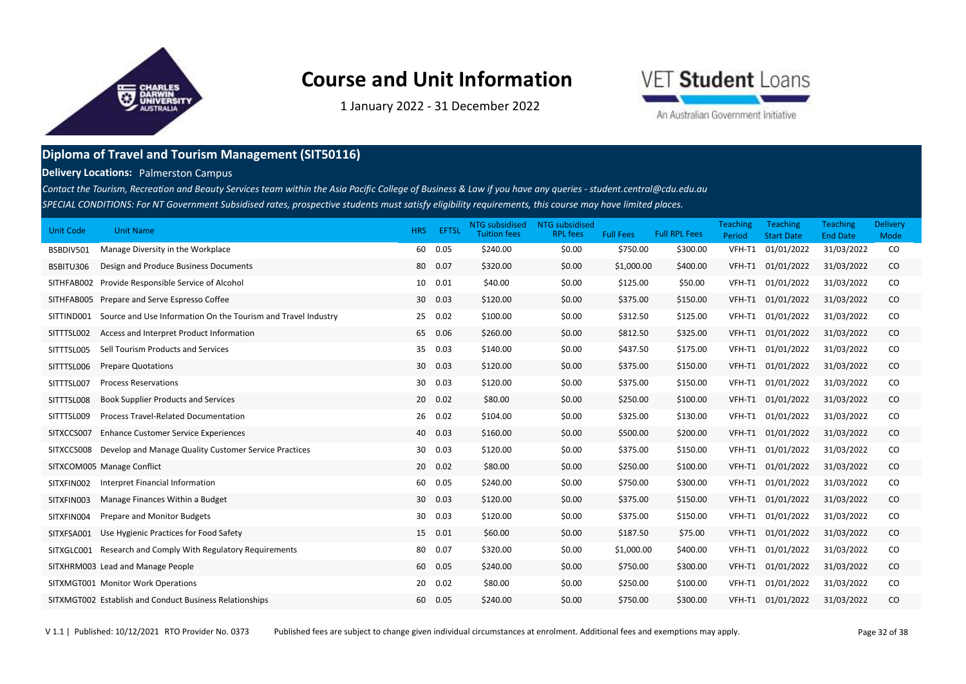

1 January 2022 ‐ 31 December 2022

# VET Student Loans

An Australian Government Initiative

### **Diploma of Travel and Tourism Management (SIT50116)**

**Delivery Locations:** Palmerston Campus

*SPECIAL CONDITIONS: For NT Government Subsidised rates, prospective students must satisfy eligibility requirements, this course may have limited places.*  Contact the Tourism, Recreation and Beauty Services team within the Asia Pacific College of Business & Law if you have any queries - student.central@cdu.edu.au

| Unit Code  | <b>Unit Name</b>                                              | HRS             | <b>EFTSL</b> | NTG subsidised<br><b>Tuition fees</b> | NTG subsidised<br><b>RPL fees</b> | <b>Full Fees</b> | <b>Full RPL Fees</b> | <b>Teaching</b><br>Period | <b>Teaching</b><br><b>Start Date</b> | <b>Teaching</b><br><b>End Date</b> | <b>Delivery</b><br>Mode |
|------------|---------------------------------------------------------------|-----------------|--------------|---------------------------------------|-----------------------------------|------------------|----------------------|---------------------------|--------------------------------------|------------------------------------|-------------------------|
| BSBDIV501  | Manage Diversity in the Workplace                             | 60              | 0.05         | \$240.00                              | \$0.00                            | \$750.00         | \$300.00             | VFH-T1                    | 01/01/2022                           | 31/03/2022                         | CO                      |
| BSBITU306  | Design and Produce Business Documents                         |                 | 80  0.07     | \$320.00                              | \$0.00                            | \$1,000.00       | \$400.00             | VFH-T1                    | 01/01/2022                           | 31/03/2022                         | CO                      |
| SITHFAB002 | Provide Responsible Service of Alcohol                        | 10              | 0.01         | \$40.00                               | \$0.00                            | \$125.00         | \$50.00              | VFH-T1                    | 01/01/2022                           | 31/03/2022                         | CO                      |
| SITHFAB005 | Prepare and Serve Espresso Coffee                             | 30 <sup>°</sup> | 0.03         | \$120.00                              | \$0.00                            | \$375.00         | \$150.00             | VFH-T1                    | 01/01/2022                           | 31/03/2022                         | CO                      |
| SITTIND001 | Source and Use Information On the Tourism and Travel Industry | 25              | 0.02         | \$100.00                              | \$0.00                            | \$312.50         | \$125.00             | VFH-T1                    | 01/01/2022                           | 31/03/2022                         | CO                      |
| SITTTSL002 | Access and Interpret Product Information                      |                 | 65 0.06      | \$260.00                              | \$0.00                            | \$812.50         | \$325.00             | VFH-T1                    | 01/01/2022                           | 31/03/2022                         | CO                      |
| SITTTSL005 | Sell Tourism Products and Services                            |                 | 35 0.03      | \$140.00                              | \$0.00                            | \$437.50         | \$175.00             | VFH-T1                    | 01/01/2022                           | 31/03/2022                         | CO                      |
| SITTTSL006 | <b>Prepare Quotations</b>                                     | 30 <sup>°</sup> | 0.03         | \$120.00                              | \$0.00                            | \$375.00         | \$150.00             | VFH-T1                    | 01/01/2022                           | 31/03/2022                         | CO                      |
| SITTTSL007 | <b>Process Reservations</b>                                   | 30              | 0.03         | \$120.00                              | \$0.00                            | \$375.00         | \$150.00             | VFH-T1                    | 01/01/2022                           | 31/03/2022                         | CO                      |
| SITTTSL008 | <b>Book Supplier Products and Services</b>                    |                 | 20 0.02      | \$80.00                               | \$0.00                            | \$250.00         | \$100.00             | VFH-T1                    | 01/01/2022                           | 31/03/2022                         | CO                      |
| SITTTSL009 | Process Travel-Related Documentation                          | 26              | 0.02         | \$104.00                              | \$0.00                            | \$325.00         | \$130.00             | VFH-T1                    | 01/01/2022                           | 31/03/2022                         | CO                      |
| SITXCCS007 | <b>Enhance Customer Service Experiences</b>                   |                 | 40 0.03      | \$160.00                              | \$0.00                            | \$500.00         | \$200.00             | VFH-T1                    | 01/01/2022                           | 31/03/2022                         | CO                      |
| SITXCCS008 | Develop and Manage Quality Customer Service Practices         | 30              | 0.03         | \$120.00                              | \$0.00                            | \$375.00         | \$150.00             | VFH-T1                    | 01/01/2022                           | 31/03/2022                         | CO                      |
|            | SITXCOM005 Manage Conflict                                    |                 | 20  0.02     | \$80.00                               | \$0.00                            | \$250.00         | \$100.00             | VFH-T1                    | 01/01/2022                           | 31/03/2022                         | CO                      |
| SITXFIN002 | Interpret Financial Information                               | 60              | 0.05         | \$240.00                              | \$0.00                            | \$750.00         | \$300.00             | VFH-T1                    | 01/01/2022                           | 31/03/2022                         | CO                      |
| SITXFIN003 | Manage Finances Within a Budget                               |                 | 30 0.03      | \$120.00                              | \$0.00                            | \$375.00         | \$150.00             | VFH-T1                    | 01/01/2022                           | 31/03/2022                         | CO                      |
| SITXFIN004 | Prepare and Monitor Budgets                                   | 30              | 0.03         | \$120.00                              | \$0.00                            | \$375.00         | \$150.00             | VFH-T1                    | 01/01/2022                           | 31/03/2022                         | CO                      |
| SITXFSA001 | Use Hygienic Practices for Food Safety                        |                 | 15 0.01      | \$60.00                               | \$0.00                            | \$187.50         | \$75.00              | VFH-T1                    | 01/01/2022                           | 31/03/2022                         | $\rm CO$                |
| SITXGLC001 | Research and Comply With Regulatory Requirements              | 80              | 0.07         | \$320.00                              | \$0.00                            | \$1,000.00       | \$400.00             | VFH-T1                    | 01/01/2022                           | 31/03/2022                         | CO                      |
|            | SITXHRM003 Lead and Manage People                             |                 | 60 0.05      | \$240.00                              | \$0.00                            | \$750.00         | \$300.00             | VFH-T1                    | 01/01/2022                           | 31/03/2022                         | CO                      |
|            | SITXMGT001 Monitor Work Operations                            | 20              | 0.02         | \$80.00                               | \$0.00                            | \$250.00         | \$100.00             | VFH-T1                    | 01/01/2022                           | 31/03/2022                         | CO                      |
|            | SITXMGT002 Establish and Conduct Business Relationships       |                 | 60 0.05      | \$240.00                              | \$0.00                            | \$750.00         | \$300.00             | VFH-T1                    | 01/01/2022                           | 31/03/2022                         | $\rm CO$                |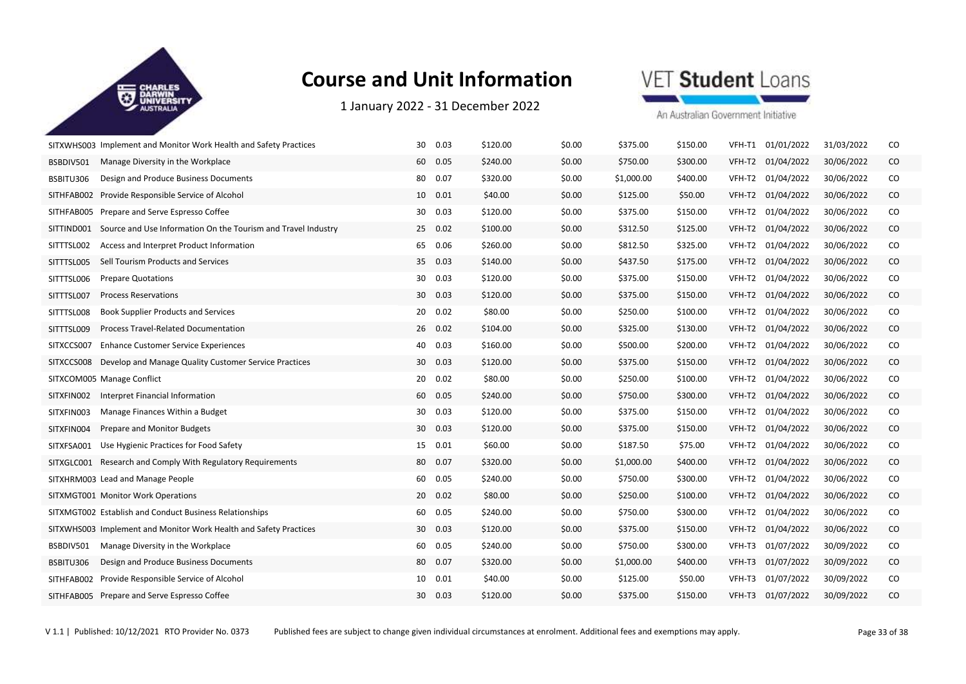

1 January 2022 ‐ 31 December 2022



|            | SITXWHS003 Implement and Monitor Work Health and Safety Practices | 30 | 0.03    | \$120.00 | \$0.00 | \$375.00   | \$150.00 | VFH-T1 | 01/01/2022 | 31/03/2022 | CO            |
|------------|-------------------------------------------------------------------|----|---------|----------|--------|------------|----------|--------|------------|------------|---------------|
| BSBDIV501  | Manage Diversity in the Workplace                                 | 60 | 0.05    | \$240.00 | \$0.00 | \$750.00   | \$300.00 | VFH-T2 | 01/04/2022 | 30/06/2022 | CO            |
| BSBITU306  | Design and Produce Business Documents                             | 80 | 0.07    | \$320.00 | \$0.00 | \$1,000.00 | \$400.00 | VFH-T2 | 01/04/2022 | 30/06/2022 | CO            |
| SITHFAB002 | Provide Responsible Service of Alcohol                            | 10 | 0.01    | \$40.00  | \$0.00 | \$125.00   | \$50.00  | VFH-T2 | 01/04/2022 | 30/06/2022 | CO            |
| SITHFAB005 | Prepare and Serve Espresso Coffee                                 | 30 | 0.03    | \$120.00 | \$0.00 | \$375.00   | \$150.00 | VFH-T2 | 01/04/2022 | 30/06/2022 | CO            |
| SITTIND001 | Source and Use Information On the Tourism and Travel Industry     | 25 | 0.02    | \$100.00 | \$0.00 | \$312.50   | \$125.00 | VFH-T2 | 01/04/2022 | 30/06/2022 | CO            |
| SITTTSL002 | Access and Interpret Product Information                          | 65 | 0.06    | \$260.00 | \$0.00 | \$812.50   | \$325.00 | VFH-T2 | 01/04/2022 | 30/06/2022 | CO            |
| SITTTSL005 | Sell Tourism Products and Services                                | 35 | 0.03    | \$140.00 | \$0.00 | \$437.50   | \$175.00 | VFH-T2 | 01/04/2022 | 30/06/2022 | CO            |
| SITTTSL006 | <b>Prepare Quotations</b>                                         | 30 | 0.03    | \$120.00 | \$0.00 | \$375.00   | \$150.00 | VFH-T2 | 01/04/2022 | 30/06/2022 | CO            |
| SITTTSL007 | <b>Process Reservations</b>                                       | 30 | 0.03    | \$120.00 | \$0.00 | \$375.00   | \$150.00 | VFH-T2 | 01/04/2022 | 30/06/2022 | CO            |
| SITTTSL008 | <b>Book Supplier Products and Services</b>                        | 20 | 0.02    | \$80.00  | \$0.00 | \$250.00   | \$100.00 | VFH-T2 | 01/04/2022 | 30/06/2022 | CO            |
| SITTTSL009 | <b>Process Travel-Related Documentation</b>                       |    | 26 0.02 | \$104.00 | \$0.00 | \$325.00   | \$130.00 | VFH-T2 | 01/04/2022 | 30/06/2022 | CO            |
| SITXCCS007 | <b>Enhance Customer Service Experiences</b>                       | 40 | 0.03    | \$160.00 | \$0.00 | \$500.00   | \$200.00 | VFH-T2 | 01/04/2022 | 30/06/2022 | CO            |
| SITXCCS008 | Develop and Manage Quality Customer Service Practices             | 30 | 0.03    | \$120.00 | \$0.00 | \$375.00   | \$150.00 | VFH-T2 | 01/04/2022 | 30/06/2022 | CO            |
|            | SITXCOM005 Manage Conflict                                        | 20 | 0.02    | \$80.00  | \$0.00 | \$250.00   | \$100.00 | VFH-T2 | 01/04/2022 | 30/06/2022 | CO            |
| SITXFIN002 | Interpret Financial Information                                   | 60 | 0.05    | \$240.00 | \$0.00 | \$750.00   | \$300.00 | VFH-T2 | 01/04/2022 | 30/06/2022 | CO            |
| SITXFIN003 | Manage Finances Within a Budget                                   | 30 | 0.03    | \$120.00 | \$0.00 | \$375.00   | \$150.00 | VFH-T2 | 01/04/2022 | 30/06/2022 | CO            |
| SITXFIN004 | Prepare and Monitor Budgets                                       | 30 | 0.03    | \$120.00 | \$0.00 | \$375.00   | \$150.00 | VFH-T2 | 01/04/2022 | 30/06/2022 | CO            |
| SITXFSA001 | Use Hygienic Practices for Food Safety                            |    | 15 0.01 | \$60.00  | \$0.00 | \$187.50   | \$75.00  | VFH-T2 | 01/04/2022 | 30/06/2022 | CO            |
| SITXGLC001 | Research and Comply With Regulatory Requirements                  | 80 | 0.07    | \$320.00 | \$0.00 | \$1,000.00 | \$400.00 | VFH-T2 | 01/04/2022 | 30/06/2022 | CO            |
|            | SITXHRM003 Lead and Manage People                                 | 60 | 0.05    | \$240.00 | \$0.00 | \$750.00   | \$300.00 | VFH-T2 | 01/04/2022 | 30/06/2022 | CO            |
|            | SITXMGT001 Monitor Work Operations                                | 20 | 0.02    | \$80.00  | \$0.00 | \$250.00   | \$100.00 | VFH-T2 | 01/04/2022 | 30/06/2022 | CO            |
|            | SITXMGT002 Establish and Conduct Business Relationships           | 60 | 0.05    | \$240.00 | \$0.00 | \$750.00   | \$300.00 | VFH-T2 | 01/04/2022 | 30/06/2022 | CO            |
|            | SITXWHS003 Implement and Monitor Work Health and Safety Practices | 30 | 0.03    | \$120.00 | \$0.00 | \$375.00   | \$150.00 | VFH-T2 | 01/04/2022 | 30/06/2022 | CO            |
| BSBDIV501  | Manage Diversity in the Workplace                                 | 60 | 0.05    | \$240.00 | \$0.00 | \$750.00   | \$300.00 | VFH-T3 | 01/07/2022 | 30/09/2022 | CO            |
| BSBITU306  | Design and Produce Business Documents                             | 80 | 0.07    | \$320.00 | \$0.00 | \$1,000.00 | \$400.00 | VFH-T3 | 01/07/2022 | 30/09/2022 | CO            |
| SITHFAB002 | Provide Responsible Service of Alcohol                            | 10 | 0.01    | \$40.00  | \$0.00 | \$125.00   | \$50.00  | VFH-T3 | 01/07/2022 | 30/09/2022 | CO            |
|            | SITHFAB005 Prepare and Serve Espresso Coffee                      | 30 | 0.03    | \$120.00 | \$0.00 | \$375.00   | \$150.00 | VFH-T3 | 01/07/2022 | 30/09/2022 | <sub>CO</sub> |
|            |                                                                   |    |         |          |        |            |          |        |            |            |               |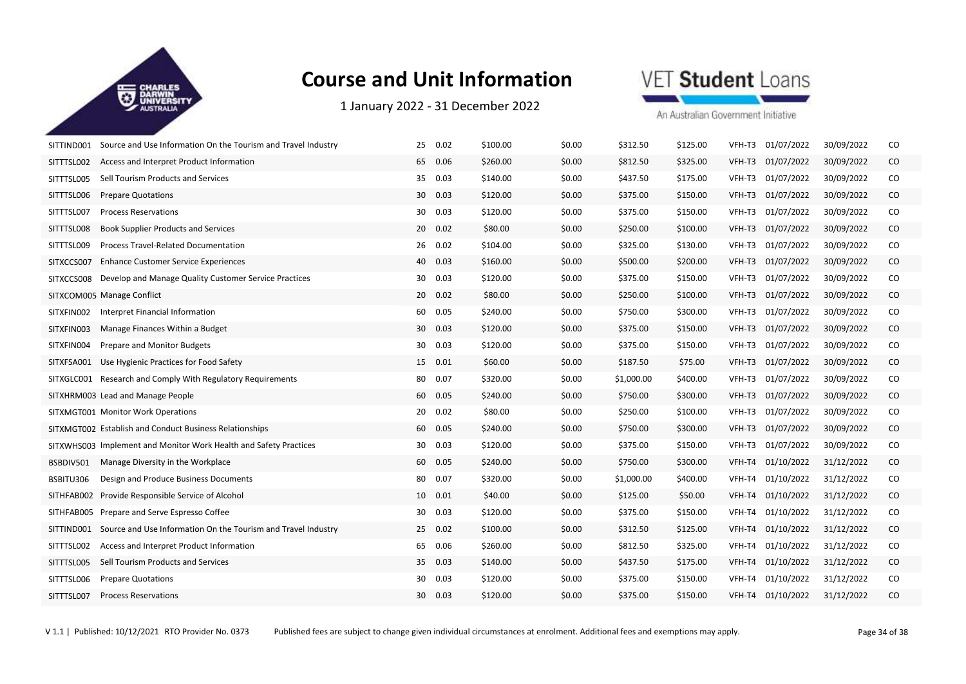

1 January 2022 ‐ 31 December 2022



| SITTIND001 | Source and Use Information On the Tourism and Travel Industry     | 25              | 0.02     | \$100.00 | \$0.00 | \$312.50   | \$125.00 | VFH-T3 | 01/07/2022 | 30/09/2022 | CO       |
|------------|-------------------------------------------------------------------|-----------------|----------|----------|--------|------------|----------|--------|------------|------------|----------|
| SITTTSL002 | Access and Interpret Product Information                          |                 | 65 0.06  | \$260.00 | \$0.00 | \$812.50   | \$325.00 | VFH-T3 | 01/07/2022 | 30/09/2022 | CO.      |
| SITTTSL005 | Sell Tourism Products and Services                                |                 | 35 0.03  | \$140.00 | \$0.00 | \$437.50   | \$175.00 | VFH-T3 | 01/07/2022 | 30/09/2022 | CO       |
| SITTTSL006 | <b>Prepare Quotations</b>                                         | 30 <sup>°</sup> | 0.03     | \$120.00 | \$0.00 | \$375.00   | \$150.00 | VFH-T3 | 01/07/2022 | 30/09/2022 | $\rm CO$ |
| SITTTSL007 | <b>Process Reservations</b>                                       | 30              | 0.03     | \$120.00 | \$0.00 | \$375.00   | \$150.00 | VFH-T3 | 01/07/2022 | 30/09/2022 | CO       |
| SITTTSL008 | <b>Book Supplier Products and Services</b>                        |                 | 20 0.02  | \$80.00  | \$0.00 | \$250.00   | \$100.00 | VFH-T3 | 01/07/2022 | 30/09/2022 | $\rm CO$ |
| SITTTSL009 | Process Travel-Related Documentation                              |                 | 26 0.02  | \$104.00 | \$0.00 | \$325.00   | \$130.00 | VFH-T3 | 01/07/2022 | 30/09/2022 | CO       |
| SITXCCS007 | <b>Enhance Customer Service Experiences</b>                       |                 | 40 0.03  | \$160.00 | \$0.00 | \$500.00   | \$200.00 | VFH-T3 | 01/07/2022 | 30/09/2022 | CO.      |
| SITXCCS008 | Develop and Manage Quality Customer Service Practices             |                 | 30 0.03  | \$120.00 | \$0.00 | \$375.00   | \$150.00 | VFH-T3 | 01/07/2022 | 30/09/2022 | CO       |
|            | SITXCOM005 Manage Conflict                                        |                 | 20 0.02  | \$80.00  | \$0.00 | \$250.00   | \$100.00 | VFH-T3 | 01/07/2022 | 30/09/2022 | CO       |
| SITXFIN002 | Interpret Financial Information                                   | 60              | 0.05     | \$240.00 | \$0.00 | \$750.00   | \$300.00 | VFH-T3 | 01/07/2022 | 30/09/2022 | CO       |
| SITXFIN003 | Manage Finances Within a Budget                                   |                 | 30 0.03  | \$120.00 | \$0.00 | \$375.00   | \$150.00 | VFH-T3 | 01/07/2022 | 30/09/2022 | CO       |
| SITXFIN004 | Prepare and Monitor Budgets                                       | 30              | 0.03     | \$120.00 | \$0.00 | \$375.00   | \$150.00 | VFH-T3 | 01/07/2022 | 30/09/2022 | CO       |
| SITXFSA001 | Use Hygienic Practices for Food Safety                            |                 | 15 0.01  | \$60.00  | \$0.00 | \$187.50   | \$75.00  | VFH-T3 | 01/07/2022 | 30/09/2022 | CO       |
|            | SITXGLC001 Research and Comply With Regulatory Requirements       | 80              | 0.07     | \$320.00 | \$0.00 | \$1,000.00 | \$400.00 | VFH-T3 | 01/07/2022 | 30/09/2022 | CO       |
|            | SITXHRM003 Lead and Manage People                                 |                 | 60 0.05  | \$240.00 | \$0.00 | \$750.00   | \$300.00 | VFH-T3 | 01/07/2022 | 30/09/2022 | CO       |
|            | SITXMGT001 Monitor Work Operations                                |                 | 20 0.02  | \$80.00  | \$0.00 | \$250.00   | \$100.00 | VFH-T3 | 01/07/2022 | 30/09/2022 | CO       |
|            | SITXMGT002 Establish and Conduct Business Relationships           |                 | 60  0.05 | \$240.00 | \$0.00 | \$750.00   | \$300.00 | VFH-T3 | 01/07/2022 | 30/09/2022 | CO       |
|            | SITXWHS003 Implement and Monitor Work Health and Safety Practices | 30              | 0.03     | \$120.00 | \$0.00 | \$375.00   | \$150.00 | VFH-T3 | 01/07/2022 | 30/09/2022 | CO       |
| BSBDIV501  | Manage Diversity in the Workplace                                 | 60              | 0.05     | \$240.00 | \$0.00 | \$750.00   | \$300.00 | VFH-T4 | 01/10/2022 | 31/12/2022 | CO       |
| BSBITU306  | Design and Produce Business Documents                             |                 | 80 0.07  | \$320.00 | \$0.00 | \$1,000.00 | \$400.00 | VFH-T4 | 01/10/2022 | 31/12/2022 | CO       |
| SITHFAB002 | Provide Responsible Service of Alcohol                            |                 | 10  0.01 | \$40.00  | \$0.00 | \$125.00   | \$50.00  | VFH-T4 | 01/10/2022 | 31/12/2022 | CO.      |
| SITHFAB005 | Prepare and Serve Espresso Coffee                                 | 30              | 0.03     | \$120.00 | \$0.00 | \$375.00   | \$150.00 | VFH-T4 | 01/10/2022 | 31/12/2022 | CO       |
| SITTIND001 | Source and Use Information On the Tourism and Travel Industry     |                 | 25 0.02  | \$100.00 | \$0.00 | \$312.50   | \$125.00 | VFH-T4 | 01/10/2022 | 31/12/2022 | $\rm CO$ |
| SITTTSL002 | Access and Interpret Product Information                          | 65              | 0.06     | \$260.00 | \$0.00 | \$812.50   | \$325.00 | VFH-T4 | 01/10/2022 | 31/12/2022 | CO       |
| SITTTSL005 | Sell Tourism Products and Services                                | 35              | 0.03     | \$140.00 | \$0.00 | \$437.50   | \$175.00 | VFH-T4 | 01/10/2022 | 31/12/2022 | $\rm CO$ |
| SITTTSL006 | <b>Prepare Quotations</b>                                         | 30 <sup>°</sup> | 0.03     | \$120.00 | \$0.00 | \$375.00   | \$150.00 | VFH-T4 | 01/10/2022 | 31/12/2022 | CO       |
| SITTTSL007 | <b>Process Reservations</b>                                       | 30              | 0.03     | \$120.00 | \$0.00 | \$375.00   | \$150.00 | VFH-T4 | 01/10/2022 | 31/12/2022 | CO       |
|            |                                                                   |                 |          |          |        |            |          |        |            |            |          |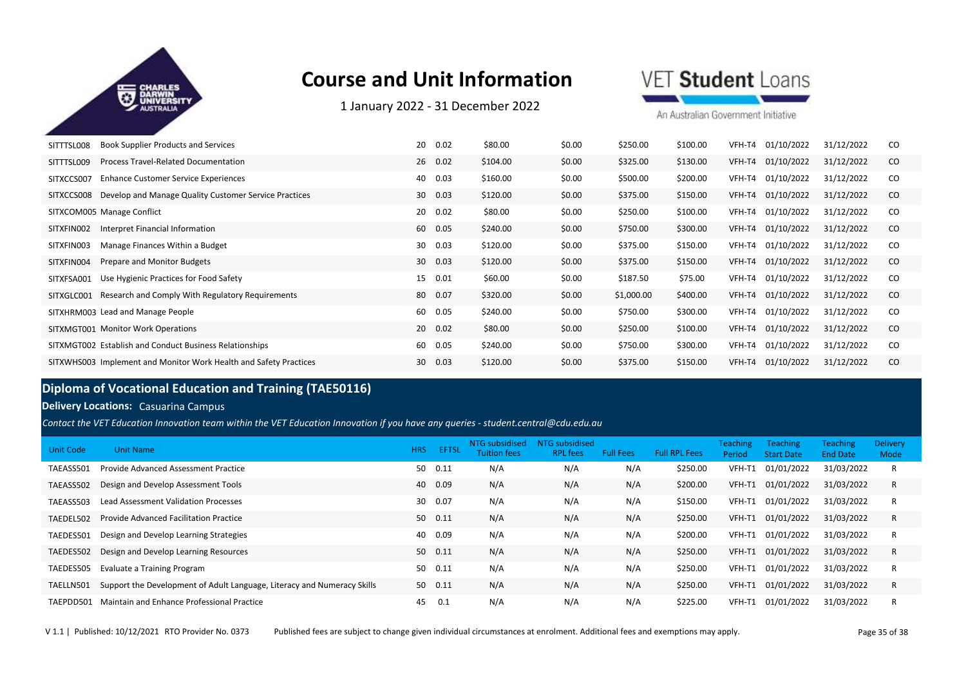

1 January 2022 ‐ 31 December 2022

**VET Student Loans** 

An Australian Government Initiative

| <b>Book Supplier Products and Services</b><br>SITTTSL008            | 20<br>0.02 | \$80.00  | \$0.00 | \$250.00   | \$100.00 | VFH-T4 | 01/10/2022 | 31/12/2022 | CO.           |
|---------------------------------------------------------------------|------------|----------|--------|------------|----------|--------|------------|------------|---------------|
| <b>Process Travel-Related Documentation</b><br>SITTTSL009           | 26 0.02    | \$104.00 | \$0.00 | \$325.00   | \$130.00 | VFH-T4 | 01/10/2022 | 31/12/2022 | CO            |
| <b>Enhance Customer Service Experiences</b><br>SITXCCS007           | 0.03<br>40 | \$160.00 | \$0.00 | \$500.00   | \$200.00 | VFH-T4 | 01/10/2022 | 31/12/2022 | CO            |
| Develop and Manage Quality Customer Service Practices<br>SITXCCS008 | 30 0.03    | \$120.00 | \$0.00 | \$375.00   | \$150.00 | VFH-T4 | 01/10/2022 | 31/12/2022 | CO.           |
| SITXCOM005 Manage Conflict                                          | 20 0.02    | \$80.00  | \$0.00 | \$250.00   | \$100.00 | VFH-T4 | 01/10/2022 | 31/12/2022 | <sub>CO</sub> |
| Interpret Financial Information<br>SITXFIN002                       | 60<br>0.05 | \$240.00 | \$0.00 | \$750.00   | \$300.00 | VFH-T4 | 01/10/2022 | 31/12/2022 | <sub>co</sub> |
| SITXFIN003<br>Manage Finances Within a Budget                       | 0.03<br>30 | \$120.00 | \$0.00 | \$375.00   | \$150.00 | VFH-T4 | 01/10/2022 | 31/12/2022 | <sub>CO</sub> |
| Prepare and Monitor Budgets<br>SITXFIN004                           | 30 0.03    | \$120.00 | \$0.00 | \$375.00   | \$150.00 | VFH-T4 | 01/10/2022 | 31/12/2022 | CO            |
| Use Hygienic Practices for Food Safety<br>SITXFSA001                | 0.01<br>15 | \$60.00  | \$0.00 | \$187.50   | \$75.00  | VFH-T4 | 01/10/2022 | 31/12/2022 | CO            |
| Research and Comply With Regulatory Requirements<br>SITXGLC001      | 80<br>0.07 | \$320.00 | \$0.00 | \$1,000.00 | \$400.00 | VFH-T4 | 01/10/2022 | 31/12/2022 | <sub>co</sub> |
| SITXHRM003 Lead and Manage People                                   | 0.05<br>60 | \$240.00 | \$0.00 | \$750.00   | \$300.00 | VFH-T4 | 01/10/2022 | 31/12/2022 | <sub>CO</sub> |
| SITXMGT001 Monitor Work Operations                                  | 20 0.02    | \$80.00  | \$0.00 | \$250.00   | \$100.00 | VFH-T4 | 01/10/2022 | 31/12/2022 | <sub>co</sub> |
| SITXMGT002 Establish and Conduct Business Relationships             | 0.05<br>60 | \$240.00 | \$0.00 | \$750.00   | \$300.00 | VFH-T4 | 01/10/2022 | 31/12/2022 | <sub>CO</sub> |
| SITXWHS003 Implement and Monitor Work Health and Safety Practices   | 30<br>0.03 | \$120.00 | \$0.00 | \$375.00   | \$150.00 | VFH-T4 | 01/10/2022 | 31/12/2022 | <sub>co</sub> |

### **Diploma of Vocational Education and Training (TAE50116)**

#### **Delivery Locations:** Casuarina Campus

*Contact the VET Education Innovation team within the VET Education Innovation if you have any queries - student.central@cdu.edu.au*

| Unit Code | <b>Unit Name</b>                                                        | <b>HRS</b>      | <b>EFTSL</b> | NTG subsidised<br>Tuition fees | NTG subsidised<br><b>RPL</b> fees | <b>Full Fees</b> | <b>Full RPL Fees</b> | <b>Teaching</b><br>Period | <b>Teaching</b><br><b>Start Date</b> | <b>Teaching</b><br><b>End Date</b> | <b>Delivery</b><br>Mode |
|-----------|-------------------------------------------------------------------------|-----------------|--------------|--------------------------------|-----------------------------------|------------------|----------------------|---------------------------|--------------------------------------|------------------------------------|-------------------------|
| TAEASS501 | Provide Advanced Assessment Practice                                    | 50              | 0.11         | N/A                            | N/A                               | N/A              | \$250.00             | VFH-T1                    | 01/01/2022                           | 31/03/2022                         | R                       |
| TAEASS502 | Design and Develop Assessment Tools                                     | 40              | 0.09         | N/A                            | N/A                               | N/A              | \$200.00             | VFH-T1                    | 01/01/2022                           | 31/03/2022                         | R                       |
| TAEASS503 | <b>Lead Assessment Validation Processes</b>                             | 30 <sup>°</sup> | 0.07         | N/A                            | N/A                               | N/A              | \$150.00             | VFH-T1                    | 01/01/2022                           | 31/03/2022                         | R                       |
| TAEDEL502 | <b>Provide Advanced Facilitation Practice</b>                           |                 | 50 0.11      | N/A                            | N/A                               | N/A              | \$250.00             | VFH-T1                    | 01/01/2022                           | 31/03/2022                         | R                       |
| TAEDES501 | Design and Develop Learning Strategies                                  | 40              | 0.09         | N/A                            | N/A                               | N/A              | \$200.00             | VFH-T1                    | 01/01/2022                           | 31/03/2022                         | R                       |
| TAEDES502 | Design and Develop Learning Resources                                   | 50              | 0.11         | N/A                            | N/A                               | N/A              | \$250.00             | VFH-T1                    | 01/01/2022                           | 31/03/2022                         | R                       |
| TAEDES505 | <b>Evaluate a Training Program</b>                                      | 50              | 0.11         | N/A                            | N/A                               | N/A              | \$250.00             | VFH-T1                    | 01/01/2022                           | 31/03/2022                         | R                       |
| TAELLN501 | Support the Development of Adult Language, Literacy and Numeracy Skills |                 | 50 0.11      | N/A                            | N/A                               | N/A              | \$250.00             | VFH-T1                    | 01/01/2022                           | 31/03/2022                         | R                       |
| TAEPDD501 | Maintain and Enhance Professional Practice                              | 45              | 0.1          | N/A                            | N/A                               | N/A              | \$225.00             | VFH-T1                    | 01/01/2022                           | 31/03/2022                         | R                       |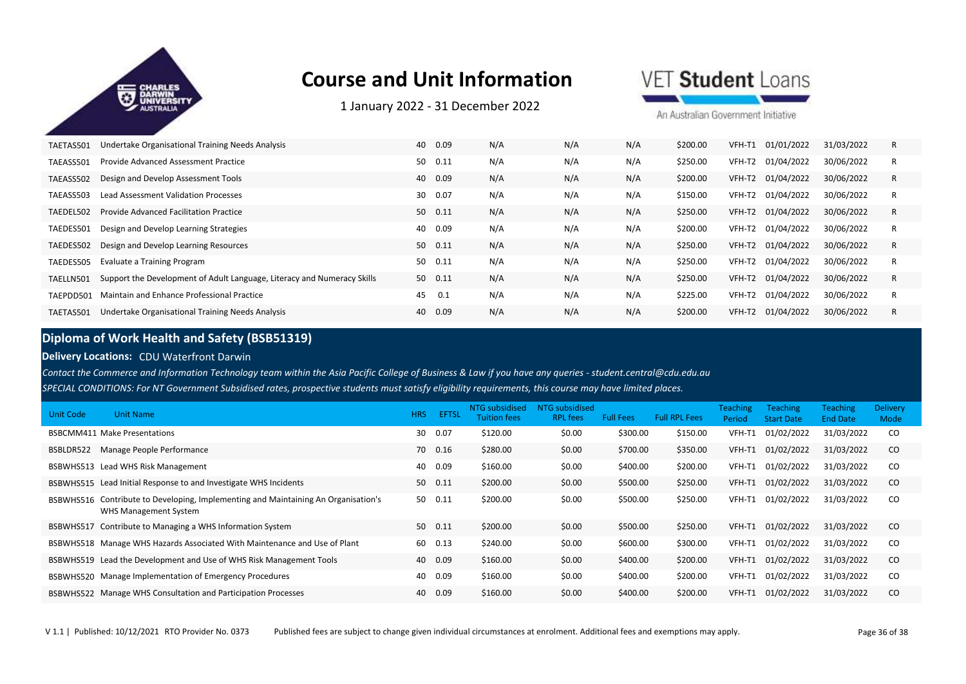

1 January 2022 ‐ 31 December 2022

VET Student Loans

An Australian Government Initiative

| TAETAS501 | Undertake Organisational Training Needs Analysis                        | 40 | 0.09    | N/A | N/A | N/A | \$200.00 | VFH-T1 | 01/01/2022        | 31/03/2022 | R |
|-----------|-------------------------------------------------------------------------|----|---------|-----|-----|-----|----------|--------|-------------------|------------|---|
| TAEASS501 | Provide Advanced Assessment Practice                                    | 50 | 0.11    | N/A | N/A | N/A | \$250.00 | VFH-T2 | 01/04/2022        | 30/06/2022 |   |
| TAEASS502 | Design and Develop Assessment Tools                                     | 40 | 0.09    | N/A | N/A | N/A | \$200.00 |        | VFH-T2 01/04/2022 | 30/06/2022 | R |
| TAEASS503 | Lead Assessment Validation Processes                                    | 30 | 0.07    | N/A | N/A | N/A | \$150.00 | VFH-T2 | 01/04/2022        | 30/06/2022 |   |
| TAEDEL502 | Provide Advanced Facilitation Practice                                  | 50 | 0.11    | N/A | N/A | N/A | \$250.00 |        | VFH-T2 01/04/2022 | 30/06/2022 | R |
| TAEDES501 | Design and Develop Learning Strategies                                  | 40 | 0.09    | N/A | N/A | N/A | \$200.00 | VFH-T2 | 01/04/2022        | 30/06/2022 |   |
| TAEDES502 | Design and Develop Learning Resources                                   | 50 | 0.11    | N/A | N/A | N/A | \$250.00 |        | VFH-T2 01/04/2022 | 30/06/2022 | R |
| TAEDES505 | Evaluate a Training Program                                             | 50 | 0.11    | N/A | N/A | N/A | \$250.00 | VFH-T2 | 01/04/2022        | 30/06/2022 |   |
| TAELLN501 | Support the Development of Adult Language, Literacy and Numeracy Skills |    | 50 0.11 | N/A | N/A | N/A | \$250.00 | VFH-T2 | 01/04/2022        | 30/06/2022 | R |
| TAEPDD501 | Maintain and Enhance Professional Practice                              | 45 | 0.1     | N/A | N/A | N/A | \$225.00 |        | VFH-T2 01/04/2022 | 30/06/2022 | R |
| TAETAS501 | Undertake Organisational Training Needs Analysis                        | 40 | 0.09    | N/A | N/A | N/A | \$200.00 | VFH-T2 | 01/04/2022        | 30/06/2022 |   |

#### **Diploma of Work Health and Safety (BSB51319)**

#### **Delivery Locations:** CDU Waterfront Darwin

*SPECIAL CONDITIONS: For NT Government Subsidised rates, prospective students must satisfy eligibility requirements, this course may have limited places. Contact the Commerce and Information Technology team within the Asia Pacific College of Business & Law if you have any queries - student.central@cdu.edu.au*

| Unit Code | <b>Unit Name</b>                                                                                  | <b>HRS</b> | <b>EFTSL</b> | NTG subsidised<br>Tuition fees | NTG subsidised<br><b>RPL</b> fees | <b>Full Fees</b> | <b>Full RPL Fees</b> | Teaching<br>Period | Teaching<br><b>Start Date</b> | <b>Teaching</b><br><b>End Date</b> | <b>Delivery</b><br>Mode |
|-----------|---------------------------------------------------------------------------------------------------|------------|--------------|--------------------------------|-----------------------------------|------------------|----------------------|--------------------|-------------------------------|------------------------------------|-------------------------|
|           | <b>BSBCMM411 Make Presentations</b>                                                               | 30         | 0.07         | \$120.00                       | \$0.00                            | \$300.00         | \$150.00             | VFH-T1             | 01/02/2022                    | 31/03/2022                         | <sub>co</sub>           |
| BSBLDR522 | Manage People Performance                                                                         | 70         | 0.16         | \$280.00                       | \$0.00                            | \$700.00         | \$350.00             | VFH-T1             | 01/02/2022                    | 31/03/2022                         | <sub>co</sub>           |
| BSBWHS513 | Lead WHS Risk Management                                                                          | 40         | 0.09         | \$160.00                       | \$0.00                            | \$400.00         | \$200.00             | VFH-T1             | 01/02/2022                    | 31/03/2022                         | <sub>co</sub>           |
|           | BSBWHS515 Lead Initial Response to and Investigate WHS Incidents                                  | 50         | 0.11         | \$200.00                       | \$0.00                            | \$500.00         | \$250.00             | VFH-T1             | 01/02/2022                    | 31/03/2022                         | <sub>co</sub>           |
| BSBWHS516 | Contribute to Developing, Implementing and Maintaining An Organisation's<br>WHS Management System | 50         | 0.11         | \$200.00                       | \$0.00                            | \$500.00         | \$250.00             | VFH-T1             | 01/02/2022                    | 31/03/2022                         | <sub>co</sub>           |
| BSBWHS517 | Contribute to Managing a WHS Information System                                                   | 50         | 0.11         | \$200.00                       | \$0.00                            | \$500.00         | \$250.00             | VFH-T1             | 01/02/2022                    | 31/03/2022                         | <sub>co</sub>           |
|           | BSBWHS518 Manage WHS Hazards Associated With Maintenance and Use of Plant                         | 60         | 0.13         | \$240.00                       | \$0.00                            | \$600.00         | \$300.00             | VFH-T1             | 01/02/2022                    | 31/03/2022                         | <sub>co</sub>           |
|           | BSBWHS519 Lead the Development and Use of WHS Risk Management Tools                               | 40         | 0.09         | \$160.00                       | \$0.00                            | \$400.00         | \$200.00             | VFH-T1             | 01/02/2022                    | 31/03/2022                         | <sub>co</sub>           |
|           | BSBWHS520 Manage Implementation of Emergency Procedures                                           | 40         | 0.09         | \$160.00                       | \$0.00                            | \$400.00         | \$200.00             | VFH-T1             | 01/02/2022                    | 31/03/2022                         | <sub>co</sub>           |
|           | BSBWHS522 Manage WHS Consultation and Participation Processes                                     | 40         | 0.09         | \$160.00                       | \$0.00                            | \$400.00         | \$200.00             | VFH-T1             | 01/02/2022                    | 31/03/2022                         | <sub>co</sub>           |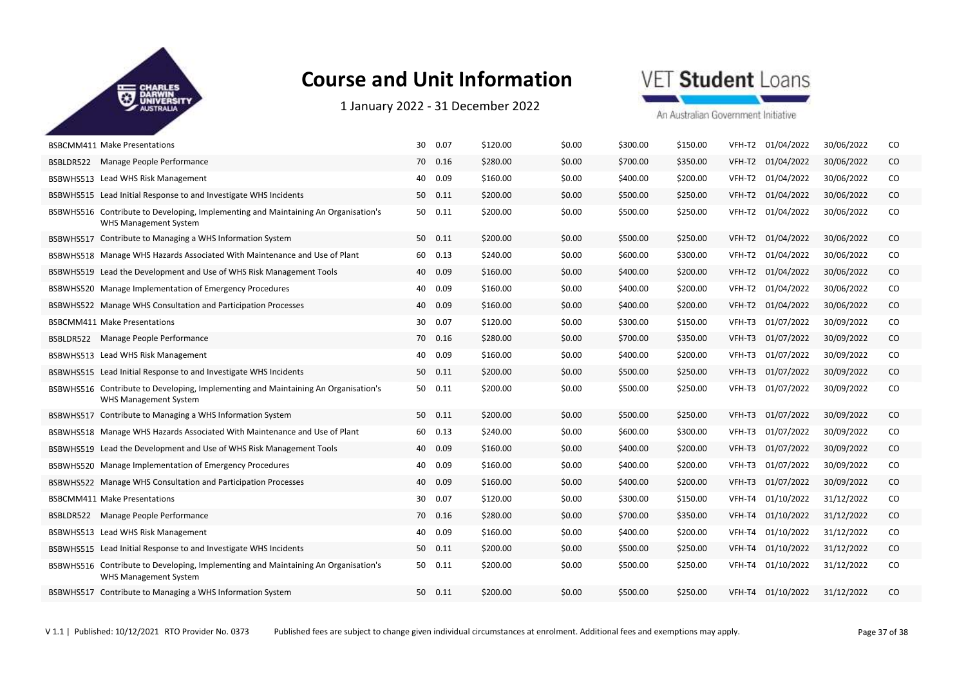

1 January 2022 ‐ 31 December 2022

### VET Student Loans

|           | <b>BSBCMM411 Make Presentations</b>                                                                         | 30 | 0.07    | \$120.00 | \$0.00 | \$300.00 | \$150.00 | VFH-T2 | 01/04/2022 | 30/06/2022 | CO       |
|-----------|-------------------------------------------------------------------------------------------------------------|----|---------|----------|--------|----------|----------|--------|------------|------------|----------|
|           | BSBLDR522 Manage People Performance                                                                         | 70 | 0.16    | \$280.00 | \$0.00 | \$700.00 | \$350.00 | VFH-T2 | 01/04/2022 | 30/06/2022 | $\rm CO$ |
|           | BSBWHS513 Lead WHS Risk Management                                                                          | 40 | 0.09    | \$160.00 | \$0.00 | \$400.00 | \$200.00 | VFH-T2 | 01/04/2022 | 30/06/2022 | $\rm CO$ |
|           | BSBWHS515 Lead Initial Response to and Investigate WHS Incidents                                            |    | 50 0.11 | \$200.00 | \$0.00 | \$500.00 | \$250.00 | VFH-T2 | 01/04/2022 | 30/06/2022 | CO       |
|           | BSBWHS516 Contribute to Developing, Implementing and Maintaining An Organisation's<br>WHS Management System |    | 50 0.11 | \$200.00 | \$0.00 | \$500.00 | \$250.00 | VFH-T2 | 01/04/2022 | 30/06/2022 | CO       |
|           | BSBWHS517 Contribute to Managing a WHS Information System                                                   |    | 50 0.11 | \$200.00 | \$0.00 | \$500.00 | \$250.00 | VFH-T2 | 01/04/2022 | 30/06/2022 | CO       |
|           | BSBWHS518 Manage WHS Hazards Associated With Maintenance and Use of Plant                                   |    | 60 0.13 | \$240.00 | \$0.00 | \$600.00 | \$300.00 | VFH-T2 | 01/04/2022 | 30/06/2022 | $\rm CO$ |
|           | BSBWHS519 Lead the Development and Use of WHS Risk Management Tools                                         |    | 40 0.09 | \$160.00 | \$0.00 | \$400.00 | \$200.00 | VFH-T2 | 01/04/2022 | 30/06/2022 | CO.      |
|           | BSBWHS520 Manage Implementation of Emergency Procedures                                                     | 40 | 0.09    | \$160.00 | \$0.00 | \$400.00 | \$200.00 | VFH-T2 | 01/04/2022 | 30/06/2022 | $\rm CO$ |
|           | BSBWHS522 Manage WHS Consultation and Participation Processes                                               |    | 40 0.09 | \$160.00 | \$0.00 | \$400.00 | \$200.00 | VFH-T2 | 01/04/2022 | 30/06/2022 | CO.      |
|           | BSBCMM411 Make Presentations                                                                                | 30 | 0.07    | \$120.00 | \$0.00 | \$300.00 | \$150.00 | VFH-T3 | 01/07/2022 | 30/09/2022 | $\rm CO$ |
| BSBLDR522 | Manage People Performance                                                                                   |    | 70 0.16 | \$280.00 | \$0.00 | \$700.00 | \$350.00 | VFH-T3 | 01/07/2022 | 30/09/2022 | $\rm CO$ |
|           | BSBWHS513 Lead WHS Risk Management                                                                          | 40 | 0.09    | \$160.00 | \$0.00 | \$400.00 | \$200.00 | VFH-T3 | 01/07/2022 | 30/09/2022 | $\rm CO$ |
|           | BSBWHS515 Lead Initial Response to and Investigate WHS Incidents                                            |    | 50 0.11 | \$200.00 | \$0.00 | \$500.00 | \$250.00 | VFH-T3 | 01/07/2022 | 30/09/2022 | $\rm CO$ |
|           | BSBWHS516 Contribute to Developing, Implementing and Maintaining An Organisation's<br>WHS Management System |    | 50 0.11 | \$200.00 | \$0.00 | \$500.00 | \$250.00 | VFH-T3 | 01/07/2022 | 30/09/2022 | CO       |
|           | BSBWHS517 Contribute to Managing a WHS Information System                                                   |    | 50 0.11 | \$200.00 | \$0.00 | \$500.00 | \$250.00 | VFH-T3 | 01/07/2022 | 30/09/2022 | CO       |
|           | BSBWHS518 Manage WHS Hazards Associated With Maintenance and Use of Plant                                   |    | 60 0.13 | \$240.00 | \$0.00 | \$600.00 | \$300.00 | VFH-T3 | 01/07/2022 | 30/09/2022 | CO       |
|           | BSBWHS519 Lead the Development and Use of WHS Risk Management Tools                                         |    | 40 0.09 | \$160.00 | \$0.00 | \$400.00 | \$200.00 | VFH-T3 | 01/07/2022 | 30/09/2022 | $\rm CO$ |
|           | BSBWHS520 Manage Implementation of Emergency Procedures                                                     | 40 | 0.09    | \$160.00 | \$0.00 | \$400.00 | \$200.00 | VFH-T3 | 01/07/2022 | 30/09/2022 | CO       |
|           | BSBWHS522 Manage WHS Consultation and Participation Processes                                               |    | 40 0.09 | \$160.00 | \$0.00 | \$400.00 | \$200.00 | VFH-T3 | 01/07/2022 | 30/09/2022 | CO       |
|           | <b>BSBCMM411 Make Presentations</b>                                                                         | 30 | 0.07    | \$120.00 | \$0.00 | \$300.00 | \$150.00 | VFH-T4 | 01/10/2022 | 31/12/2022 | CO       |
|           | BSBLDR522 Manage People Performance                                                                         |    | 70 0.16 | \$280.00 | \$0.00 | \$700.00 | \$350.00 | VFH-T4 | 01/10/2022 | 31/12/2022 | CO       |
|           | BSBWHS513 Lead WHS Risk Management                                                                          | 40 | 0.09    | \$160.00 | \$0.00 | \$400.00 | \$200.00 | VFH-T4 | 01/10/2022 | 31/12/2022 | CO       |
|           | BSBWHS515 Lead Initial Response to and Investigate WHS Incidents                                            |    | 50 0.11 | \$200.00 | \$0.00 | \$500.00 | \$250.00 | VFH-T4 | 01/10/2022 | 31/12/2022 | $\rm CO$ |
|           | BSBWHS516 Contribute to Developing, Implementing and Maintaining An Organisation's<br>WHS Management System |    | 50 0.11 | \$200.00 | \$0.00 | \$500.00 | \$250.00 | VFH-T4 | 01/10/2022 | 31/12/2022 | CO       |
|           | BSBWHS517 Contribute to Managing a WHS Information System                                                   |    | 50 0.11 | \$200.00 | \$0.00 | \$500.00 | \$250.00 | VFH-T4 | 01/10/2022 | 31/12/2022 | $\rm CO$ |